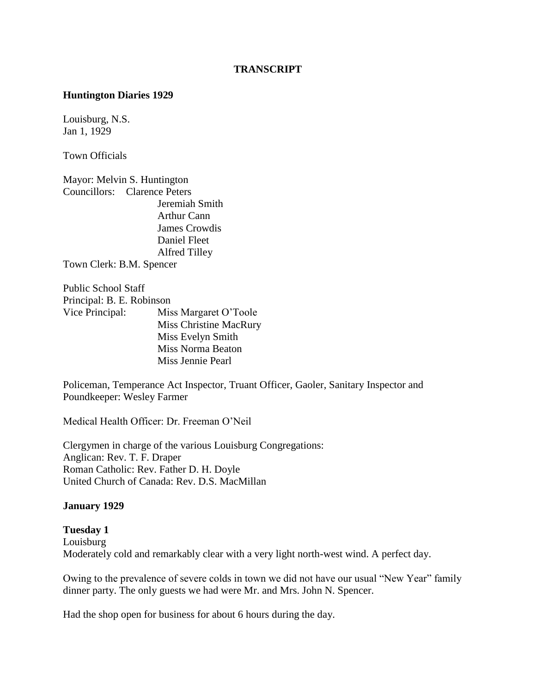#### **TRANSCRIPT**

#### **Huntington Diaries 1929**

Louisburg, N.S. Jan 1, 1929

Town Officials

Mayor: Melvin S. Huntington Councillors: Clarence Peters Jeremiah Smith Arthur Cann James Crowdis Daniel Fleet Alfred Tilley Town Clerk: B.M. Spencer

Public School Staff Principal: B. E. Robinson Vice Principal: Miss Margaret O"Toole Miss Christine MacRury Miss Evelyn Smith Miss Norma Beaton Miss Jennie Pearl

Policeman, Temperance Act Inspector, Truant Officer, Gaoler, Sanitary Inspector and Poundkeeper: Wesley Farmer

Medical Health Officer: Dr. Freeman O"Neil

Clergymen in charge of the various Louisburg Congregations: Anglican: Rev. T. F. Draper Roman Catholic: Rev. Father D. H. Doyle United Church of Canada: Rev. D.S. MacMillan

#### **January 1929**

**Tuesday 1** Louisburg Moderately cold and remarkably clear with a very light north-west wind. A perfect day.

Owing to the prevalence of severe colds in town we did not have our usual "New Year" family dinner party. The only guests we had were Mr. and Mrs. John N. Spencer.

Had the shop open for business for about 6 hours during the day.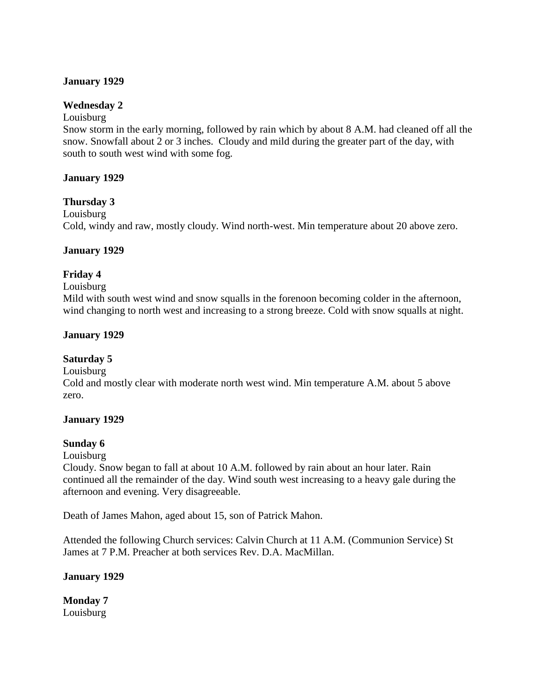#### **January 1929**

#### **Wednesday 2**

#### Louisburg

Snow storm in the early morning, followed by rain which by about 8 A.M. had cleaned off all the snow. Snowfall about 2 or 3 inches. Cloudy and mild during the greater part of the day, with south to south west wind with some fog.

#### **January 1929**

#### **Thursday 3**

Louisburg

Cold, windy and raw, mostly cloudy. Wind north-west. Min temperature about 20 above zero.

#### **January 1929**

#### **Friday 4**

#### Louisburg

Mild with south west wind and snow squalls in the forenoon becoming colder in the afternoon, wind changing to north west and increasing to a strong breeze. Cold with snow squalls at night.

#### **January 1929**

#### **Saturday 5**

Louisburg

Cold and mostly clear with moderate north west wind. Min temperature A.M. about 5 above zero.

#### **January 1929**

#### **Sunday 6**

Louisburg

Cloudy. Snow began to fall at about 10 A.M. followed by rain about an hour later. Rain continued all the remainder of the day. Wind south west increasing to a heavy gale during the afternoon and evening. Very disagreeable.

Death of James Mahon, aged about 15, son of Patrick Mahon.

Attended the following Church services: Calvin Church at 11 A.M. (Communion Service) St James at 7 P.M. Preacher at both services Rev. D.A. MacMillan.

#### **January 1929**

**Monday 7**  Louisburg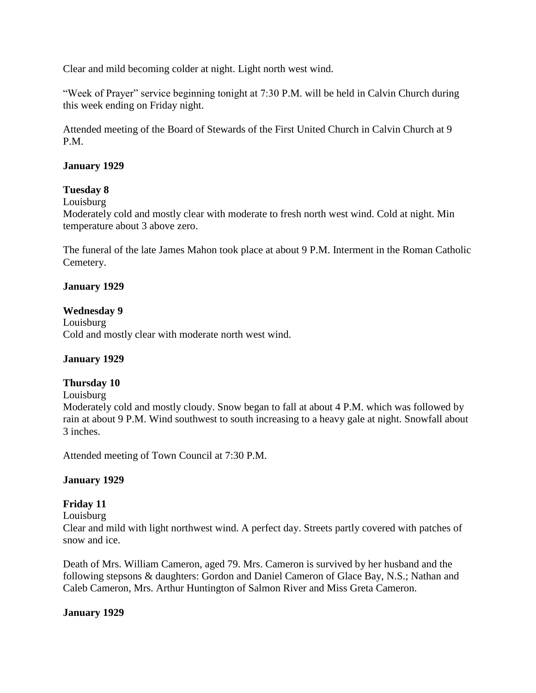Clear and mild becoming colder at night. Light north west wind.

"Week of Prayer" service beginning tonight at 7:30 P.M. will be held in Calvin Church during this week ending on Friday night.

Attended meeting of the Board of Stewards of the First United Church in Calvin Church at 9 P.M.

#### **January 1929**

### **Tuesday 8**

Louisburg

Moderately cold and mostly clear with moderate to fresh north west wind. Cold at night. Min temperature about 3 above zero.

The funeral of the late James Mahon took place at about 9 P.M. Interment in the Roman Catholic Cemetery.

#### **January 1929**

#### **Wednesday 9**

Louisburg Cold and mostly clear with moderate north west wind.

#### **January 1929**

#### **Thursday 10**

Louisburg

Moderately cold and mostly cloudy. Snow began to fall at about 4 P.M. which was followed by rain at about 9 P.M. Wind southwest to south increasing to a heavy gale at night. Snowfall about 3 inches.

Attended meeting of Town Council at 7:30 P.M.

#### **January 1929**

#### **Friday 11**

Louisburg

Clear and mild with light northwest wind. A perfect day. Streets partly covered with patches of snow and ice.

Death of Mrs. William Cameron, aged 79. Mrs. Cameron is survived by her husband and the following stepsons & daughters: Gordon and Daniel Cameron of Glace Bay, N.S.; Nathan and Caleb Cameron, Mrs. Arthur Huntington of Salmon River and Miss Greta Cameron.

#### **January 1929**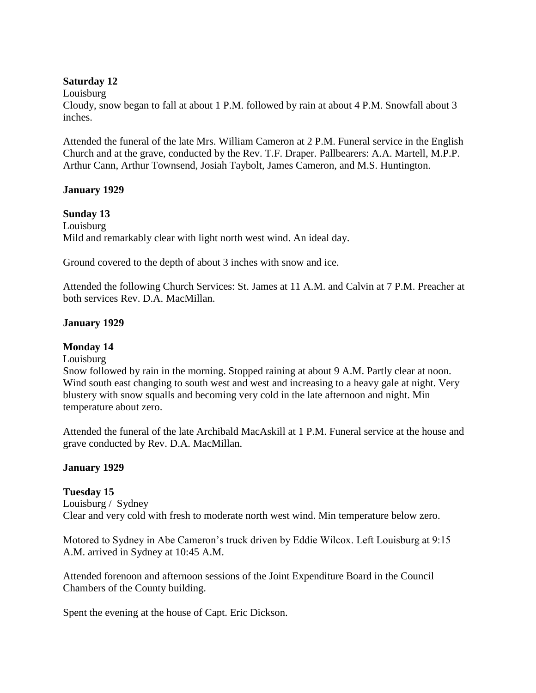#### **Saturday 12**

Louisburg

Cloudy, snow began to fall at about 1 P.M. followed by rain at about 4 P.M. Snowfall about 3 inches.

Attended the funeral of the late Mrs. William Cameron at 2 P.M. Funeral service in the English Church and at the grave, conducted by the Rev. T.F. Draper. Pallbearers: A.A. Martell, M.P.P. Arthur Cann, Arthur Townsend, Josiah Taybolt, James Cameron, and M.S. Huntington.

### **January 1929**

#### **Sunday 13**

Louisburg Mild and remarkably clear with light north west wind. An ideal day.

Ground covered to the depth of about 3 inches with snow and ice.

Attended the following Church Services: St. James at 11 A.M. and Calvin at 7 P.M. Preacher at both services Rev. D.A. MacMillan.

#### **January 1929**

### **Monday 14**

### Louisburg

Snow followed by rain in the morning. Stopped raining at about 9 A.M. Partly clear at noon. Wind south east changing to south west and west and increasing to a heavy gale at night. Very blustery with snow squalls and becoming very cold in the late afternoon and night. Min temperature about zero.

Attended the funeral of the late Archibald MacAskill at 1 P.M. Funeral service at the house and grave conducted by Rev. D.A. MacMillan.

#### **January 1929**

### **Tuesday 15**

Louisburg / Sydney Clear and very cold with fresh to moderate north west wind. Min temperature below zero.

Motored to Sydney in Abe Cameron"s truck driven by Eddie Wilcox. Left Louisburg at 9:15 A.M. arrived in Sydney at 10:45 A.M.

Attended forenoon and afternoon sessions of the Joint Expenditure Board in the Council Chambers of the County building.

Spent the evening at the house of Capt. Eric Dickson.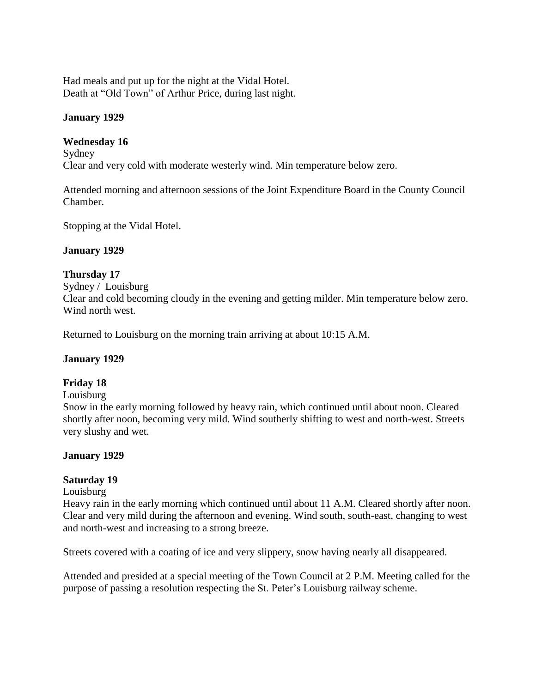Had meals and put up for the night at the Vidal Hotel. Death at "Old Town" of Arthur Price, during last night.

#### **January 1929**

#### **Wednesday 16**

Sydney Clear and very cold with moderate westerly wind. Min temperature below zero.

Attended morning and afternoon sessions of the Joint Expenditure Board in the County Council Chamber.

Stopping at the Vidal Hotel.

#### **January 1929**

#### **Thursday 17**

Sydney / Louisburg Clear and cold becoming cloudy in the evening and getting milder. Min temperature below zero. Wind north west.

Returned to Louisburg on the morning train arriving at about 10:15 A.M.

#### **January 1929**

#### **Friday 18**

Louisburg

Snow in the early morning followed by heavy rain, which continued until about noon. Cleared shortly after noon, becoming very mild. Wind southerly shifting to west and north-west. Streets very slushy and wet.

#### **January 1929**

#### **Saturday 19**

#### Louisburg

Heavy rain in the early morning which continued until about 11 A.M. Cleared shortly after noon. Clear and very mild during the afternoon and evening. Wind south, south-east, changing to west and north-west and increasing to a strong breeze.

Streets covered with a coating of ice and very slippery, snow having nearly all disappeared.

Attended and presided at a special meeting of the Town Council at 2 P.M. Meeting called for the purpose of passing a resolution respecting the St. Peter"s Louisburg railway scheme.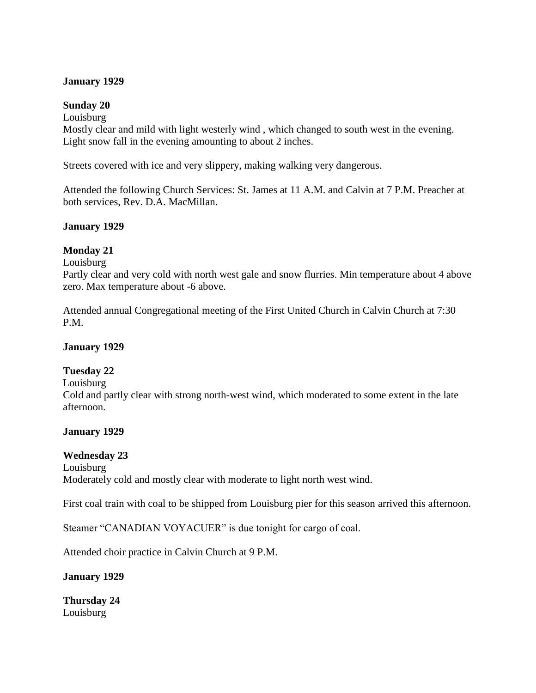#### **January 1929**

#### **Sunday 20**

Louisburg

Mostly clear and mild with light westerly wind , which changed to south west in the evening. Light snow fall in the evening amounting to about 2 inches.

Streets covered with ice and very slippery, making walking very dangerous.

Attended the following Church Services: St. James at 11 A.M. and Calvin at 7 P.M. Preacher at both services, Rev. D.A. MacMillan.

### **January 1929**

#### **Monday 21**

Louisburg

Partly clear and very cold with north west gale and snow flurries. Min temperature about 4 above zero. Max temperature about -6 above.

Attended annual Congregational meeting of the First United Church in Calvin Church at 7:30 P.M.

#### **January 1929**

#### **Tuesday 22**

Louisburg

Cold and partly clear with strong north-west wind, which moderated to some extent in the late afternoon.

#### **January 1929**

#### **Wednesday 23**

Louisburg Moderately cold and mostly clear with moderate to light north west wind.

First coal train with coal to be shipped from Louisburg pier for this season arrived this afternoon.

Steamer "CANADIAN VOYACUER" is due tonight for cargo of coal.

Attended choir practice in Calvin Church at 9 P.M.

## **January 1929**

**Thursday 24** Louisburg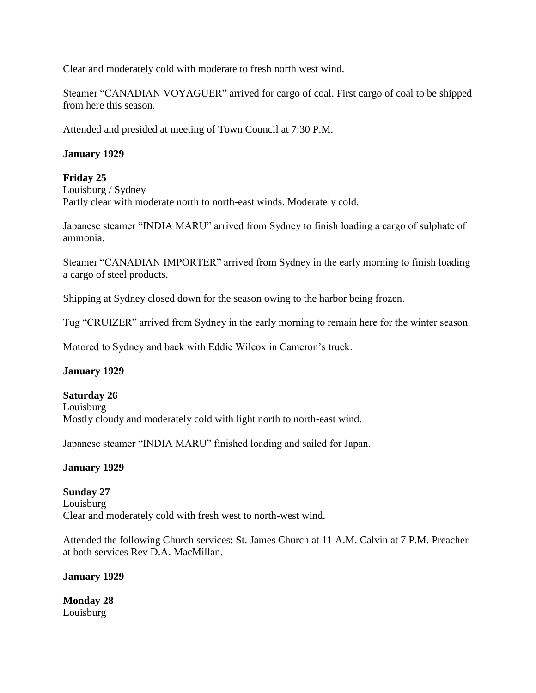Clear and moderately cold with moderate to fresh north west wind.

Steamer "CANADIAN VOYAGUER" arrived for cargo of coal. First cargo of coal to be shipped from here this season.

Attended and presided at meeting of Town Council at 7:30 P.M.

### **January 1929**

### **Friday 25**

Louisburg / Sydney Partly clear with moderate north to north-east winds. Moderately cold.

Japanese steamer "INDIA MARU" arrived from Sydney to finish loading a cargo of sulphate of ammonia.

Steamer "CANADIAN IMPORTER" arrived from Sydney in the early morning to finish loading a cargo of steel products.

Shipping at Sydney closed down for the season owing to the harbor being frozen.

Tug "CRUIZER" arrived from Sydney in the early morning to remain here for the winter season.

Motored to Sydney and back with Eddie Wilcox in Cameron"s truck.

### **January 1929**

# **Saturday 26** Louisburg

Mostly cloudy and moderately cold with light north to north-east wind.

Japanese steamer "INDIA MARU" finished loading and sailed for Japan.

### **January 1929**

#### **Sunday 27** Louisburg Clear and moderately cold with fresh west to north-west wind.

Attended the following Church services: St. James Church at 11 A.M. Calvin at 7 P.M. Preacher at both services Rev D.A. MacMillan.

### **January 1929**

**Monday 28** Louisburg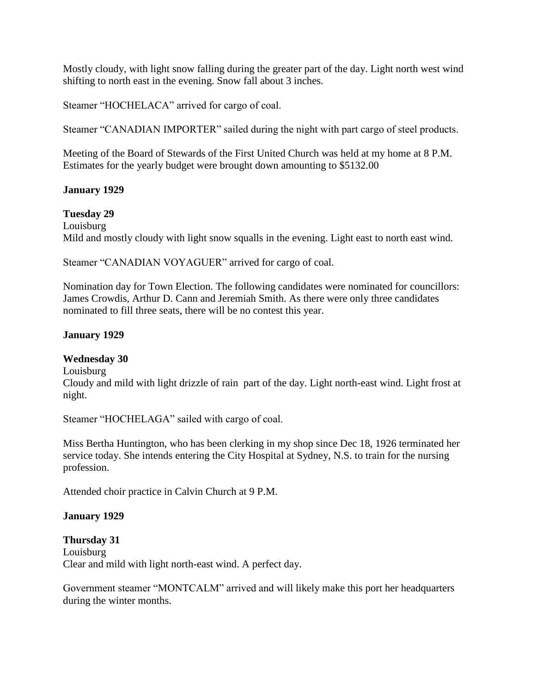Mostly cloudy, with light snow falling during the greater part of the day. Light north west wind shifting to north east in the evening. Snow fall about 3 inches.

Steamer "HOCHELACA" arrived for cargo of coal.

Steamer "CANADIAN IMPORTER" sailed during the night with part cargo of steel products.

Meeting of the Board of Stewards of the First United Church was held at my home at 8 P.M. Estimates for the yearly budget were brought down amounting to \$5132.00

## **January 1929**

### **Tuesday 29**

Louisburg Mild and mostly cloudy with light snow squalls in the evening. Light east to north east wind.

Steamer "CANADIAN VOYAGUER" arrived for cargo of coal.

Nomination day for Town Election. The following candidates were nominated for councillors: James Crowdis, Arthur D. Cann and Jeremiah Smith. As there were only three candidates nominated to fill three seats, there will be no contest this year.

## **January 1929**

### **Wednesday 30**

Louisburg

Cloudy and mild with light drizzle of rain part of the day. Light north-east wind. Light frost at night.

Steamer "HOCHELAGA" sailed with cargo of coal.

Miss Bertha Huntington, who has been clerking in my shop since Dec 18, 1926 terminated her service today. She intends entering the City Hospital at Sydney, N.S. to train for the nursing profession.

Attended choir practice in Calvin Church at 9 P.M.

### **January 1929**

**Thursday 31** Louisburg Clear and mild with light north-east wind. A perfect day.

Government steamer "MONTCALM" arrived and will likely make this port her headquarters during the winter months.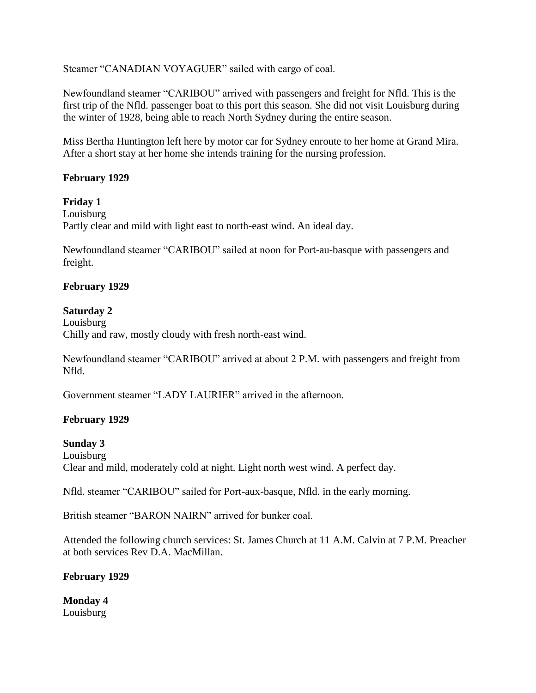Steamer "CANADIAN VOYAGUER" sailed with cargo of coal.

Newfoundland steamer "CARIBOU" arrived with passengers and freight for Nfld. This is the first trip of the Nfld. passenger boat to this port this season. She did not visit Louisburg during the winter of 1928, being able to reach North Sydney during the entire season.

Miss Bertha Huntington left here by motor car for Sydney enroute to her home at Grand Mira. After a short stay at her home she intends training for the nursing profession.

#### **February 1929**

**Friday 1**

Louisburg Partly clear and mild with light east to north-east wind. An ideal day.

Newfoundland steamer "CARIBOU" sailed at noon for Port-au-basque with passengers and freight.

#### **February 1929**

#### **Saturday 2**

Louisburg Chilly and raw, mostly cloudy with fresh north-east wind.

Newfoundland steamer "CARIBOU" arrived at about 2 P.M. with passengers and freight from Nfld.

Government steamer "LADY LAURIER" arrived in the afternoon.

### **February 1929**

#### **Sunday 3**

Louisburg Clear and mild, moderately cold at night. Light north west wind. A perfect day.

Nfld. steamer "CARIBOU" sailed for Port-aux-basque, Nfld. in the early morning.

British steamer "BARON NAIRN" arrived for bunker coal.

Attended the following church services: St. James Church at 11 A.M. Calvin at 7 P.M. Preacher at both services Rev D.A. MacMillan.

#### **February 1929**

**Monday 4** Louisburg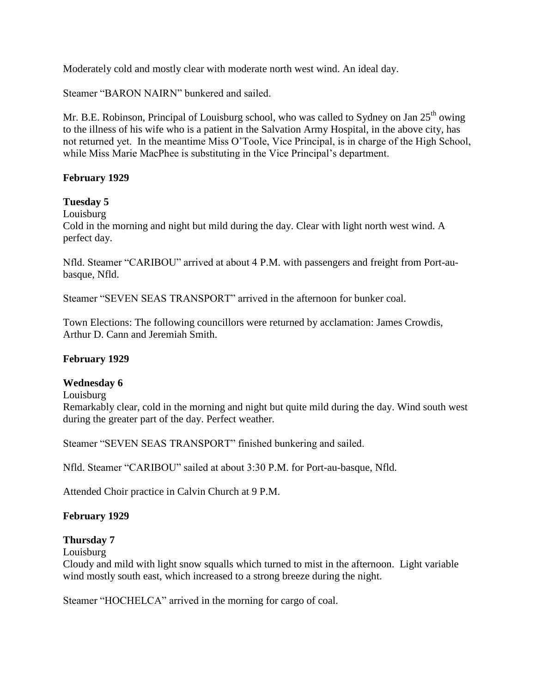Moderately cold and mostly clear with moderate north west wind. An ideal day.

Steamer "BARON NAIRN" bunkered and sailed.

Mr. B.E. Robinson, Principal of Louisburg school, who was called to Sydney on Jan  $25<sup>th</sup>$  owing to the illness of his wife who is a patient in the Salvation Army Hospital, in the above city, has not returned yet. In the meantime Miss O"Toole, Vice Principal, is in charge of the High School, while Miss Marie MacPhee is substituting in the Vice Principal's department.

#### **February 1929**

### **Tuesday 5**

Louisburg

Cold in the morning and night but mild during the day. Clear with light north west wind. A perfect day.

Nfld. Steamer "CARIBOU" arrived at about 4 P.M. with passengers and freight from Port-aubasque, Nfld.

Steamer "SEVEN SEAS TRANSPORT" arrived in the afternoon for bunker coal.

Town Elections: The following councillors were returned by acclamation: James Crowdis, Arthur D. Cann and Jeremiah Smith.

### **February 1929**

#### **Wednesday 6**

Louisburg

Remarkably clear, cold in the morning and night but quite mild during the day. Wind south west during the greater part of the day. Perfect weather.

Steamer "SEVEN SEAS TRANSPORT" finished bunkering and sailed.

Nfld. Steamer "CARIBOU" sailed at about 3:30 P.M. for Port-au-basque, Nfld.

Attended Choir practice in Calvin Church at 9 P.M.

### **February 1929**

#### **Thursday 7**

Louisburg

Cloudy and mild with light snow squalls which turned to mist in the afternoon. Light variable wind mostly south east, which increased to a strong breeze during the night.

Steamer "HOCHELCA" arrived in the morning for cargo of coal.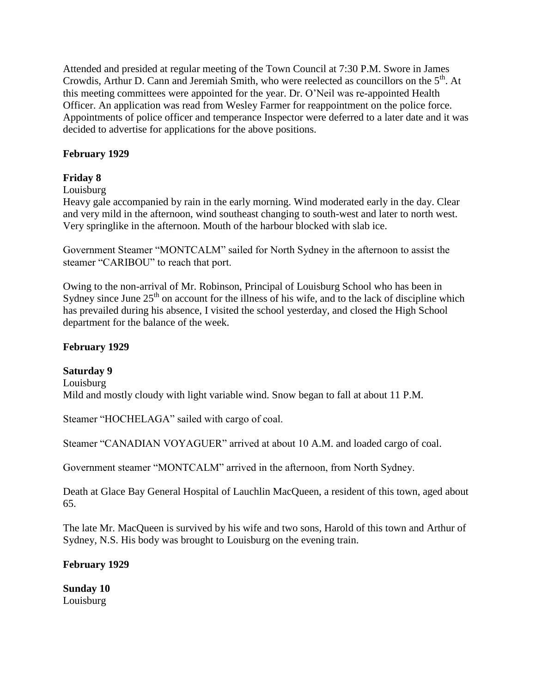Attended and presided at regular meeting of the Town Council at 7:30 P.M. Swore in James Crowdis, Arthur D. Cann and Jeremiah Smith, who were reelected as councillors on the  $5<sup>th</sup>$ . At this meeting committees were appointed for the year. Dr. O"Neil was re-appointed Health Officer. An application was read from Wesley Farmer for reappointment on the police force. Appointments of police officer and temperance Inspector were deferred to a later date and it was decided to advertise for applications for the above positions.

### **February 1929**

## **Friday 8**

### Louisburg

Heavy gale accompanied by rain in the early morning. Wind moderated early in the day. Clear and very mild in the afternoon, wind southeast changing to south-west and later to north west. Very springlike in the afternoon. Mouth of the harbour blocked with slab ice.

Government Steamer "MONTCALM" sailed for North Sydney in the afternoon to assist the steamer "CARIBOU" to reach that port.

Owing to the non-arrival of Mr. Robinson, Principal of Louisburg School who has been in Sydney since June  $25<sup>th</sup>$  on account for the illness of his wife, and to the lack of discipline which has prevailed during his absence, I visited the school yesterday, and closed the High School department for the balance of the week.

### **February 1929**

### **Saturday 9**

Louisburg Mild and mostly cloudy with light variable wind. Snow began to fall at about 11 P.M.

Steamer "HOCHELAGA" sailed with cargo of coal.

Steamer "CANADIAN VOYAGUER" arrived at about 10 A.M. and loaded cargo of coal.

Government steamer "MONTCALM" arrived in the afternoon, from North Sydney.

Death at Glace Bay General Hospital of Lauchlin MacQueen, a resident of this town, aged about 65.

The late Mr. MacQueen is survived by his wife and two sons, Harold of this town and Arthur of Sydney, N.S. His body was brought to Louisburg on the evening train.

### **February 1929**

**Sunday 10** Louisburg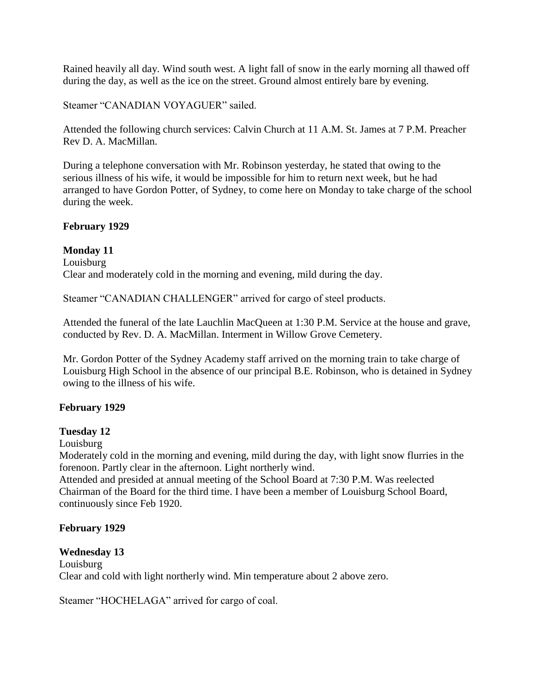Rained heavily all day. Wind south west. A light fall of snow in the early morning all thawed off during the day, as well as the ice on the street. Ground almost entirely bare by evening.

Steamer "CANADIAN VOYAGUER" sailed.

Attended the following church services: Calvin Church at 11 A.M. St. James at 7 P.M. Preacher Rev D. A. MacMillan.

During a telephone conversation with Mr. Robinson yesterday, he stated that owing to the serious illness of his wife, it would be impossible for him to return next week, but he had arranged to have Gordon Potter, of Sydney, to come here on Monday to take charge of the school during the week.

### **February 1929**

#### **Monday 11**

Louisburg Clear and moderately cold in the morning and evening, mild during the day.

Steamer "CANADIAN CHALLENGER" arrived for cargo of steel products.

Attended the funeral of the late Lauchlin MacQueen at 1:30 P.M. Service at the house and grave, conducted by Rev. D. A. MacMillan. Interment in Willow Grove Cemetery.

Mr. Gordon Potter of the Sydney Academy staff arrived on the morning train to take charge of Louisburg High School in the absence of our principal B.E. Robinson, who is detained in Sydney owing to the illness of his wife.

### **February 1929**

### **Tuesday 12**

Louisburg

Moderately cold in the morning and evening, mild during the day, with light snow flurries in the forenoon. Partly clear in the afternoon. Light northerly wind.

Attended and presided at annual meeting of the School Board at 7:30 P.M. Was reelected Chairman of the Board for the third time. I have been a member of Louisburg School Board, continuously since Feb 1920.

#### **February 1929**

### **Wednesday 13**

Louisburg Clear and cold with light northerly wind. Min temperature about 2 above zero.

Steamer "HOCHELAGA" arrived for cargo of coal.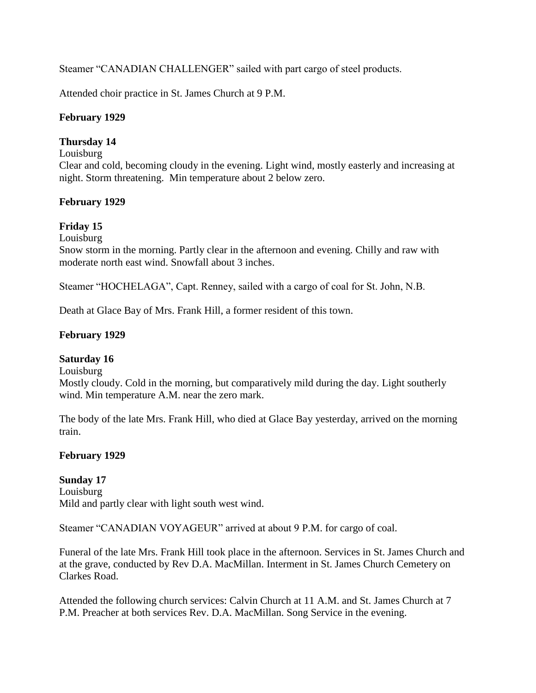Steamer "CANADIAN CHALLENGER" sailed with part cargo of steel products.

Attended choir practice in St. James Church at 9 P.M.

### **February 1929**

## **Thursday 14**

#### Louisburg

Clear and cold, becoming cloudy in the evening. Light wind, mostly easterly and increasing at night. Storm threatening. Min temperature about 2 below zero.

## **February 1929**

## **Friday 15**

Louisburg

Snow storm in the morning. Partly clear in the afternoon and evening. Chilly and raw with moderate north east wind. Snowfall about 3 inches.

Steamer "HOCHELAGA", Capt. Renney, sailed with a cargo of coal for St. John, N.B.

Death at Glace Bay of Mrs. Frank Hill, a former resident of this town.

## **February 1929**

### **Saturday 16**

Louisburg

Mostly cloudy. Cold in the morning, but comparatively mild during the day. Light southerly wind. Min temperature A.M. near the zero mark.

The body of the late Mrs. Frank Hill, who died at Glace Bay yesterday, arrived on the morning train.

## **February 1929**

### **Sunday 17**

Louisburg Mild and partly clear with light south west wind.

Steamer "CANADIAN VOYAGEUR" arrived at about 9 P.M. for cargo of coal.

Funeral of the late Mrs. Frank Hill took place in the afternoon. Services in St. James Church and at the grave, conducted by Rev D.A. MacMillan. Interment in St. James Church Cemetery on Clarkes Road.

Attended the following church services: Calvin Church at 11 A.M. and St. James Church at 7 P.M. Preacher at both services Rev. D.A. MacMillan. Song Service in the evening.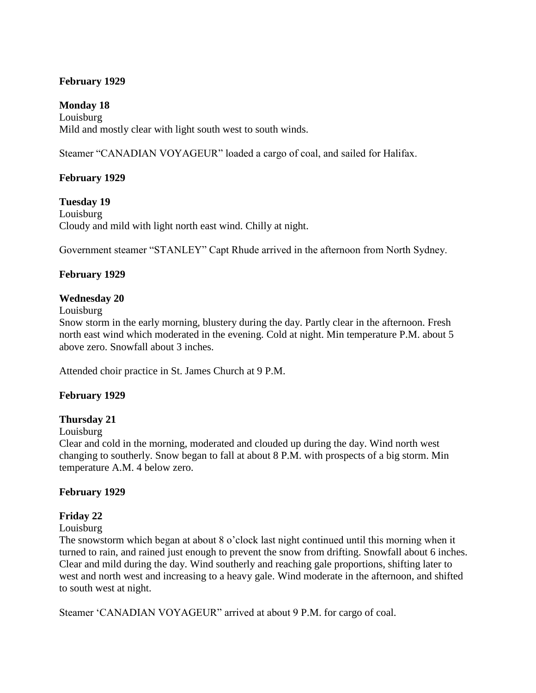### **February 1929**

### **Monday 18**

Louisburg Mild and mostly clear with light south west to south winds.

Steamer "CANADIAN VOYAGEUR" loaded a cargo of coal, and sailed for Halifax.

## **February 1929**

**Tuesday 19** Louisburg Cloudy and mild with light north east wind. Chilly at night.

Government steamer "STANLEY" Capt Rhude arrived in the afternoon from North Sydney.

### **February 1929**

#### **Wednesday 20**

Louisburg

Snow storm in the early morning, blustery during the day. Partly clear in the afternoon. Fresh north east wind which moderated in the evening. Cold at night. Min temperature P.M. about 5 above zero. Snowfall about 3 inches.

Attended choir practice in St. James Church at 9 P.M.

### **February 1929**

### **Thursday 21**

#### Louisburg

Clear and cold in the morning, moderated and clouded up during the day. Wind north west changing to southerly. Snow began to fall at about 8 P.M. with prospects of a big storm. Min temperature A.M. 4 below zero.

### **February 1929**

### **Friday 22**

#### Louisburg

The snowstorm which began at about 8 o'clock last night continued until this morning when it turned to rain, and rained just enough to prevent the snow from drifting. Snowfall about 6 inches. Clear and mild during the day. Wind southerly and reaching gale proportions, shifting later to west and north west and increasing to a heavy gale. Wind moderate in the afternoon, and shifted to south west at night.

Steamer "CANADIAN VOYAGEUR" arrived at about 9 P.M. for cargo of coal.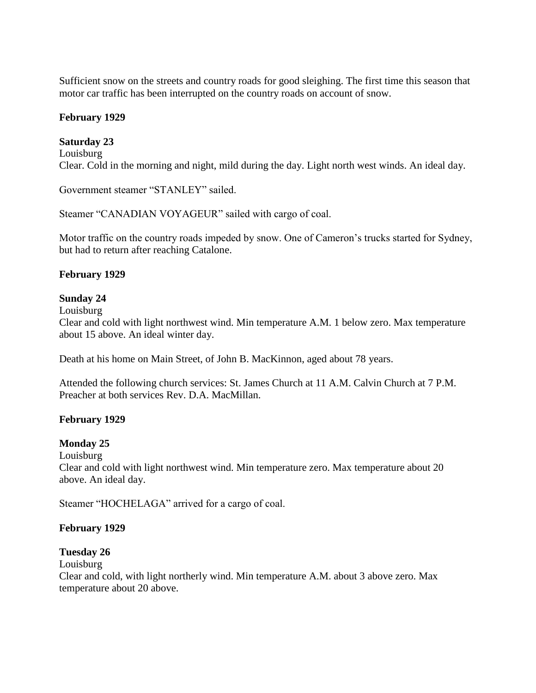Sufficient snow on the streets and country roads for good sleighing. The first time this season that motor car traffic has been interrupted on the country roads on account of snow.

#### **February 1929**

#### **Saturday 23**

Louisburg Clear. Cold in the morning and night, mild during the day. Light north west winds. An ideal day.

Government steamer "STANLEY" sailed.

Steamer "CANADIAN VOYAGEUR" sailed with cargo of coal.

Motor traffic on the country roads impeded by snow. One of Cameron's trucks started for Sydney, but had to return after reaching Catalone.

#### **February 1929**

#### **Sunday 24**

Louisburg

Clear and cold with light northwest wind. Min temperature A.M. 1 below zero. Max temperature about 15 above. An ideal winter day.

Death at his home on Main Street, of John B. MacKinnon, aged about 78 years.

Attended the following church services: St. James Church at 11 A.M. Calvin Church at 7 P.M. Preacher at both services Rev. D.A. MacMillan.

#### **February 1929**

#### **Monday 25**

Louisburg

Clear and cold with light northwest wind. Min temperature zero. Max temperature about 20 above. An ideal day.

Steamer "HOCHELAGA" arrived for a cargo of coal.

#### **February 1929**

#### **Tuesday 26**

Louisburg

Clear and cold, with light northerly wind. Min temperature A.M. about 3 above zero. Max temperature about 20 above.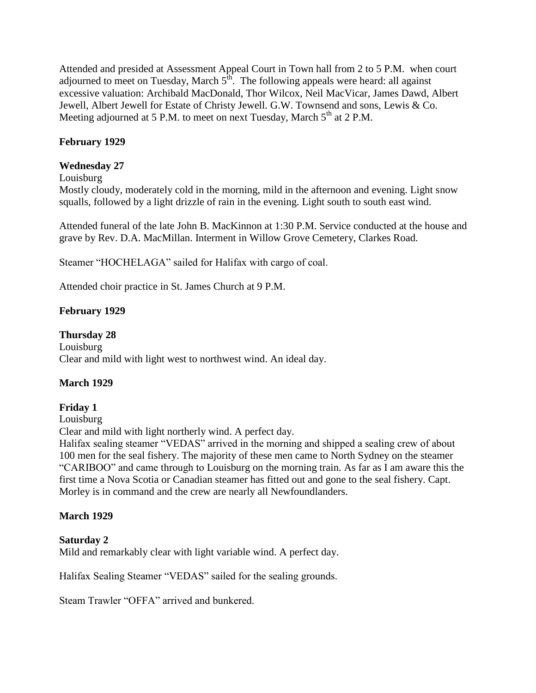Attended and presided at Assessment Appeal Court in Town hall from 2 to 5 P.M. when court adjourned to meet on Tuesday, March  $5^{\text{th}}$ . The following appeals were heard: all against excessive valuation: Archibald MacDonald, Thor Wilcox, Neil MacVicar, James Dawd, Albert Jewell, Albert Jewell for Estate of Christy Jewell. G.W. Townsend and sons, Lewis & Co. Meeting adjourned at 5 P.M. to meet on next Tuesday, March  $5<sup>th</sup>$  at 2 P.M.

## **February 1929**

#### **Wednesday 27**

Louisburg

Mostly cloudy, moderately cold in the morning, mild in the afternoon and evening. Light snow squalls, followed by a light drizzle of rain in the evening. Light south to south east wind.

Attended funeral of the late John B. MacKinnon at 1:30 P.M. Service conducted at the house and grave by Rev. D.A. MacMillan. Interment in Willow Grove Cemetery, Clarkes Road.

Steamer "HOCHELAGA" sailed for Halifax with cargo of coal.

Attended choir practice in St. James Church at 9 P.M.

### **February 1929**

### **Thursday 28**

Louisburg Clear and mild with light west to northwest wind. An ideal day.

### **March 1929**

### **Friday 1**

Louisburg

Clear and mild with light northerly wind. A perfect day.

Halifax sealing steamer "VEDAS" arrived in the morning and shipped a sealing crew of about 100 men for the seal fishery. The majority of these men came to North Sydney on the steamer "CARIBOO" and came through to Louisburg on the morning train. As far as I am aware this the first time a Nova Scotia or Canadian steamer has fitted out and gone to the seal fishery. Capt. Morley is in command and the crew are nearly all Newfoundlanders.

### **March 1929**

### **Saturday 2**

Mild and remarkably clear with light variable wind. A perfect day.

Halifax Sealing Steamer "VEDAS" sailed for the sealing grounds.

Steam Trawler "OFFA" arrived and bunkered.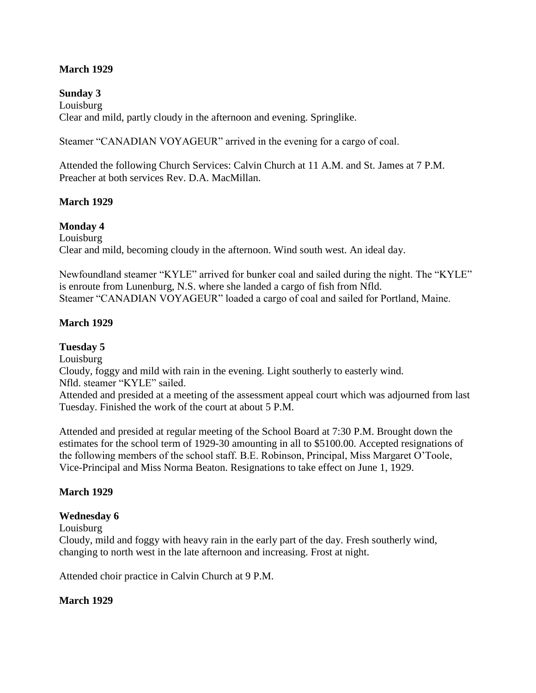### **March 1929**

**Sunday 3** Louisburg Clear and mild, partly cloudy in the afternoon and evening. Springlike.

Steamer "CANADIAN VOYAGEUR" arrived in the evening for a cargo of coal.

Attended the following Church Services: Calvin Church at 11 A.M. and St. James at 7 P.M. Preacher at both services Rev. D.A. MacMillan.

### **March 1929**

#### **Monday 4**

Louisburg Clear and mild, becoming cloudy in the afternoon. Wind south west. An ideal day.

Newfoundland steamer "KYLE" arrived for bunker coal and sailed during the night. The "KYLE" is enroute from Lunenburg, N.S. where she landed a cargo of fish from Nfld. Steamer "CANADIAN VOYAGEUR" loaded a cargo of coal and sailed for Portland, Maine.

#### **March 1929**

**Tuesday 5**

Louisburg

Cloudy, foggy and mild with rain in the evening. Light southerly to easterly wind. Nfld. steamer "KYLE" sailed.

Attended and presided at a meeting of the assessment appeal court which was adjourned from last Tuesday. Finished the work of the court at about 5 P.M.

Attended and presided at regular meeting of the School Board at 7:30 P.M. Brought down the estimates for the school term of 1929-30 amounting in all to \$5100.00. Accepted resignations of the following members of the school staff. B.E. Robinson, Principal, Miss Margaret O"Toole, Vice-Principal and Miss Norma Beaton. Resignations to take effect on June 1, 1929.

### **March 1929**

#### **Wednesday 6**

Louisburg

Cloudy, mild and foggy with heavy rain in the early part of the day. Fresh southerly wind, changing to north west in the late afternoon and increasing. Frost at night.

Attended choir practice in Calvin Church at 9 P.M.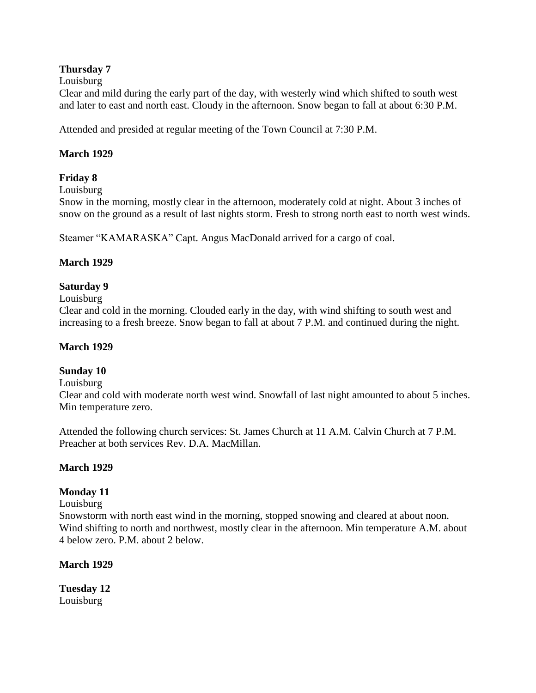## **Thursday 7**

### Louisburg

Clear and mild during the early part of the day, with westerly wind which shifted to south west and later to east and north east. Cloudy in the afternoon. Snow began to fall at about 6:30 P.M.

Attended and presided at regular meeting of the Town Council at 7:30 P.M.

### **March 1929**

## **Friday 8**

Louisburg

Snow in the morning, mostly clear in the afternoon, moderately cold at night. About 3 inches of snow on the ground as a result of last nights storm. Fresh to strong north east to north west winds.

Steamer "KAMARASKA" Capt. Angus MacDonald arrived for a cargo of coal.

### **March 1929**

## **Saturday 9**

#### Louisburg

Clear and cold in the morning. Clouded early in the day, with wind shifting to south west and increasing to a fresh breeze. Snow began to fall at about 7 P.M. and continued during the night.

#### **March 1929**

### **Sunday 10**

#### Louisburg

Clear and cold with moderate north west wind. Snowfall of last night amounted to about 5 inches. Min temperature zero.

Attended the following church services: St. James Church at 11 A.M. Calvin Church at 7 P.M. Preacher at both services Rev. D.A. MacMillan.

#### **March 1929**

### **Monday 11**

### Louisburg

Snowstorm with north east wind in the morning, stopped snowing and cleared at about noon. Wind shifting to north and northwest, mostly clear in the afternoon. Min temperature A.M. about 4 below zero. P.M. about 2 below.

### **March 1929**

**Tuesday 12** Louisburg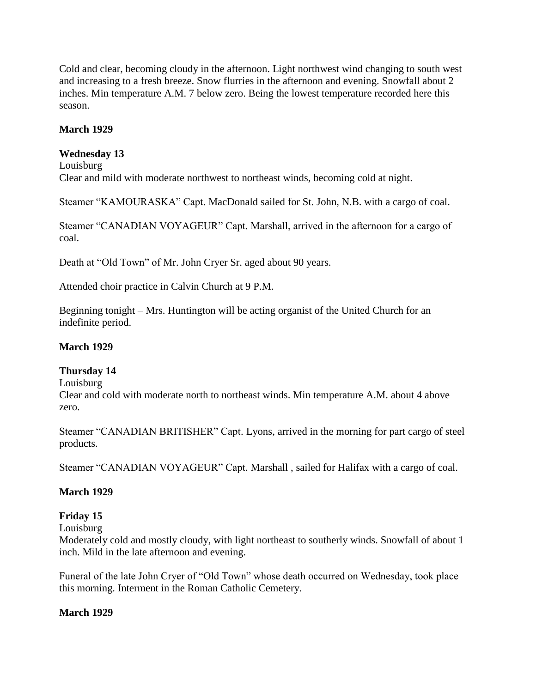Cold and clear, becoming cloudy in the afternoon. Light northwest wind changing to south west and increasing to a fresh breeze. Snow flurries in the afternoon and evening. Snowfall about 2 inches. Min temperature A.M. 7 below zero. Being the lowest temperature recorded here this season.

## **March 1929**

### **Wednesday 13**

Louisburg

Clear and mild with moderate northwest to northeast winds, becoming cold at night.

Steamer "KAMOURASKA" Capt. MacDonald sailed for St. John, N.B. with a cargo of coal.

Steamer "CANADIAN VOYAGEUR" Capt. Marshall, arrived in the afternoon for a cargo of coal.

Death at "Old Town" of Mr. John Cryer Sr. aged about 90 years.

Attended choir practice in Calvin Church at 9 P.M.

Beginning tonight – Mrs. Huntington will be acting organist of the United Church for an indefinite period.

#### **March 1929**

#### **Thursday 14**

#### Louisburg

Clear and cold with moderate north to northeast winds. Min temperature A.M. about 4 above zero.

Steamer "CANADIAN BRITISHER" Capt. Lyons, arrived in the morning for part cargo of steel products.

Steamer "CANADIAN VOYAGEUR" Capt. Marshall , sailed for Halifax with a cargo of coal.

### **March 1929**

### **Friday 15**

Louisburg

Moderately cold and mostly cloudy, with light northeast to southerly winds. Snowfall of about 1 inch. Mild in the late afternoon and evening.

Funeral of the late John Cryer of "Old Town" whose death occurred on Wednesday, took place this morning. Interment in the Roman Catholic Cemetery.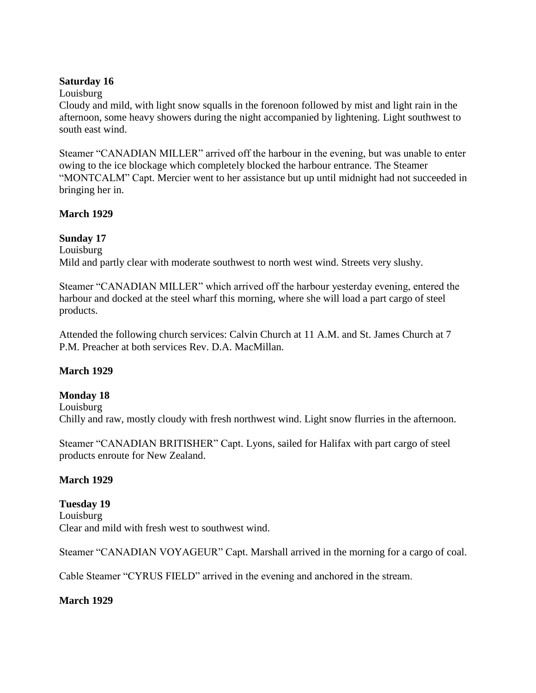#### **Saturday 16**

#### Louisburg

Cloudy and mild, with light snow squalls in the forenoon followed by mist and light rain in the afternoon, some heavy showers during the night accompanied by lightening. Light southwest to south east wind.

Steamer "CANADIAN MILLER" arrived off the harbour in the evening, but was unable to enter owing to the ice blockage which completely blocked the harbour entrance. The Steamer "MONTCALM" Capt. Mercier went to her assistance but up until midnight had not succeeded in bringing her in.

### **March 1929**

### **Sunday 17**

Louisburg Mild and partly clear with moderate southwest to north west wind. Streets very slushy.

Steamer "CANADIAN MILLER" which arrived off the harbour yesterday evening, entered the harbour and docked at the steel wharf this morning, where she will load a part cargo of steel products.

Attended the following church services: Calvin Church at 11 A.M. and St. James Church at 7 P.M. Preacher at both services Rev. D.A. MacMillan.

## **March 1929**

### **Monday 18**

Louisburg

Chilly and raw, mostly cloudy with fresh northwest wind. Light snow flurries in the afternoon.

Steamer "CANADIAN BRITISHER" Capt. Lyons, sailed for Halifax with part cargo of steel products enroute for New Zealand.

### **March 1929**

### **Tuesday 19**

Louisburg Clear and mild with fresh west to southwest wind.

Steamer "CANADIAN VOYAGEUR" Capt. Marshall arrived in the morning for a cargo of coal.

Cable Steamer "CYRUS FIELD" arrived in the evening and anchored in the stream.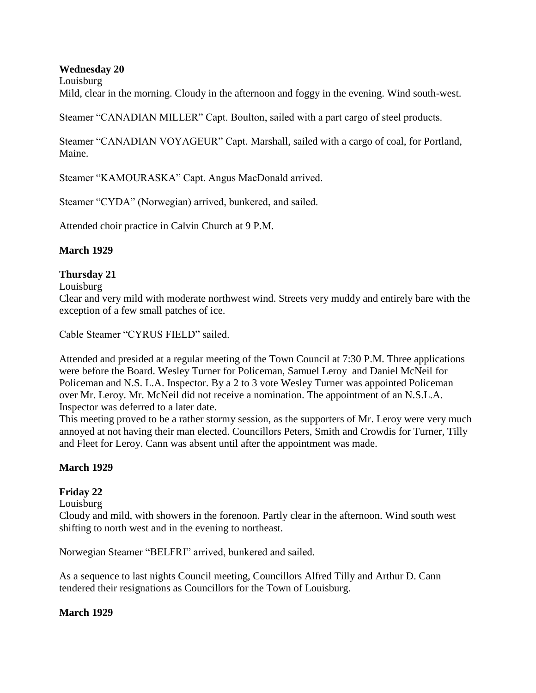#### **Wednesday 20**

Louisburg

Mild, clear in the morning. Cloudy in the afternoon and foggy in the evening. Wind south-west.

Steamer "CANADIAN MILLER" Capt. Boulton, sailed with a part cargo of steel products.

Steamer "CANADIAN VOYAGEUR" Capt. Marshall, sailed with a cargo of coal, for Portland, Maine.

Steamer "KAMOURASKA" Capt. Angus MacDonald arrived.

Steamer "CYDA" (Norwegian) arrived, bunkered, and sailed.

Attended choir practice in Calvin Church at 9 P.M.

#### **March 1929**

#### **Thursday 21**

#### Louisburg

Clear and very mild with moderate northwest wind. Streets very muddy and entirely bare with the exception of a few small patches of ice.

Cable Steamer "CYRUS FIELD" sailed.

Attended and presided at a regular meeting of the Town Council at 7:30 P.M. Three applications were before the Board. Wesley Turner for Policeman, Samuel Leroy and Daniel McNeil for Policeman and N.S. L.A. Inspector. By a 2 to 3 vote Wesley Turner was appointed Policeman over Mr. Leroy. Mr. McNeil did not receive a nomination. The appointment of an N.S.L.A. Inspector was deferred to a later date.

This meeting proved to be a rather stormy session, as the supporters of Mr. Leroy were very much annoyed at not having their man elected. Councillors Peters, Smith and Crowdis for Turner, Tilly and Fleet for Leroy. Cann was absent until after the appointment was made.

#### **March 1929**

## **Friday 22**

Louisburg

Cloudy and mild, with showers in the forenoon. Partly clear in the afternoon. Wind south west shifting to north west and in the evening to northeast.

Norwegian Steamer "BELFRI" arrived, bunkered and sailed.

As a sequence to last nights Council meeting, Councillors Alfred Tilly and Arthur D. Cann tendered their resignations as Councillors for the Town of Louisburg.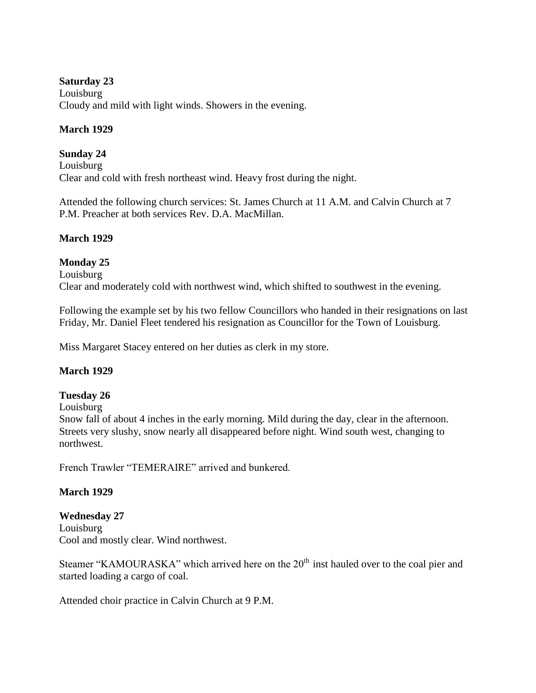### **Saturday 23**

Louisburg Cloudy and mild with light winds. Showers in the evening.

### **March 1929**

## **Sunday 24**

Louisburg Clear and cold with fresh northeast wind. Heavy frost during the night.

Attended the following church services: St. James Church at 11 A.M. and Calvin Church at 7 P.M. Preacher at both services Rev. D.A. MacMillan.

## **March 1929**

## **Monday 25**

Louisburg Clear and moderately cold with northwest wind, which shifted to southwest in the evening.

Following the example set by his two fellow Councillors who handed in their resignations on last Friday, Mr. Daniel Fleet tendered his resignation as Councillor for the Town of Louisburg.

Miss Margaret Stacey entered on her duties as clerk in my store.

## **March 1929**

### **Tuesday 26**

Louisburg

Snow fall of about 4 inches in the early morning. Mild during the day, clear in the afternoon. Streets very slushy, snow nearly all disappeared before night. Wind south west, changing to northwest.

French Trawler "TEMERAIRE" arrived and bunkered.

### **March 1929**

# **Wednesday 27**

Louisburg Cool and mostly clear. Wind northwest.

Steamer "KAMOURASKA" which arrived here on the 20<sup>th</sup> inst hauled over to the coal pier and started loading a cargo of coal.

Attended choir practice in Calvin Church at 9 P.M.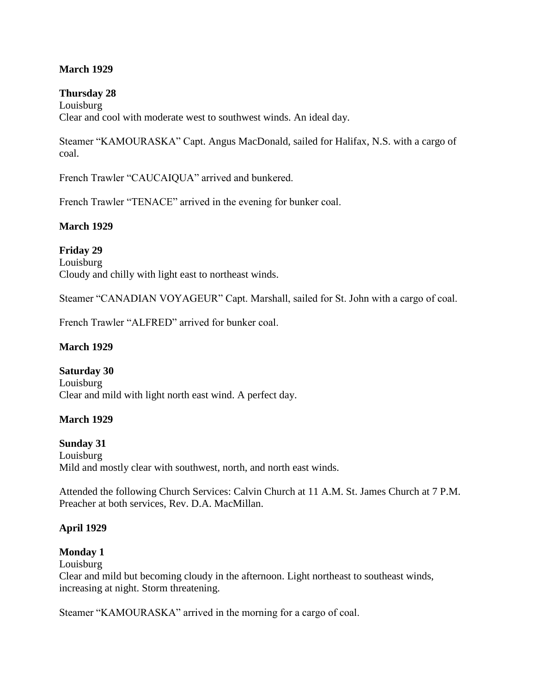### **March 1929**

#### **Thursday 28**

Louisburg Clear and cool with moderate west to southwest winds. An ideal day.

Steamer "KAMOURASKA" Capt. Angus MacDonald, sailed for Halifax, N.S. with a cargo of coal.

French Trawler "CAUCAIQUA" arrived and bunkered.

French Trawler "TENACE" arrived in the evening for bunker coal.

#### **March 1929**

**Friday 29** Louisburg Cloudy and chilly with light east to northeast winds.

Steamer "CANADIAN VOYAGEUR" Capt. Marshall, sailed for St. John with a cargo of coal.

French Trawler "ALFRED" arrived for bunker coal.

#### **March 1929**

**Saturday 30** Louisburg Clear and mild with light north east wind. A perfect day.

#### **March 1929**

#### **Sunday 31**

Louisburg Mild and mostly clear with southwest, north, and north east winds.

Attended the following Church Services: Calvin Church at 11 A.M. St. James Church at 7 P.M. Preacher at both services, Rev. D.A. MacMillan.

#### **April 1929**

#### **Monday 1**

Louisburg Clear and mild but becoming cloudy in the afternoon. Light northeast to southeast winds, increasing at night. Storm threatening.

Steamer "KAMOURASKA" arrived in the morning for a cargo of coal.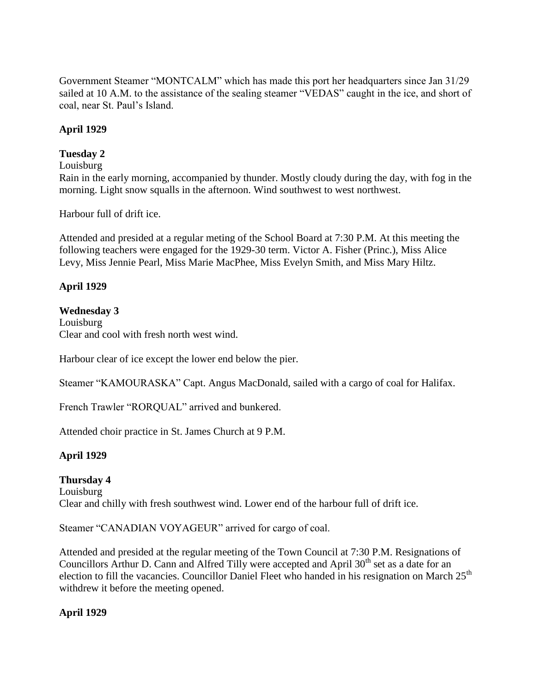Government Steamer "MONTCALM" which has made this port her headquarters since Jan 31/29 sailed at 10 A.M. to the assistance of the sealing steamer "VEDAS" caught in the ice, and short of coal, near St. Paul"s Island.

## **April 1929**

### **Tuesday 2**

#### Louisburg

Rain in the early morning, accompanied by thunder. Mostly cloudy during the day, with fog in the morning. Light snow squalls in the afternoon. Wind southwest to west northwest.

Harbour full of drift ice.

Attended and presided at a regular meting of the School Board at 7:30 P.M. At this meeting the following teachers were engaged for the 1929-30 term. Victor A. Fisher (Princ.), Miss Alice Levy, Miss Jennie Pearl, Miss Marie MacPhee, Miss Evelyn Smith, and Miss Mary Hiltz.

### **April 1929**

#### **Wednesday 3**

Louisburg Clear and cool with fresh north west wind.

Harbour clear of ice except the lower end below the pier.

Steamer "KAMOURASKA" Capt. Angus MacDonald, sailed with a cargo of coal for Halifax.

French Trawler "RORQUAL" arrived and bunkered.

Attended choir practice in St. James Church at 9 P.M.

### **April 1929**

## **Thursday 4** Louisburg Clear and chilly with fresh southwest wind. Lower end of the harbour full of drift ice.

Steamer "CANADIAN VOYAGEUR" arrived for cargo of coal.

Attended and presided at the regular meeting of the Town Council at 7:30 P.M. Resignations of Councillors Arthur D. Cann and Alfred Tilly were accepted and April 30<sup>th</sup> set as a date for an election to fill the vacancies. Councillor Daniel Fleet who handed in his resignation on March  $25<sup>th</sup>$ withdrew it before the meeting opened.

### **April 1929**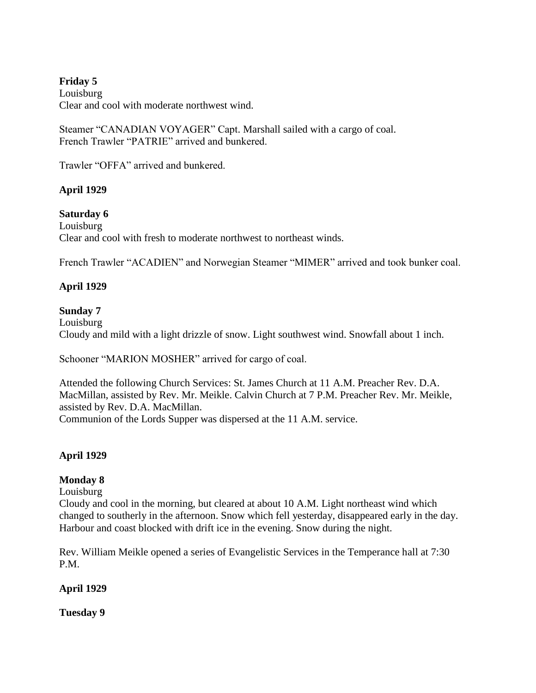## **Friday 5**

Louisburg Clear and cool with moderate northwest wind.

Steamer "CANADIAN VOYAGER" Capt. Marshall sailed with a cargo of coal. French Trawler "PATRIE" arrived and bunkered.

Trawler "OFFA" arrived and bunkered.

## **April 1929**

## **Saturday 6**

Louisburg Clear and cool with fresh to moderate northwest to northeast winds.

French Trawler "ACADIEN" and Norwegian Steamer "MIMER" arrived and took bunker coal.

## **April 1929**

## **Sunday 7**

Louisburg Cloudy and mild with a light drizzle of snow. Light southwest wind. Snowfall about 1 inch.

Schooner "MARION MOSHER" arrived for cargo of coal.

Attended the following Church Services: St. James Church at 11 A.M. Preacher Rev. D.A. MacMillan, assisted by Rev. Mr. Meikle. Calvin Church at 7 P.M. Preacher Rev. Mr. Meikle, assisted by Rev. D.A. MacMillan. Communion of the Lords Supper was dispersed at the 11 A.M. service.

## **April 1929**

## **Monday 8**

Louisburg

Cloudy and cool in the morning, but cleared at about 10 A.M. Light northeast wind which changed to southerly in the afternoon. Snow which fell yesterday, disappeared early in the day. Harbour and coast blocked with drift ice in the evening. Snow during the night.

Rev. William Meikle opened a series of Evangelistic Services in the Temperance hall at 7:30 P.M.

### **April 1929**

**Tuesday 9**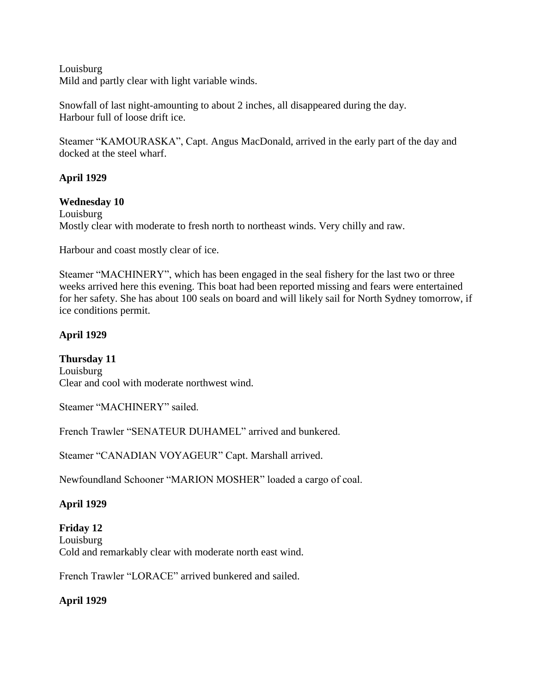Louisburg Mild and partly clear with light variable winds.

Snowfall of last night-amounting to about 2 inches, all disappeared during the day. Harbour full of loose drift ice.

Steamer "KAMOURASKA", Capt. Angus MacDonald, arrived in the early part of the day and docked at the steel wharf.

## **April 1929**

#### **Wednesday 10**

Louisburg Mostly clear with moderate to fresh north to northeast winds. Very chilly and raw.

Harbour and coast mostly clear of ice.

Steamer "MACHINERY", which has been engaged in the seal fishery for the last two or three weeks arrived here this evening. This boat had been reported missing and fears were entertained for her safety. She has about 100 seals on board and will likely sail for North Sydney tomorrow, if ice conditions permit.

## **April 1929**

**Thursday 11** Louisburg Clear and cool with moderate northwest wind.

Steamer "MACHINERY" sailed.

French Trawler "SENATEUR DUHAMEL" arrived and bunkered.

Steamer "CANADIAN VOYAGEUR" Capt. Marshall arrived.

Newfoundland Schooner "MARION MOSHER" loaded a cargo of coal.

### **April 1929**

### **Friday 12**

Louisburg Cold and remarkably clear with moderate north east wind.

French Trawler "LORACE" arrived bunkered and sailed.

### **April 1929**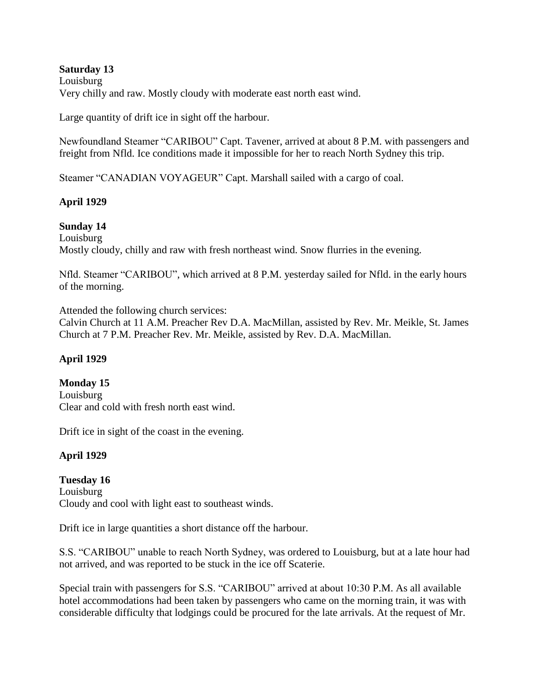#### **Saturday 13** Louisburg Very chilly and raw. Mostly cloudy with moderate east north east wind.

Large quantity of drift ice in sight off the harbour.

Newfoundland Steamer "CARIBOU" Capt. Tavener, arrived at about 8 P.M. with passengers and freight from Nfld. Ice conditions made it impossible for her to reach North Sydney this trip.

Steamer "CANADIAN VOYAGEUR" Capt. Marshall sailed with a cargo of coal.

## **April 1929**

## **Sunday 14**

Louisburg Mostly cloudy, chilly and raw with fresh northeast wind. Snow flurries in the evening.

Nfld. Steamer "CARIBOU", which arrived at 8 P.M. yesterday sailed for Nfld. in the early hours of the morning.

Attended the following church services:

Calvin Church at 11 A.M. Preacher Rev D.A. MacMillan, assisted by Rev. Mr. Meikle, St. James Church at 7 P.M. Preacher Rev. Mr. Meikle, assisted by Rev. D.A. MacMillan.

## **April 1929**

## **Monday 15**

Louisburg Clear and cold with fresh north east wind.

Drift ice in sight of the coast in the evening.

# **April 1929**

**Tuesday 16** Louisburg Cloudy and cool with light east to southeast winds.

Drift ice in large quantities a short distance off the harbour.

S.S. "CARIBOU" unable to reach North Sydney, was ordered to Louisburg, but at a late hour had not arrived, and was reported to be stuck in the ice off Scaterie.

Special train with passengers for S.S. "CARIBOU" arrived at about 10:30 P.M. As all available hotel accommodations had been taken by passengers who came on the morning train, it was with considerable difficulty that lodgings could be procured for the late arrivals. At the request of Mr.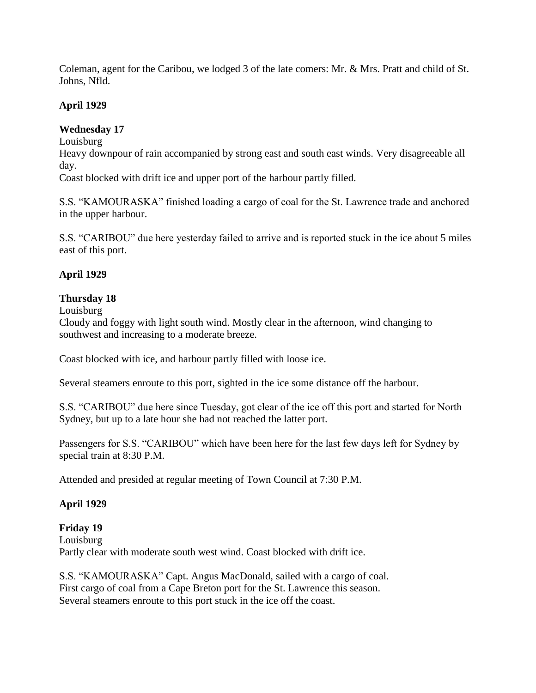Coleman, agent for the Caribou, we lodged 3 of the late comers: Mr. & Mrs. Pratt and child of St. Johns, Nfld.

## **April 1929**

## **Wednesday 17**

Louisburg

Heavy downpour of rain accompanied by strong east and south east winds. Very disagreeable all day.

Coast blocked with drift ice and upper port of the harbour partly filled.

S.S. "KAMOURASKA" finished loading a cargo of coal for the St. Lawrence trade and anchored in the upper harbour.

S.S. "CARIBOU" due here yesterday failed to arrive and is reported stuck in the ice about 5 miles east of this port.

## **April 1929**

### **Thursday 18**

Louisburg

Cloudy and foggy with light south wind. Mostly clear in the afternoon, wind changing to southwest and increasing to a moderate breeze.

Coast blocked with ice, and harbour partly filled with loose ice.

Several steamers enroute to this port, sighted in the ice some distance off the harbour.

S.S. "CARIBOU" due here since Tuesday, got clear of the ice off this port and started for North Sydney, but up to a late hour she had not reached the latter port.

Passengers for S.S. "CARIBOU" which have been here for the last few days left for Sydney by special train at 8:30 P.M.

Attended and presided at regular meeting of Town Council at 7:30 P.M.

## **April 1929**

### **Friday 19**

Louisburg Partly clear with moderate south west wind. Coast blocked with drift ice.

S.S. "KAMOURASKA" Capt. Angus MacDonald, sailed with a cargo of coal. First cargo of coal from a Cape Breton port for the St. Lawrence this season. Several steamers enroute to this port stuck in the ice off the coast.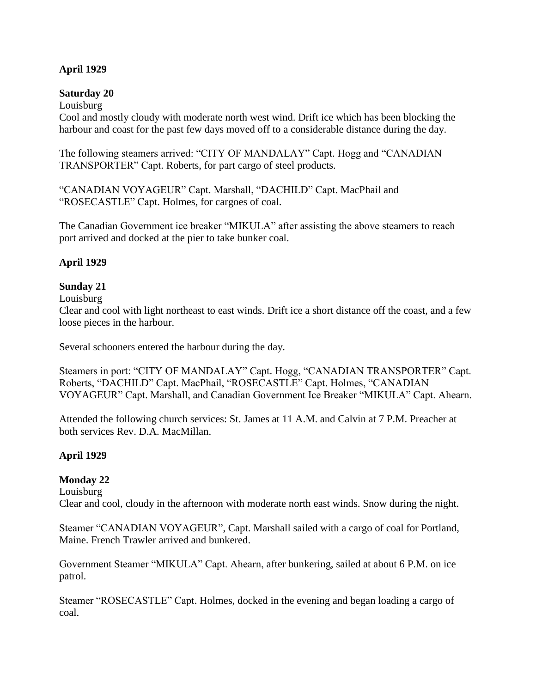### **April 1929**

#### **Saturday 20**

Louisburg

Cool and mostly cloudy with moderate north west wind. Drift ice which has been blocking the harbour and coast for the past few days moved off to a considerable distance during the day.

The following steamers arrived: "CITY OF MANDALAY" Capt. Hogg and "CANADIAN TRANSPORTER" Capt. Roberts, for part cargo of steel products.

"CANADIAN VOYAGEUR" Capt. Marshall, "DACHILD" Capt. MacPhail and "ROSECASTLE" Capt. Holmes, for cargoes of coal.

The Canadian Government ice breaker "MIKULA" after assisting the above steamers to reach port arrived and docked at the pier to take bunker coal.

## **April 1929**

## **Sunday 21**

#### Louisburg

Clear and cool with light northeast to east winds. Drift ice a short distance off the coast, and a few loose pieces in the harbour.

Several schooners entered the harbour during the day.

Steamers in port: "CITY OF MANDALAY" Capt. Hogg, "CANADIAN TRANSPORTER" Capt. Roberts, "DACHILD" Capt. MacPhail, "ROSECASTLE" Capt. Holmes, "CANADIAN VOYAGEUR" Capt. Marshall, and Canadian Government Ice Breaker "MIKULA" Capt. Ahearn.

Attended the following church services: St. James at 11 A.M. and Calvin at 7 P.M. Preacher at both services Rev. D.A. MacMillan.

### **April 1929**

### **Monday 22**

Louisburg

Clear and cool, cloudy in the afternoon with moderate north east winds. Snow during the night.

Steamer "CANADIAN VOYAGEUR", Capt. Marshall sailed with a cargo of coal for Portland, Maine. French Trawler arrived and bunkered.

Government Steamer "MIKULA" Capt. Ahearn, after bunkering, sailed at about 6 P.M. on ice patrol.

Steamer "ROSECASTLE" Capt. Holmes, docked in the evening and began loading a cargo of coal.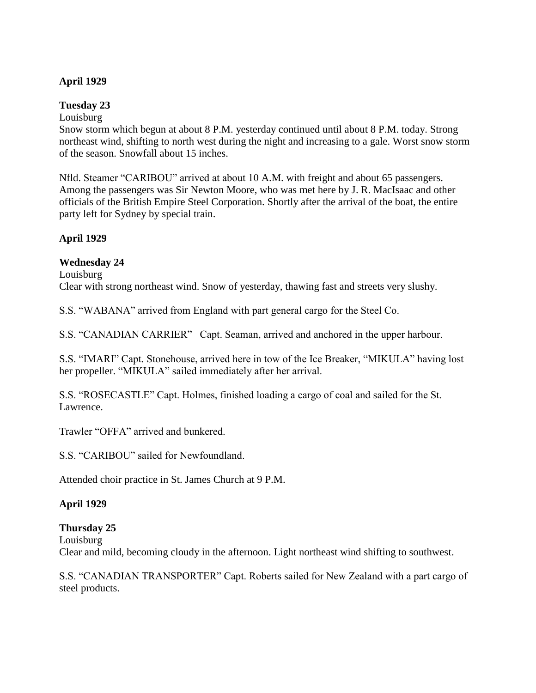### **April 1929**

### **Tuesday 23**

Louisburg

Snow storm which begun at about 8 P.M. yesterday continued until about 8 P.M. today. Strong northeast wind, shifting to north west during the night and increasing to a gale. Worst snow storm of the season. Snowfall about 15 inches.

Nfld. Steamer "CARIBOU" arrived at about 10 A.M. with freight and about 65 passengers. Among the passengers was Sir Newton Moore, who was met here by J. R. MacIsaac and other officials of the British Empire Steel Corporation. Shortly after the arrival of the boat, the entire party left for Sydney by special train.

## **April 1929**

## **Wednesday 24**

Louisburg Clear with strong northeast wind. Snow of yesterday, thawing fast and streets very slushy.

S.S. "WABANA" arrived from England with part general cargo for the Steel Co.

S.S. "CANADIAN CARRIER" Capt. Seaman, arrived and anchored in the upper harbour.

S.S. "IMARI" Capt. Stonehouse, arrived here in tow of the Ice Breaker, "MIKULA" having lost her propeller. "MIKULA" sailed immediately after her arrival.

S.S. "ROSECASTLE" Capt. Holmes, finished loading a cargo of coal and sailed for the St. Lawrence.

Trawler "OFFA" arrived and bunkered.

S.S. "CARIBOU" sailed for Newfoundland.

Attended choir practice in St. James Church at 9 P.M.

### **April 1929**

### **Thursday 25**

Louisburg

Clear and mild, becoming cloudy in the afternoon. Light northeast wind shifting to southwest.

S.S. "CANADIAN TRANSPORTER" Capt. Roberts sailed for New Zealand with a part cargo of steel products.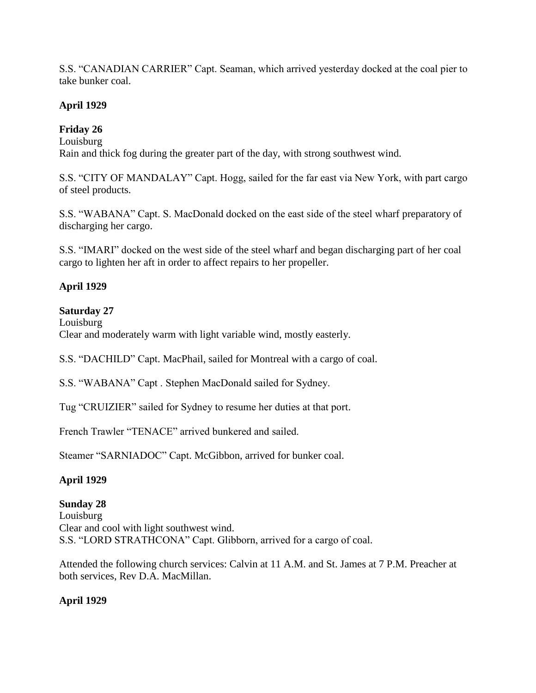S.S. "CANADIAN CARRIER" Capt. Seaman, which arrived yesterday docked at the coal pier to take bunker coal.

## **April 1929**

# **Friday 26**

Louisburg

Rain and thick fog during the greater part of the day, with strong southwest wind.

S.S. "CITY OF MANDALAY" Capt. Hogg, sailed for the far east via New York, with part cargo of steel products.

S.S. "WABANA" Capt. S. MacDonald docked on the east side of the steel wharf preparatory of discharging her cargo.

S.S. "IMARI" docked on the west side of the steel wharf and began discharging part of her coal cargo to lighten her aft in order to affect repairs to her propeller.

## **April 1929**

## **Saturday 27**

Louisburg Clear and moderately warm with light variable wind, mostly easterly.

S.S. "DACHILD" Capt. MacPhail, sailed for Montreal with a cargo of coal.

S.S. "WABANA" Capt . Stephen MacDonald sailed for Sydney.

Tug "CRUIZIER" sailed for Sydney to resume her duties at that port.

French Trawler "TENACE" arrived bunkered and sailed.

Steamer "SARNIADOC" Capt. McGibbon, arrived for bunker coal.

# **April 1929**

# **Sunday 28**

Louisburg Clear and cool with light southwest wind. S.S. "LORD STRATHCONA" Capt. Glibborn, arrived for a cargo of coal.

Attended the following church services: Calvin at 11 A.M. and St. James at 7 P.M. Preacher at both services, Rev D.A. MacMillan.

# **April 1929**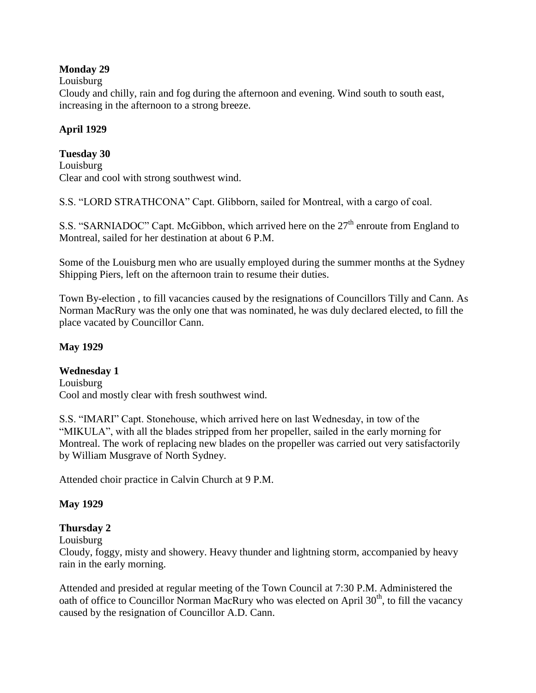### **Monday 29**

### Louisburg

Cloudy and chilly, rain and fog during the afternoon and evening. Wind south to south east, increasing in the afternoon to a strong breeze.

## **April 1929**

## **Tuesday 30**

Louisburg Clear and cool with strong southwest wind.

S.S. "LORD STRATHCONA" Capt. Glibborn, sailed for Montreal, with a cargo of coal.

S.S. "SARNIADOC" Capt. McGibbon, which arrived here on the 27<sup>th</sup> enroute from England to Montreal, sailed for her destination at about 6 P.M.

Some of the Louisburg men who are usually employed during the summer months at the Sydney Shipping Piers, left on the afternoon train to resume their duties.

Town By-election , to fill vacancies caused by the resignations of Councillors Tilly and Cann. As Norman MacRury was the only one that was nominated, he was duly declared elected, to fill the place vacated by Councillor Cann.

## **May 1929**

## **Wednesday 1**

Louisburg Cool and mostly clear with fresh southwest wind.

S.S. "IMARI" Capt. Stonehouse, which arrived here on last Wednesday, in tow of the "MIKULA", with all the blades stripped from her propeller, sailed in the early morning for Montreal. The work of replacing new blades on the propeller was carried out very satisfactorily by William Musgrave of North Sydney.

Attended choir practice in Calvin Church at 9 P.M.

# **May 1929**

# **Thursday 2**

Louisburg

Cloudy, foggy, misty and showery. Heavy thunder and lightning storm, accompanied by heavy rain in the early morning.

Attended and presided at regular meeting of the Town Council at 7:30 P.M. Administered the oath of office to Councillor Norman MacRury who was elected on April  $30<sup>th</sup>$ , to fill the vacancy caused by the resignation of Councillor A.D. Cann.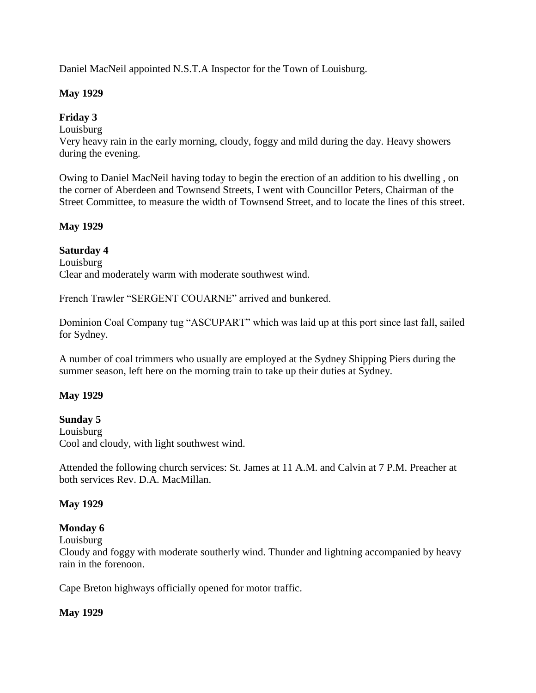Daniel MacNeil appointed N.S.T.A Inspector for the Town of Louisburg.

## **May 1929**

## **Friday 3**

Louisburg

Very heavy rain in the early morning, cloudy, foggy and mild during the day. Heavy showers during the evening.

Owing to Daniel MacNeil having today to begin the erection of an addition to his dwelling , on the corner of Aberdeen and Townsend Streets, I went with Councillor Peters, Chairman of the Street Committee, to measure the width of Townsend Street, and to locate the lines of this street.

## **May 1929**

## **Saturday 4**

Louisburg Clear and moderately warm with moderate southwest wind.

French Trawler "SERGENT COUARNE" arrived and bunkered.

Dominion Coal Company tug "ASCUPART" which was laid up at this port since last fall, sailed for Sydney.

A number of coal trimmers who usually are employed at the Sydney Shipping Piers during the summer season, left here on the morning train to take up their duties at Sydney.

## **May 1929**

## **Sunday 5**

Louisburg Cool and cloudy, with light southwest wind.

Attended the following church services: St. James at 11 A.M. and Calvin at 7 P.M. Preacher at both services Rev. D.A. MacMillan.

### **May 1929**

### **Monday 6**

Louisburg

Cloudy and foggy with moderate southerly wind. Thunder and lightning accompanied by heavy rain in the forenoon.

Cape Breton highways officially opened for motor traffic.

### **May 1929**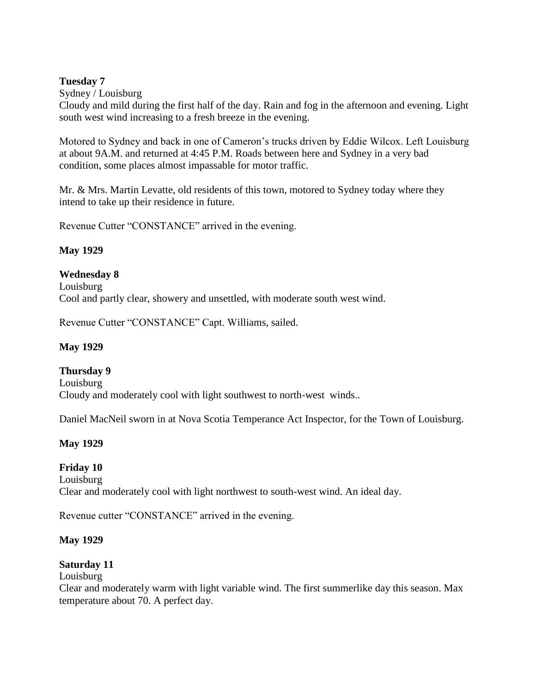### **Tuesday 7**

Sydney / Louisburg

Cloudy and mild during the first half of the day. Rain and fog in the afternoon and evening. Light south west wind increasing to a fresh breeze in the evening.

Motored to Sydney and back in one of Cameron"s trucks driven by Eddie Wilcox. Left Louisburg at about 9A.M. and returned at 4:45 P.M. Roads between here and Sydney in a very bad condition, some places almost impassable for motor traffic.

Mr. & Mrs. Martin Levatte, old residents of this town, motored to Sydney today where they intend to take up their residence in future.

Revenue Cutter "CONSTANCE" arrived in the evening.

## **May 1929**

## **Wednesday 8**

Louisburg Cool and partly clear, showery and unsettled, with moderate south west wind.

Revenue Cutter "CONSTANCE" Capt. Williams, sailed.

### **May 1929**

**Thursday 9** Louisburg Cloudy and moderately cool with light southwest to north-west winds..

Daniel MacNeil sworn in at Nova Scotia Temperance Act Inspector, for the Town of Louisburg.

## **May 1929**

## **Friday 10**

Louisburg Clear and moderately cool with light northwest to south-west wind. An ideal day.

Revenue cutter "CONSTANCE" arrived in the evening.

## **May 1929**

## **Saturday 11**

Louisburg

Clear and moderately warm with light variable wind. The first summerlike day this season. Max temperature about 70. A perfect day.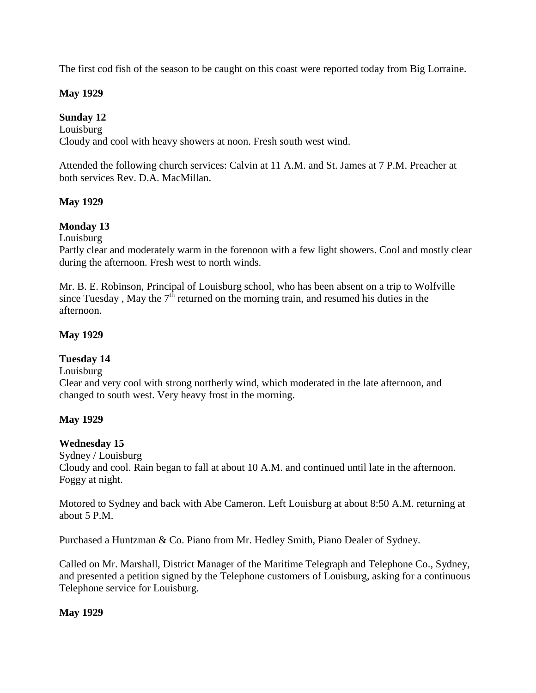The first cod fish of the season to be caught on this coast were reported today from Big Lorraine.

### **May 1929**

## **Sunday 12**

Louisburg Cloudy and cool with heavy showers at noon. Fresh south west wind.

Attended the following church services: Calvin at 11 A.M. and St. James at 7 P.M. Preacher at both services Rev. D.A. MacMillan.

## **May 1929**

## **Monday 13**

Louisburg

Partly clear and moderately warm in the forenoon with a few light showers. Cool and mostly clear during the afternoon. Fresh west to north winds.

Mr. B. E. Robinson, Principal of Louisburg school, who has been absent on a trip to Wolfville since Tuesday, May the  $7<sup>th</sup>$  returned on the morning train, and resumed his duties in the afternoon.

## **May 1929**

### **Tuesday 14**

Louisburg

Clear and very cool with strong northerly wind, which moderated in the late afternoon, and changed to south west. Very heavy frost in the morning.

### **May 1929**

### **Wednesday 15**

Sydney / Louisburg Cloudy and cool. Rain began to fall at about 10 A.M. and continued until late in the afternoon. Foggy at night.

Motored to Sydney and back with Abe Cameron. Left Louisburg at about 8:50 A.M. returning at about 5 P.M.

Purchased a Huntzman & Co. Piano from Mr. Hedley Smith, Piano Dealer of Sydney.

Called on Mr. Marshall, District Manager of the Maritime Telegraph and Telephone Co., Sydney, and presented a petition signed by the Telephone customers of Louisburg, asking for a continuous Telephone service for Louisburg.

### **May 1929**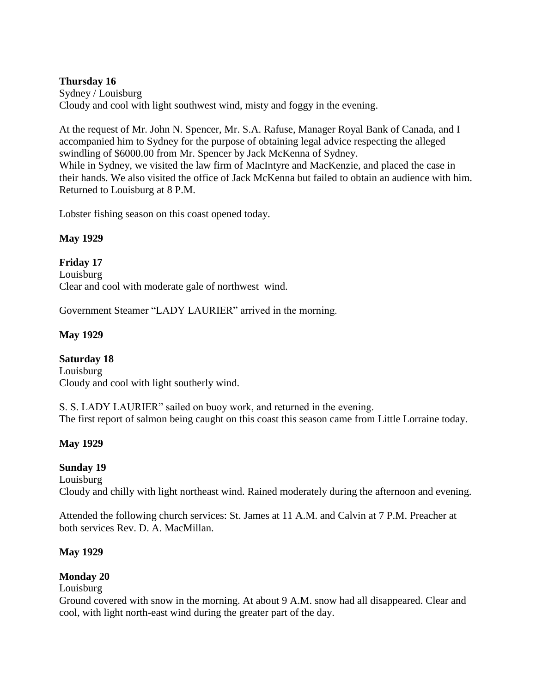### **Thursday 16**

Sydney / Louisburg Cloudy and cool with light southwest wind, misty and foggy in the evening.

At the request of Mr. John N. Spencer, Mr. S.A. Rafuse, Manager Royal Bank of Canada, and I accompanied him to Sydney for the purpose of obtaining legal advice respecting the alleged swindling of \$6000.00 from Mr. Spencer by Jack McKenna of Sydney. While in Sydney, we visited the law firm of MacIntyre and MacKenzie, and placed the case in their hands. We also visited the office of Jack McKenna but failed to obtain an audience with him. Returned to Louisburg at 8 P.M.

Lobster fishing season on this coast opened today.

## **May 1929**

**Friday 17** Louisburg Clear and cool with moderate gale of northwest wind.

Government Steamer "LADY LAURIER" arrived in the morning.

## **May 1929**

## **Saturday 18**

Louisburg Cloudy and cool with light southerly wind.

S. S. LADY LAURIER" sailed on buoy work, and returned in the evening. The first report of salmon being caught on this coast this season came from Little Lorraine today.

## **May 1929**

### **Sunday 19**

Louisburg Cloudy and chilly with light northeast wind. Rained moderately during the afternoon and evening.

Attended the following church services: St. James at 11 A.M. and Calvin at 7 P.M. Preacher at both services Rev. D. A. MacMillan.

### **May 1929**

## **Monday 20**

### Louisburg

Ground covered with snow in the morning. At about 9 A.M. snow had all disappeared. Clear and cool, with light north-east wind during the greater part of the day.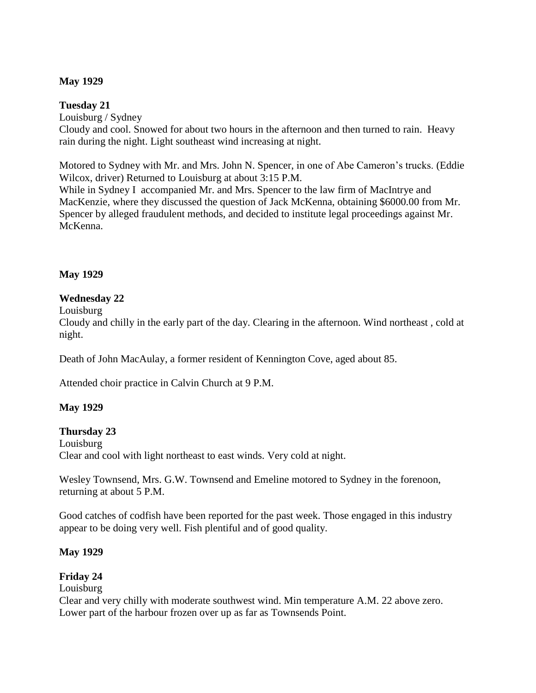### **May 1929**

#### **Tuesday 21**

Louisburg / Sydney Cloudy and cool. Snowed for about two hours in the afternoon and then turned to rain. Heavy rain during the night. Light southeast wind increasing at night.

Motored to Sydney with Mr. and Mrs. John N. Spencer, in one of Abe Cameron"s trucks. (Eddie Wilcox, driver) Returned to Louisburg at about 3:15 P.M.

While in Sydney I accompanied Mr. and Mrs. Spencer to the law firm of MacIntrye and MacKenzie, where they discussed the question of Jack McKenna, obtaining \$6000.00 from Mr. Spencer by alleged fraudulent methods, and decided to institute legal proceedings against Mr. McKenna.

### **May 1929**

### **Wednesday 22**

Louisburg

Cloudy and chilly in the early part of the day. Clearing in the afternoon. Wind northeast , cold at night.

Death of John MacAulay, a former resident of Kennington Cove, aged about 85.

Attended choir practice in Calvin Church at 9 P.M.

### **May 1929**

#### **Thursday 23**

Louisburg

Clear and cool with light northeast to east winds. Very cold at night.

Wesley Townsend, Mrs. G.W. Townsend and Emeline motored to Sydney in the forenoon, returning at about 5 P.M.

Good catches of codfish have been reported for the past week. Those engaged in this industry appear to be doing very well. Fish plentiful and of good quality.

### **May 1929**

### **Friday 24**

### Louisburg

Clear and very chilly with moderate southwest wind. Min temperature A.M. 22 above zero. Lower part of the harbour frozen over up as far as Townsends Point.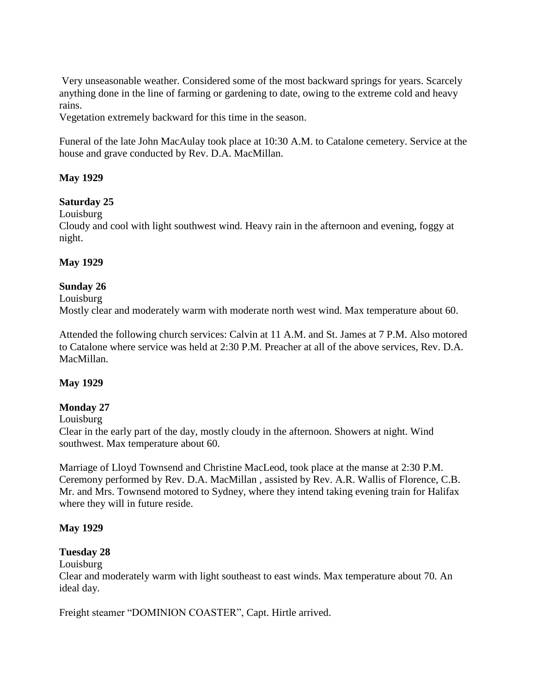Very unseasonable weather. Considered some of the most backward springs for years. Scarcely anything done in the line of farming or gardening to date, owing to the extreme cold and heavy rains.

Vegetation extremely backward for this time in the season.

Funeral of the late John MacAulay took place at 10:30 A.M. to Catalone cemetery. Service at the house and grave conducted by Rev. D.A. MacMillan.

### **May 1929**

**Saturday 25**

Louisburg

Cloudy and cool with light southwest wind. Heavy rain in the afternoon and evening, foggy at night.

# **May 1929**

# **Sunday 26**

Louisburg

Mostly clear and moderately warm with moderate north west wind. Max temperature about 60.

Attended the following church services: Calvin at 11 A.M. and St. James at 7 P.M. Also motored to Catalone where service was held at 2:30 P.M. Preacher at all of the above services, Rev. D.A. MacMillan.

### **May 1929**

### **Monday 27**

Louisburg

Clear in the early part of the day, mostly cloudy in the afternoon. Showers at night. Wind southwest. Max temperature about 60.

Marriage of Lloyd Townsend and Christine MacLeod, took place at the manse at 2:30 P.M. Ceremony performed by Rev. D.A. MacMillan , assisted by Rev. A.R. Wallis of Florence, C.B. Mr. and Mrs. Townsend motored to Sydney, where they intend taking evening train for Halifax where they will in future reside.

### **May 1929**

### **Tuesday 28**

Louisburg

Clear and moderately warm with light southeast to east winds. Max temperature about 70. An ideal day.

Freight steamer "DOMINION COASTER", Capt. Hirtle arrived.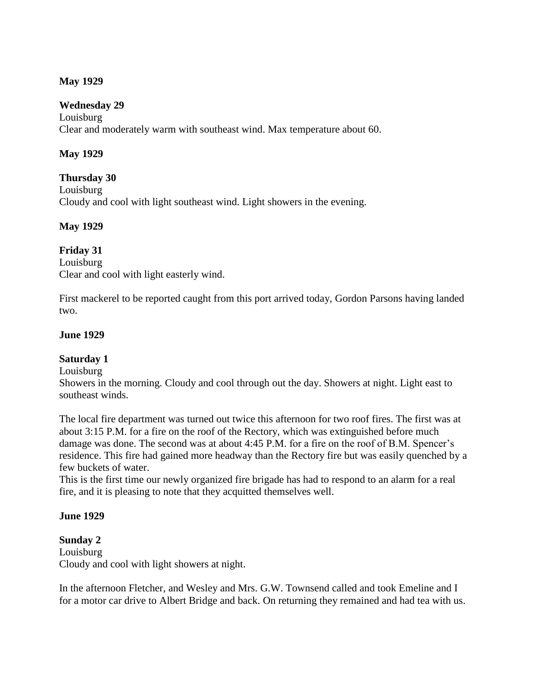### **May 1929**

#### **Wednesday 29**

Louisburg Clear and moderately warm with southeast wind. Max temperature about 60.

### **May 1929**

#### **Thursday 30**

Louisburg Cloudy and cool with light southeast wind. Light showers in the evening.

### **May 1929**

### **Friday 31**

Louisburg Clear and cool with light easterly wind.

First mackerel to be reported caught from this port arrived today, Gordon Parsons having landed two.

### **June 1929**

### **Saturday 1**

Louisburg

Showers in the morning. Cloudy and cool through out the day. Showers at night. Light east to southeast winds.

The local fire department was turned out twice this afternoon for two roof fires. The first was at about 3:15 P.M. for a fire on the roof of the Rectory, which was extinguished before much damage was done. The second was at about 4:45 P.M. for a fire on the roof of B.M. Spencer's residence. This fire had gained more headway than the Rectory fire but was easily quenched by a few buckets of water.

This is the first time our newly organized fire brigade has had to respond to an alarm for a real fire, and it is pleasing to note that they acquitted themselves well.

#### **June 1929**

### **Sunday 2** Louisburg Cloudy and cool with light showers at night.

In the afternoon Fletcher, and Wesley and Mrs. G.W. Townsend called and took Emeline and I for a motor car drive to Albert Bridge and back. On returning they remained and had tea with us.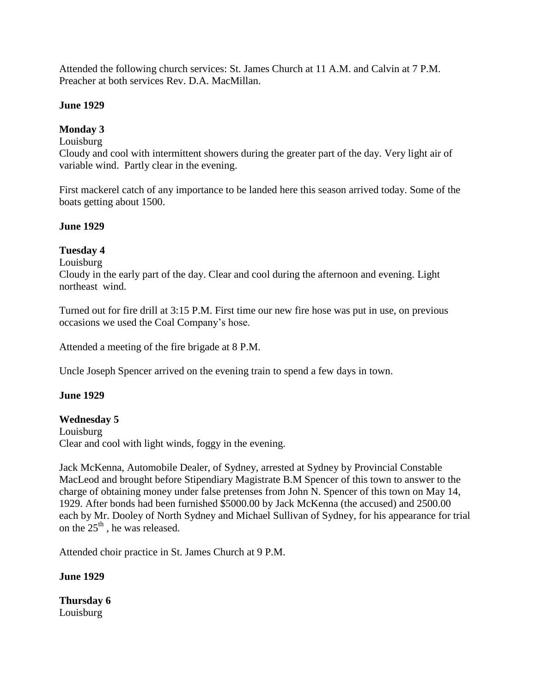Attended the following church services: St. James Church at 11 A.M. and Calvin at 7 P.M. Preacher at both services Rev. D.A. MacMillan.

# **June 1929**

# **Monday 3**

# Louisburg

Cloudy and cool with intermittent showers during the greater part of the day. Very light air of variable wind. Partly clear in the evening.

First mackerel catch of any importance to be landed here this season arrived today. Some of the boats getting about 1500.

# **June 1929**

# **Tuesday 4**

Louisburg

Cloudy in the early part of the day. Clear and cool during the afternoon and evening. Light northeast wind.

Turned out for fire drill at 3:15 P.M. First time our new fire hose was put in use, on previous occasions we used the Coal Company"s hose.

Attended a meeting of the fire brigade at 8 P.M.

Uncle Joseph Spencer arrived on the evening train to spend a few days in town.

# **June 1929**

### **Wednesday 5**

Louisburg Clear and cool with light winds, foggy in the evening.

Jack McKenna, Automobile Dealer, of Sydney, arrested at Sydney by Provincial Constable MacLeod and brought before Stipendiary Magistrate B.M Spencer of this town to answer to the charge of obtaining money under false pretenses from John N. Spencer of this town on May 14, 1929. After bonds had been furnished \$5000.00 by Jack McKenna (the accused) and 2500.00 each by Mr. Dooley of North Sydney and Michael Sullivan of Sydney, for his appearance for trial on the  $25<sup>th</sup>$ , he was released.

Attended choir practice in St. James Church at 9 P.M.

### **June 1929**

**Thursday 6** Louisburg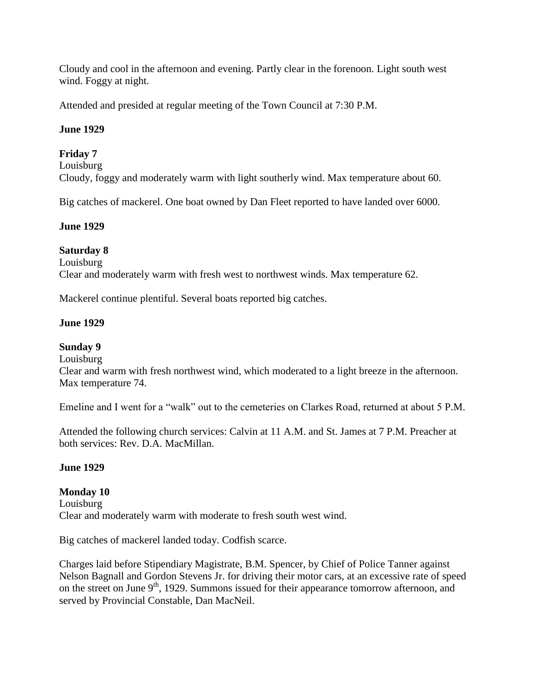Cloudy and cool in the afternoon and evening. Partly clear in the forenoon. Light south west wind. Foggy at night.

Attended and presided at regular meeting of the Town Council at 7:30 P.M.

# **June 1929**

# **Friday 7**

Louisburg

Cloudy, foggy and moderately warm with light southerly wind. Max temperature about 60.

Big catches of mackerel. One boat owned by Dan Fleet reported to have landed over 6000.

# **June 1929**

# **Saturday 8**

Louisburg

Clear and moderately warm with fresh west to northwest winds. Max temperature 62.

Mackerel continue plentiful. Several boats reported big catches.

# **June 1929**

**Sunday 9**

Louisburg

Clear and warm with fresh northwest wind, which moderated to a light breeze in the afternoon. Max temperature 74.

Emeline and I went for a "walk" out to the cemeteries on Clarkes Road, returned at about 5 P.M.

Attended the following church services: Calvin at 11 A.M. and St. James at 7 P.M. Preacher at both services: Rev. D.A. MacMillan.

# **June 1929**

**Monday 10** Louisburg Clear and moderately warm with moderate to fresh south west wind.

Big catches of mackerel landed today. Codfish scarce.

Charges laid before Stipendiary Magistrate, B.M. Spencer, by Chief of Police Tanner against Nelson Bagnall and Gordon Stevens Jr. for driving their motor cars, at an excessive rate of speed on the street on June 9<sup>th</sup>, 1929. Summons issued for their appearance tomorrow afternoon, and served by Provincial Constable, Dan MacNeil.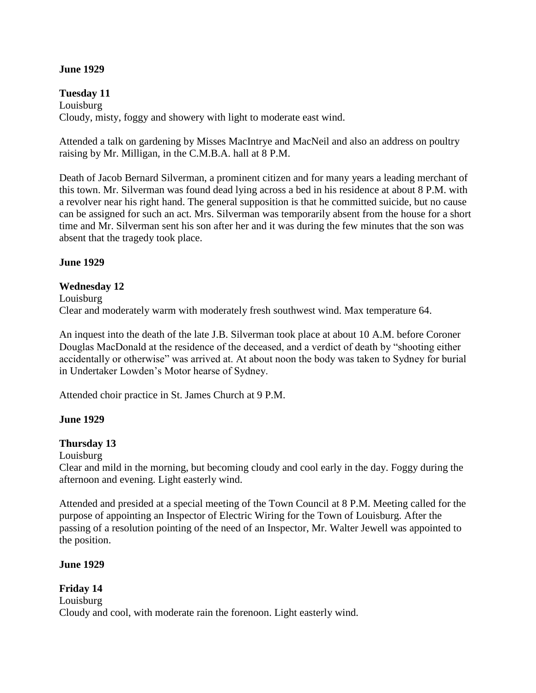#### **June 1929**

**Tuesday 11** Louisburg Cloudy, misty, foggy and showery with light to moderate east wind.

Attended a talk on gardening by Misses MacIntrye and MacNeil and also an address on poultry raising by Mr. Milligan, in the C.M.B.A. hall at 8 P.M.

Death of Jacob Bernard Silverman, a prominent citizen and for many years a leading merchant of this town. Mr. Silverman was found dead lying across a bed in his residence at about 8 P.M. with a revolver near his right hand. The general supposition is that he committed suicide, but no cause can be assigned for such an act. Mrs. Silverman was temporarily absent from the house for a short time and Mr. Silverman sent his son after her and it was during the few minutes that the son was absent that the tragedy took place.

### **June 1929**

#### **Wednesday 12**

Louisburg Clear and moderately warm with moderately fresh southwest wind. Max temperature 64.

An inquest into the death of the late J.B. Silverman took place at about 10 A.M. before Coroner Douglas MacDonald at the residence of the deceased, and a verdict of death by "shooting either accidentally or otherwise" was arrived at. At about noon the body was taken to Sydney for burial in Undertaker Lowden"s Motor hearse of Sydney.

Attended choir practice in St. James Church at 9 P.M.

#### **June 1929**

#### **Thursday 13**

Louisburg

Clear and mild in the morning, but becoming cloudy and cool early in the day. Foggy during the afternoon and evening. Light easterly wind.

Attended and presided at a special meeting of the Town Council at 8 P.M. Meeting called for the purpose of appointing an Inspector of Electric Wiring for the Town of Louisburg. After the passing of a resolution pointing of the need of an Inspector, Mr. Walter Jewell was appointed to the position.

#### **June 1929**

**Friday 14** Louisburg Cloudy and cool, with moderate rain the forenoon. Light easterly wind.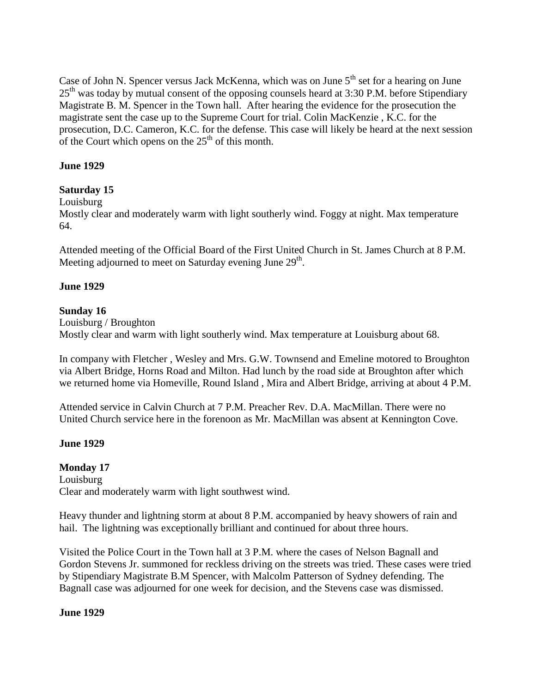Case of John N. Spencer versus Jack McKenna, which was on June  $5<sup>th</sup>$  set for a hearing on June  $25<sup>th</sup>$  was today by mutual consent of the opposing counsels heard at 3:30 P.M. before Stipendiary Magistrate B. M. Spencer in the Town hall. After hearing the evidence for the prosecution the magistrate sent the case up to the Supreme Court for trial. Colin MacKenzie , K.C. for the prosecution, D.C. Cameron, K.C. for the defense. This case will likely be heard at the next session of the Court which opens on the  $25<sup>th</sup>$  of this month.

### **June 1929**

# **Saturday 15**

### Louisburg

Mostly clear and moderately warm with light southerly wind. Foggy at night. Max temperature 64.

Attended meeting of the Official Board of the First United Church in St. James Church at 8 P.M. Meeting adjourned to meet on Saturday evening June 29<sup>th</sup>.

### **June 1929**

### **Sunday 16**

Louisburg / Broughton Mostly clear and warm with light southerly wind. Max temperature at Louisburg about 68.

In company with Fletcher , Wesley and Mrs. G.W. Townsend and Emeline motored to Broughton via Albert Bridge, Horns Road and Milton. Had lunch by the road side at Broughton after which we returned home via Homeville, Round Island , Mira and Albert Bridge, arriving at about 4 P.M.

Attended service in Calvin Church at 7 P.M. Preacher Rev. D.A. MacMillan. There were no United Church service here in the forenoon as Mr. MacMillan was absent at Kennington Cove.

### **June 1929**

### **Monday 17** Louisburg Clear and moderately warm with light southwest wind.

Heavy thunder and lightning storm at about 8 P.M. accompanied by heavy showers of rain and hail. The lightning was exceptionally brilliant and continued for about three hours.

Visited the Police Court in the Town hall at 3 P.M. where the cases of Nelson Bagnall and Gordon Stevens Jr. summoned for reckless driving on the streets was tried. These cases were tried by Stipendiary Magistrate B.M Spencer, with Malcolm Patterson of Sydney defending. The Bagnall case was adjourned for one week for decision, and the Stevens case was dismissed.

**June 1929**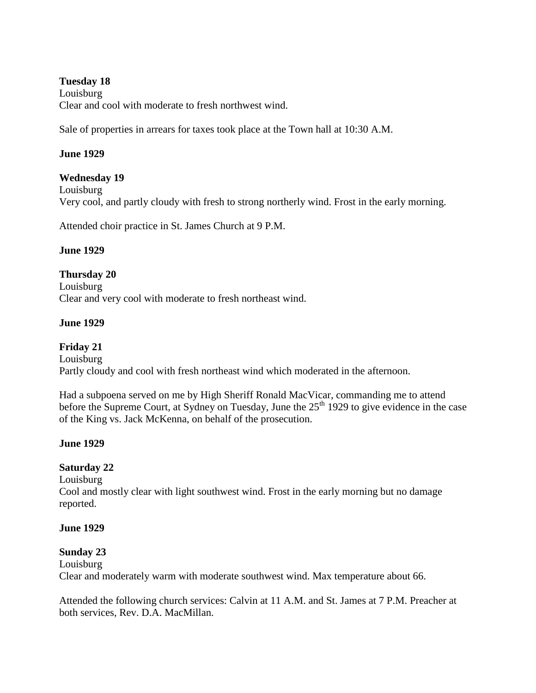### **Tuesday 18**

Louisburg Clear and cool with moderate to fresh northwest wind.

Sale of properties in arrears for taxes took place at the Town hall at 10:30 A.M.

### **June 1929**

### **Wednesday 19**

Louisburg

Very cool, and partly cloudy with fresh to strong northerly wind. Frost in the early morning.

Attended choir practice in St. James Church at 9 P.M.

### **June 1929**

### **Thursday 20**

Louisburg Clear and very cool with moderate to fresh northeast wind.

### **June 1929**

# **Friday 21**

Louisburg

Partly cloudy and cool with fresh northeast wind which moderated in the afternoon.

Had a subpoena served on me by High Sheriff Ronald MacVicar, commanding me to attend before the Supreme Court, at Sydney on Tuesday, June the  $25<sup>th</sup> 1929$  to give evidence in the case of the King vs. Jack McKenna, on behalf of the prosecution.

### **June 1929**

### **Saturday 22**

Louisburg

Cool and mostly clear with light southwest wind. Frost in the early morning but no damage reported.

#### **June 1929**

#### **Sunday 23**

Louisburg Clear and moderately warm with moderate southwest wind. Max temperature about 66.

Attended the following church services: Calvin at 11 A.M. and St. James at 7 P.M. Preacher at both services, Rev. D.A. MacMillan.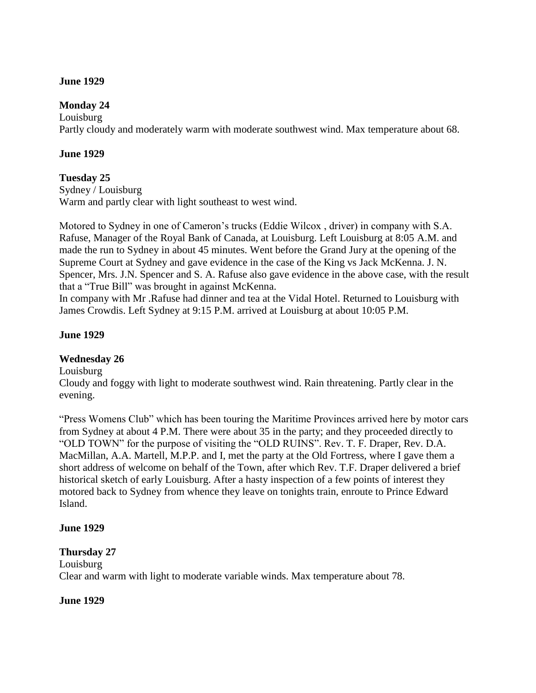### **June 1929**

### **Monday 24**

Louisburg Partly cloudy and moderately warm with moderate southwest wind. Max temperature about 68.

### **June 1929**

### **Tuesday 25**

Sydney / Louisburg Warm and partly clear with light southeast to west wind.

Motored to Sydney in one of Cameron"s trucks (Eddie Wilcox , driver) in company with S.A. Rafuse, Manager of the Royal Bank of Canada, at Louisburg. Left Louisburg at 8:05 A.M. and made the run to Sydney in about 45 minutes. Went before the Grand Jury at the opening of the Supreme Court at Sydney and gave evidence in the case of the King vs Jack McKenna. J. N. Spencer, Mrs. J.N. Spencer and S. A. Rafuse also gave evidence in the above case, with the result that a "True Bill" was brought in against McKenna.

In company with Mr .Rafuse had dinner and tea at the Vidal Hotel. Returned to Louisburg with James Crowdis. Left Sydney at 9:15 P.M. arrived at Louisburg at about 10:05 P.M.

### **June 1929**

### **Wednesday 26**

Louisburg

Cloudy and foggy with light to moderate southwest wind. Rain threatening. Partly clear in the evening.

"Press Womens Club" which has been touring the Maritime Provinces arrived here by motor cars from Sydney at about 4 P.M. There were about 35 in the party; and they proceeded directly to "OLD TOWN" for the purpose of visiting the "OLD RUINS". Rev. T. F. Draper, Rev. D.A. MacMillan, A.A. Martell, M.P.P. and I, met the party at the Old Fortress, where I gave them a short address of welcome on behalf of the Town, after which Rev. T.F. Draper delivered a brief historical sketch of early Louisburg. After a hasty inspection of a few points of interest they motored back to Sydney from whence they leave on tonights train, enroute to Prince Edward Island.

#### **June 1929**

#### **Thursday 27**

Louisburg Clear and warm with light to moderate variable winds. Max temperature about 78.

#### **June 1929**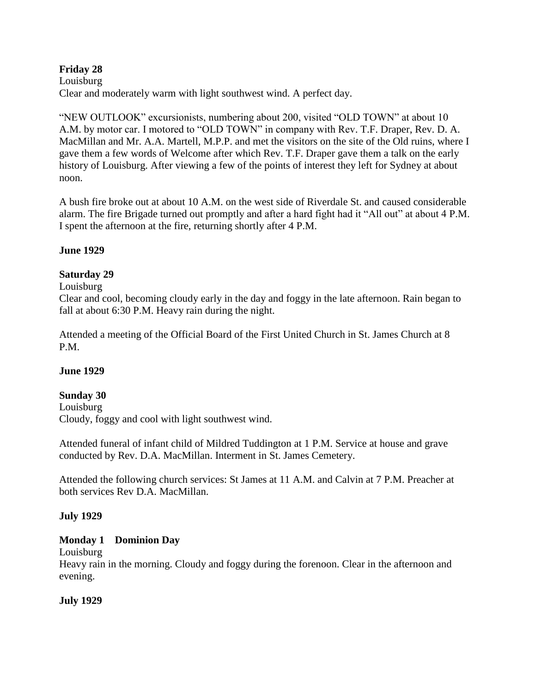# **Friday 28**

Louisburg Clear and moderately warm with light southwest wind. A perfect day.

"NEW OUTLOOK" excursionists, numbering about 200, visited "OLD TOWN" at about 10 A.M. by motor car. I motored to "OLD TOWN" in company with Rev. T.F. Draper, Rev. D. A. MacMillan and Mr. A.A. Martell, M.P.P. and met the visitors on the site of the Old ruins, where I gave them a few words of Welcome after which Rev. T.F. Draper gave them a talk on the early history of Louisburg. After viewing a few of the points of interest they left for Sydney at about noon.

A bush fire broke out at about 10 A.M. on the west side of Riverdale St. and caused considerable alarm. The fire Brigade turned out promptly and after a hard fight had it "All out" at about 4 P.M. I spent the afternoon at the fire, returning shortly after 4 P.M.

### **June 1929**

# **Saturday 29**

### Louisburg

Clear and cool, becoming cloudy early in the day and foggy in the late afternoon. Rain began to fall at about 6:30 P.M. Heavy rain during the night.

Attended a meeting of the Official Board of the First United Church in St. James Church at 8 P.M.

### **June 1929**

### **Sunday 30**

Louisburg Cloudy, foggy and cool with light southwest wind.

Attended funeral of infant child of Mildred Tuddington at 1 P.M. Service at house and grave conducted by Rev. D.A. MacMillan. Interment in St. James Cemetery.

Attended the following church services: St James at 11 A.M. and Calvin at 7 P.M. Preacher at both services Rev D.A. MacMillan.

### **July 1929**

# **Monday 1 Dominion Day**

Louisburg

Heavy rain in the morning. Cloudy and foggy during the forenoon. Clear in the afternoon and evening.

# **July 1929**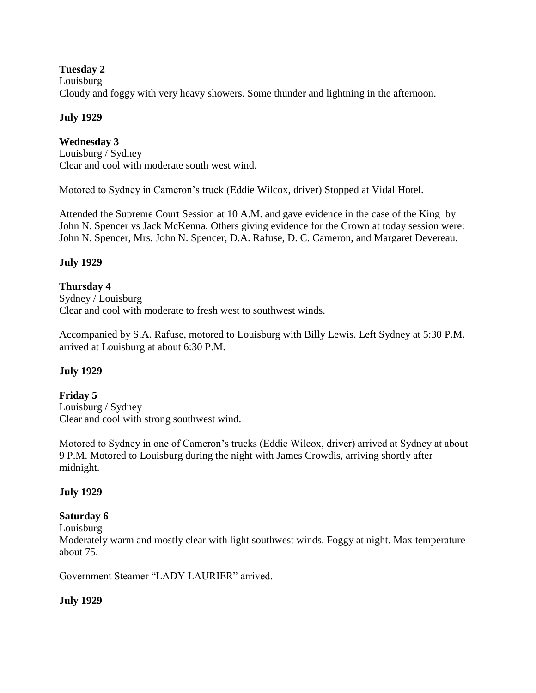### **Tuesday 2**

#### Louisburg

Cloudy and foggy with very heavy showers. Some thunder and lightning in the afternoon.

### **July 1929**

### **Wednesday 3**

Louisburg / Sydney Clear and cool with moderate south west wind.

Motored to Sydney in Cameron"s truck (Eddie Wilcox, driver) Stopped at Vidal Hotel.

Attended the Supreme Court Session at 10 A.M. and gave evidence in the case of the King by John N. Spencer vs Jack McKenna. Others giving evidence for the Crown at today session were: John N. Spencer, Mrs. John N. Spencer, D.A. Rafuse, D. C. Cameron, and Margaret Devereau.

### **July 1929**

### **Thursday 4**

Sydney / Louisburg Clear and cool with moderate to fresh west to southwest winds.

Accompanied by S.A. Rafuse, motored to Louisburg with Billy Lewis. Left Sydney at 5:30 P.M. arrived at Louisburg at about 6:30 P.M.

### **July 1929**

**Friday 5** Louisburg / Sydney Clear and cool with strong southwest wind.

Motored to Sydney in one of Cameron's trucks (Eddie Wilcox, driver) arrived at Sydney at about 9 P.M. Motored to Louisburg during the night with James Crowdis, arriving shortly after midnight.

#### **July 1929**

#### **Saturday 6**

Louisburg

Moderately warm and mostly clear with light southwest winds. Foggy at night. Max temperature about 75.

Government Steamer "LADY LAURIER" arrived.

#### **July 1929**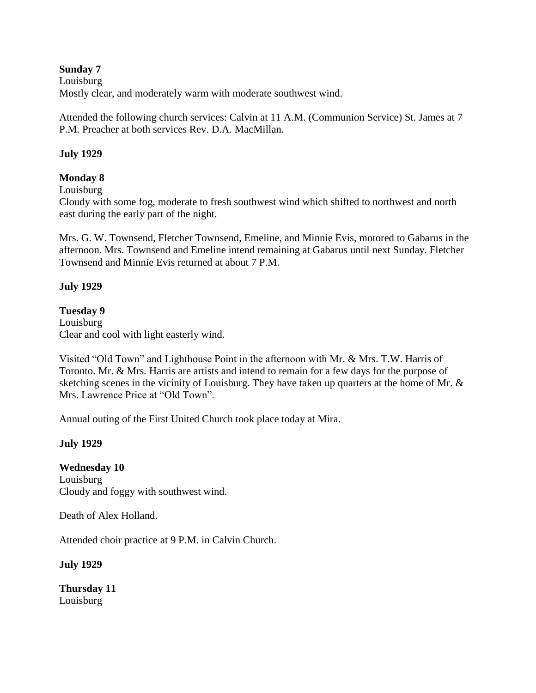**Sunday 7** Louisburg Mostly clear, and moderately warm with moderate southwest wind.

Attended the following church services: Calvin at 11 A.M. (Communion Service) St. James at 7 P.M. Preacher at both services Rev. D.A. MacMillan.

# **July 1929**

# **Monday 8**

Louisburg

Cloudy with some fog, moderate to fresh southwest wind which shifted to northwest and north east during the early part of the night.

Mrs. G. W. Townsend, Fletcher Townsend, Emeline, and Minnie Evis, motored to Gabarus in the afternoon. Mrs. Townsend and Emeline intend remaining at Gabarus until next Sunday. Fletcher Townsend and Minnie Evis returned at about 7 P.M.

### **July 1929**

### **Tuesday 9**

Louisburg Clear and cool with light easterly wind.

Visited "Old Town" and Lighthouse Point in the afternoon with Mr. & Mrs. T.W. Harris of Toronto. Mr. & Mrs. Harris are artists and intend to remain for a few days for the purpose of sketching scenes in the vicinity of Louisburg. They have taken up quarters at the home of Mr. & Mrs. Lawrence Price at "Old Town".

Annual outing of the First United Church took place today at Mira.

### **July 1929**

**Wednesday 10** Louisburg Cloudy and foggy with southwest wind.

Death of Alex Holland.

Attended choir practice at 9 P.M. in Calvin Church.

**July 1929**

**Thursday 11** Louisburg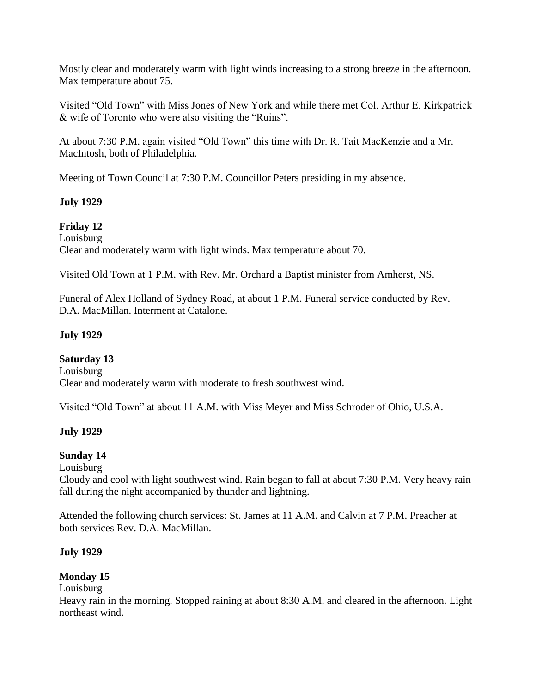Mostly clear and moderately warm with light winds increasing to a strong breeze in the afternoon. Max temperature about 75.

Visited "Old Town" with Miss Jones of New York and while there met Col. Arthur E. Kirkpatrick & wife of Toronto who were also visiting the "Ruins".

At about 7:30 P.M. again visited "Old Town" this time with Dr. R. Tait MacKenzie and a Mr. MacIntosh, both of Philadelphia.

Meeting of Town Council at 7:30 P.M. Councillor Peters presiding in my absence.

# **July 1929**

**Friday 12** Louisburg

Clear and moderately warm with light winds. Max temperature about 70.

Visited Old Town at 1 P.M. with Rev. Mr. Orchard a Baptist minister from Amherst, NS.

Funeral of Alex Holland of Sydney Road, at about 1 P.M. Funeral service conducted by Rev. D.A. MacMillan. Interment at Catalone.

# **July 1929**

**Saturday 13** Louisburg Clear and moderately warm with moderate to fresh southwest wind.

Visited "Old Town" at about 11 A.M. with Miss Meyer and Miss Schroder of Ohio, U.S.A.

# **July 1929**

### **Sunday 14**

Louisburg

Cloudy and cool with light southwest wind. Rain began to fall at about 7:30 P.M. Very heavy rain fall during the night accompanied by thunder and lightning.

Attended the following church services: St. James at 11 A.M. and Calvin at 7 P.M. Preacher at both services Rev. D.A. MacMillan.

### **July 1929**

# **Monday 15**

### Louisburg

Heavy rain in the morning. Stopped raining at about 8:30 A.M. and cleared in the afternoon. Light northeast wind.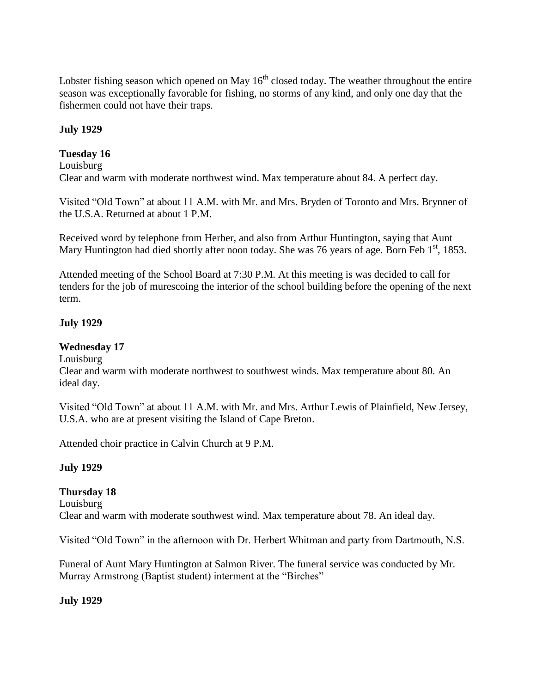Lobster fishing season which opened on May  $16<sup>th</sup>$  closed today. The weather throughout the entire season was exceptionally favorable for fishing, no storms of any kind, and only one day that the fishermen could not have their traps.

# **July 1929**

### **Tuesday 16**

Louisburg

Clear and warm with moderate northwest wind. Max temperature about 84. A perfect day.

Visited "Old Town" at about 11 A.M. with Mr. and Mrs. Bryden of Toronto and Mrs. Brynner of the U.S.A. Returned at about 1 P.M.

Received word by telephone from Herber, and also from Arthur Huntington, saying that Aunt Mary Huntington had died shortly after noon today. She was 76 years of age. Born Feb  $1<sup>st</sup>$ , 1853.

Attended meeting of the School Board at 7:30 P.M. At this meeting is was decided to call for tenders for the job of murescoing the interior of the school building before the opening of the next term.

# **July 1929**

# **Wednesday 17**

Louisburg

Clear and warm with moderate northwest to southwest winds. Max temperature about 80. An ideal day.

Visited "Old Town" at about 11 A.M. with Mr. and Mrs. Arthur Lewis of Plainfield, New Jersey, U.S.A. who are at present visiting the Island of Cape Breton.

Attended choir practice in Calvin Church at 9 P.M.

### **July 1929**

# **Thursday 18**

Louisburg Clear and warm with moderate southwest wind. Max temperature about 78. An ideal day.

Visited "Old Town" in the afternoon with Dr. Herbert Whitman and party from Dartmouth, N.S.

Funeral of Aunt Mary Huntington at Salmon River. The funeral service was conducted by Mr. Murray Armstrong (Baptist student) interment at the "Birches"

### **July 1929**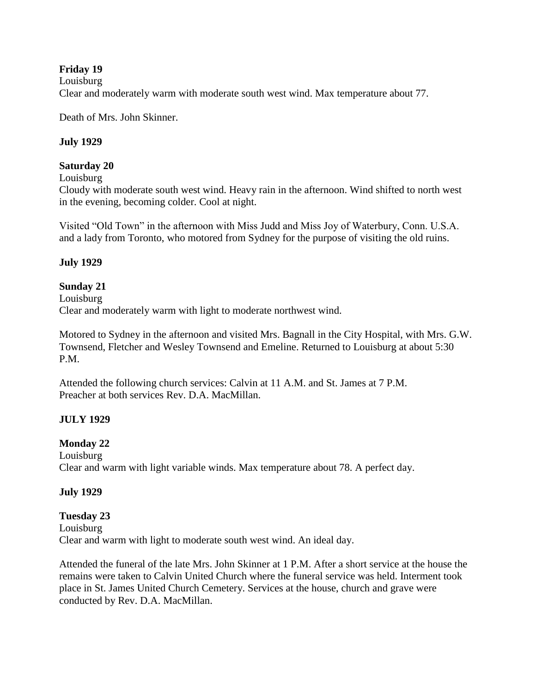# **Friday 19**

#### Louisburg

Clear and moderately warm with moderate south west wind. Max temperature about 77.

Death of Mrs. John Skinner.

### **July 1929**

### **Saturday 20**

Louisburg

Cloudy with moderate south west wind. Heavy rain in the afternoon. Wind shifted to north west in the evening, becoming colder. Cool at night.

Visited "Old Town" in the afternoon with Miss Judd and Miss Joy of Waterbury, Conn. U.S.A. and a lady from Toronto, who motored from Sydney for the purpose of visiting the old ruins.

### **July 1929**

### **Sunday 21**

Louisburg Clear and moderately warm with light to moderate northwest wind.

Motored to Sydney in the afternoon and visited Mrs. Bagnall in the City Hospital, with Mrs. G.W. Townsend, Fletcher and Wesley Townsend and Emeline. Returned to Louisburg at about 5:30 P.M.

Attended the following church services: Calvin at 11 A.M. and St. James at 7 P.M. Preacher at both services Rev. D.A. MacMillan.

### **JULY 1929**

### **Monday 22**

Louisburg Clear and warm with light variable winds. Max temperature about 78. A perfect day.

### **July 1929**

### **Tuesday 23** Louisburg Clear and warm with light to moderate south west wind. An ideal day.

Attended the funeral of the late Mrs. John Skinner at 1 P.M. After a short service at the house the remains were taken to Calvin United Church where the funeral service was held. Interment took place in St. James United Church Cemetery. Services at the house, church and grave were conducted by Rev. D.A. MacMillan.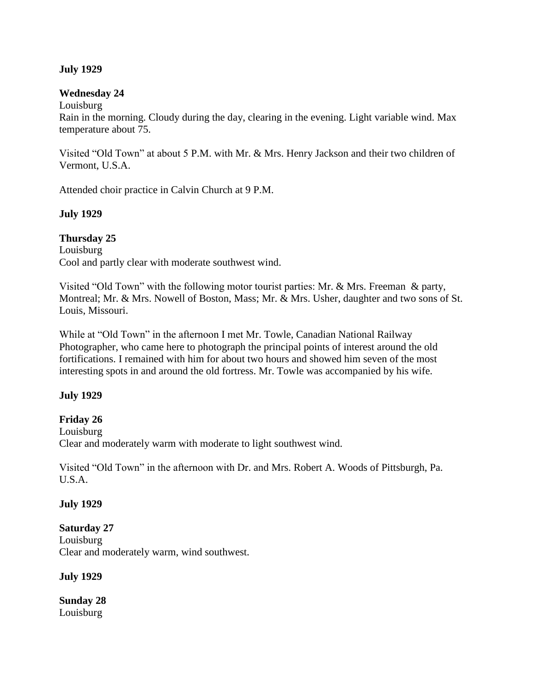### **July 1929**

#### **Wednesday 24**

Louisburg

Rain in the morning. Cloudy during the day, clearing in the evening. Light variable wind. Max temperature about 75.

Visited "Old Town" at about 5 P.M. with Mr. & Mrs. Henry Jackson and their two children of Vermont, U.S.A.

Attended choir practice in Calvin Church at 9 P.M.

### **July 1929**

**Thursday 25** Louisburg Cool and partly clear with moderate southwest wind.

Visited "Old Town" with the following motor tourist parties: Mr. & Mrs. Freeman & party, Montreal; Mr. & Mrs. Nowell of Boston, Mass; Mr. & Mrs. Usher, daughter and two sons of St. Louis, Missouri.

While at "Old Town" in the afternoon I met Mr. Towle, Canadian National Railway Photographer, who came here to photograph the principal points of interest around the old fortifications. I remained with him for about two hours and showed him seven of the most interesting spots in and around the old fortress. Mr. Towle was accompanied by his wife.

#### **July 1929**

### **Friday 26**

Louisburg Clear and moderately warm with moderate to light southwest wind.

Visited "Old Town" in the afternoon with Dr. and Mrs. Robert A. Woods of Pittsburgh, Pa. U.S.A.

### **July 1929**

#### **Saturday 27**

Louisburg Clear and moderately warm, wind southwest.

**July 1929**

**Sunday 28** Louisburg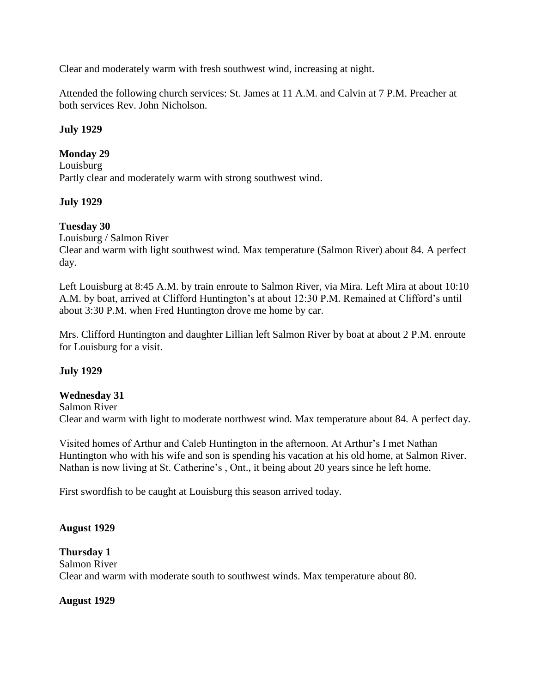Clear and moderately warm with fresh southwest wind, increasing at night.

Attended the following church services: St. James at 11 A.M. and Calvin at 7 P.M. Preacher at both services Rev. John Nicholson.

### **July 1929**

### **Monday 29**

Louisburg Partly clear and moderately warm with strong southwest wind.

### **July 1929**

### **Tuesday 30**

Louisburg / Salmon River

Clear and warm with light southwest wind. Max temperature (Salmon River) about 84. A perfect day.

Left Louisburg at 8:45 A.M. by train enroute to Salmon River, via Mira. Left Mira at about 10:10 A.M. by boat, arrived at Clifford Huntington"s at about 12:30 P.M. Remained at Clifford"s until about 3:30 P.M. when Fred Huntington drove me home by car.

Mrs. Clifford Huntington and daughter Lillian left Salmon River by boat at about 2 P.M. enroute for Louisburg for a visit.

### **July 1929**

#### **Wednesday 31**

Salmon River Clear and warm with light to moderate northwest wind. Max temperature about 84. A perfect day.

Visited homes of Arthur and Caleb Huntington in the afternoon. At Arthur"s I met Nathan Huntington who with his wife and son is spending his vacation at his old home, at Salmon River. Nathan is now living at St. Catherine's, Ont., it being about 20 years since he left home.

First swordfish to be caught at Louisburg this season arrived today.

#### **August 1929**

#### **Thursday 1**

Salmon River Clear and warm with moderate south to southwest winds. Max temperature about 80.

#### **August 1929**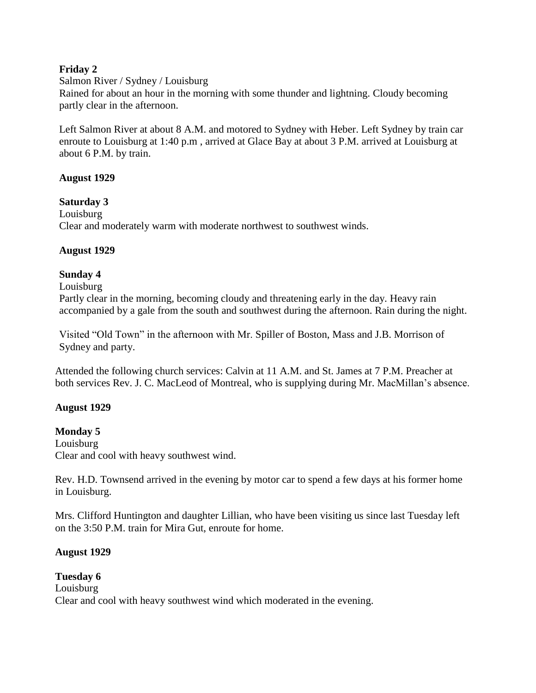# **Friday 2**

### Salmon River / Sydney / Louisburg

Rained for about an hour in the morning with some thunder and lightning. Cloudy becoming partly clear in the afternoon.

Left Salmon River at about 8 A.M. and motored to Sydney with Heber. Left Sydney by train car enroute to Louisburg at 1:40 p.m , arrived at Glace Bay at about 3 P.M. arrived at Louisburg at about 6 P.M. by train.

### **August 1929**

**Saturday 3** Louisburg Clear and moderately warm with moderate northwest to southwest winds.

# **August 1929**

# **Sunday 4**

### Louisburg

Partly clear in the morning, becoming cloudy and threatening early in the day. Heavy rain accompanied by a gale from the south and southwest during the afternoon. Rain during the night.

Visited "Old Town" in the afternoon with Mr. Spiller of Boston, Mass and J.B. Morrison of Sydney and party.

Attended the following church services: Calvin at 11 A.M. and St. James at 7 P.M. Preacher at both services Rev. J. C. MacLeod of Montreal, who is supplying during Mr. MacMillan"s absence.

### **August 1929**

# **Monday 5**

Louisburg Clear and cool with heavy southwest wind.

Rev. H.D. Townsend arrived in the evening by motor car to spend a few days at his former home in Louisburg.

Mrs. Clifford Huntington and daughter Lillian, who have been visiting us since last Tuesday left on the 3:50 P.M. train for Mira Gut, enroute for home.

### **August 1929**

#### **Tuesday 6** Louisburg Clear and cool with heavy southwest wind which moderated in the evening.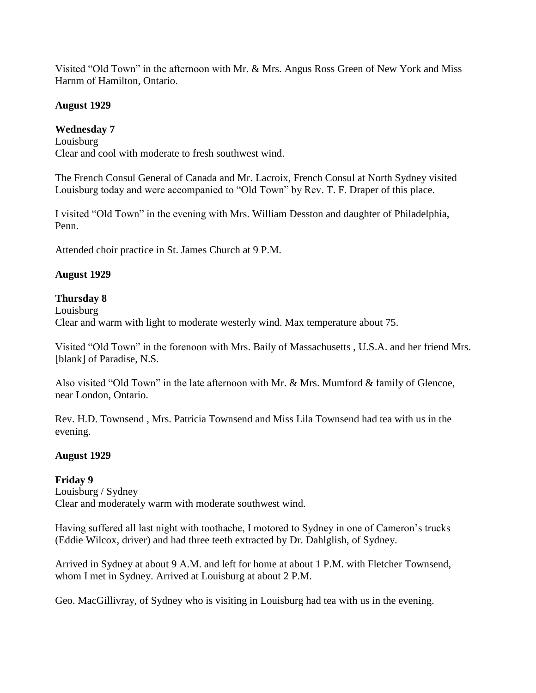Visited "Old Town" in the afternoon with Mr. & Mrs. Angus Ross Green of New York and Miss Harnm of Hamilton, Ontario.

# **August 1929**

# **Wednesday 7**

Louisburg Clear and cool with moderate to fresh southwest wind.

The French Consul General of Canada and Mr. Lacroix, French Consul at North Sydney visited Louisburg today and were accompanied to "Old Town" by Rev. T. F. Draper of this place.

I visited "Old Town" in the evening with Mrs. William Desston and daughter of Philadelphia, Penn.

Attended choir practice in St. James Church at 9 P.M.

# **August 1929**

# **Thursday 8**

Louisburg Clear and warm with light to moderate westerly wind. Max temperature about 75.

Visited "Old Town" in the forenoon with Mrs. Baily of Massachusetts , U.S.A. and her friend Mrs. [blank] of Paradise, N.S.

Also visited "Old Town" in the late afternoon with Mr. & Mrs. Mumford & family of Glencoe, near London, Ontario.

Rev. H.D. Townsend , Mrs. Patricia Townsend and Miss Lila Townsend had tea with us in the evening.

# **August 1929**

# **Friday 9** Louisburg / Sydney Clear and moderately warm with moderate southwest wind.

Having suffered all last night with toothache, I motored to Sydney in one of Cameron"s trucks (Eddie Wilcox, driver) and had three teeth extracted by Dr. Dahlglish, of Sydney.

Arrived in Sydney at about 9 A.M. and left for home at about 1 P.M. with Fletcher Townsend, whom I met in Sydney. Arrived at Louisburg at about 2 P.M.

Geo. MacGillivray, of Sydney who is visiting in Louisburg had tea with us in the evening.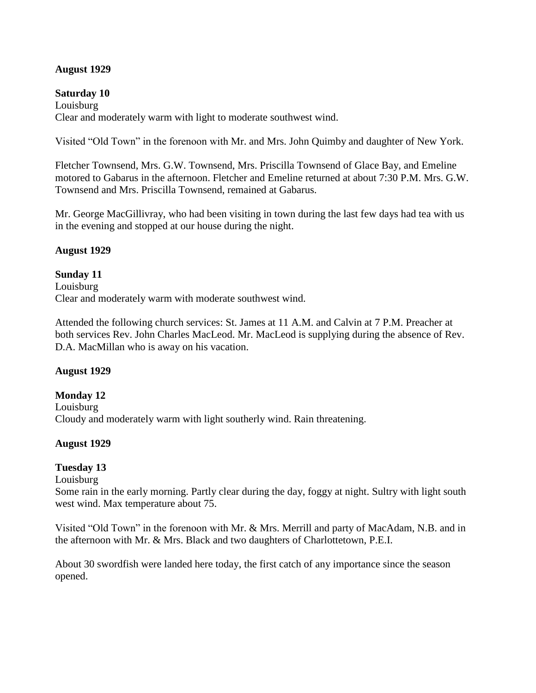### **August 1929**

#### **Saturday 10**

Louisburg Clear and moderately warm with light to moderate southwest wind.

Visited "Old Town" in the forenoon with Mr. and Mrs. John Quimby and daughter of New York.

Fletcher Townsend, Mrs. G.W. Townsend, Mrs. Priscilla Townsend of Glace Bay, and Emeline motored to Gabarus in the afternoon. Fletcher and Emeline returned at about 7:30 P.M. Mrs. G.W. Townsend and Mrs. Priscilla Townsend, remained at Gabarus.

Mr. George MacGillivray, who had been visiting in town during the last few days had tea with us in the evening and stopped at our house during the night.

#### **August 1929**

### **Sunday 11**

Louisburg Clear and moderately warm with moderate southwest wind.

Attended the following church services: St. James at 11 A.M. and Calvin at 7 P.M. Preacher at both services Rev. John Charles MacLeod. Mr. MacLeod is supplying during the absence of Rev. D.A. MacMillan who is away on his vacation.

#### **August 1929**

#### **Monday 12** Louisburg Cloudy and moderately warm with light southerly wind. Rain threatening.

#### **August 1929**

#### **Tuesday 13**

Louisburg

Some rain in the early morning. Partly clear during the day, foggy at night. Sultry with light south west wind. Max temperature about 75.

Visited "Old Town" in the forenoon with Mr. & Mrs. Merrill and party of MacAdam, N.B. and in the afternoon with Mr. & Mrs. Black and two daughters of Charlottetown, P.E.I.

About 30 swordfish were landed here today, the first catch of any importance since the season opened.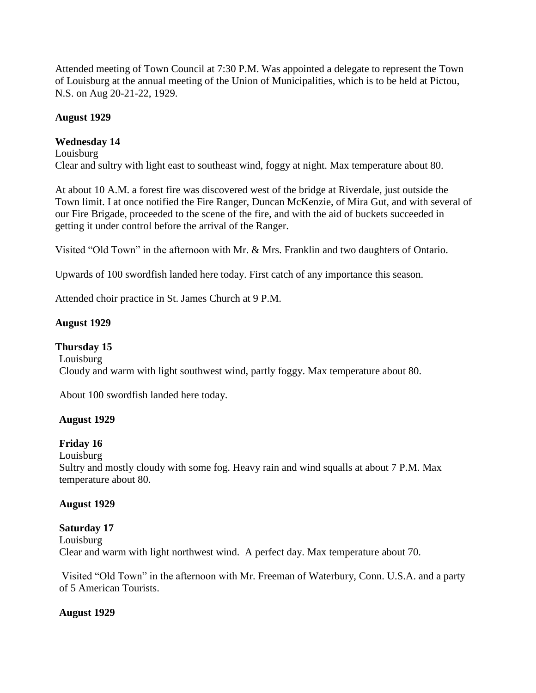Attended meeting of Town Council at 7:30 P.M. Was appointed a delegate to represent the Town of Louisburg at the annual meeting of the Union of Municipalities, which is to be held at Pictou, N.S. on Aug 20-21-22, 1929.

# **August 1929**

# **Wednesday 14**

Louisburg Clear and sultry with light east to southeast wind, foggy at night. Max temperature about 80.

At about 10 A.M. a forest fire was discovered west of the bridge at Riverdale, just outside the Town limit. I at once notified the Fire Ranger, Duncan McKenzie, of Mira Gut, and with several of our Fire Brigade, proceeded to the scene of the fire, and with the aid of buckets succeeded in getting it under control before the arrival of the Ranger.

Visited "Old Town" in the afternoon with Mr. & Mrs. Franklin and two daughters of Ontario.

Upwards of 100 swordfish landed here today. First catch of any importance this season.

Attended choir practice in St. James Church at 9 P.M.

# **August 1929**

**Thursday 15** Louisburg Cloudy and warm with light southwest wind, partly foggy. Max temperature about 80.

About 100 swordfish landed here today.

### **August 1929**

# **Friday 16**

Louisburg

Sultry and mostly cloudy with some fog. Heavy rain and wind squalls at about 7 P.M. Max temperature about 80.

### **August 1929**

### **Saturday 17**

Louisburg Clear and warm with light northwest wind. A perfect day. Max temperature about 70.

Visited "Old Town" in the afternoon with Mr. Freeman of Waterbury, Conn. U.S.A. and a party of 5 American Tourists.

### **August 1929**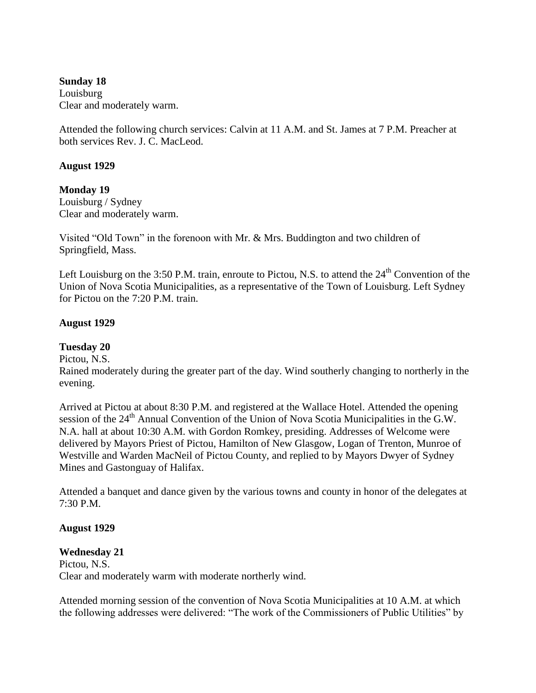**Sunday 18** Louisburg Clear and moderately warm.

Attended the following church services: Calvin at 11 A.M. and St. James at 7 P.M. Preacher at both services Rev. J. C. MacLeod.

### **August 1929**

**Monday 19** Louisburg / Sydney Clear and moderately warm.

Visited "Old Town" in the forenoon with Mr. & Mrs. Buddington and two children of Springfield, Mass.

Left Louisburg on the 3:50 P.M. train, enroute to Pictou, N.S. to attend the 24<sup>th</sup> Convention of the Union of Nova Scotia Municipalities, as a representative of the Town of Louisburg. Left Sydney for Pictou on the 7:20 P.M. train.

#### **August 1929**

**Tuesday 20**

Pictou, N.S.

Rained moderately during the greater part of the day. Wind southerly changing to northerly in the evening.

Arrived at Pictou at about 8:30 P.M. and registered at the Wallace Hotel. Attended the opening session of the  $24<sup>th</sup>$  Annual Convention of the Union of Nova Scotia Municipalities in the G.W. N.A. hall at about 10:30 A.M. with Gordon Romkey, presiding. Addresses of Welcome were delivered by Mayors Priest of Pictou, Hamilton of New Glasgow, Logan of Trenton, Munroe of Westville and Warden MacNeil of Pictou County, and replied to by Mayors Dwyer of Sydney Mines and Gastonguay of Halifax.

Attended a banquet and dance given by the various towns and county in honor of the delegates at 7:30 P.M.

#### **August 1929**

#### **Wednesday 21**

Pictou, N.S. Clear and moderately warm with moderate northerly wind.

Attended morning session of the convention of Nova Scotia Municipalities at 10 A.M. at which the following addresses were delivered: "The work of the Commissioners of Public Utilities" by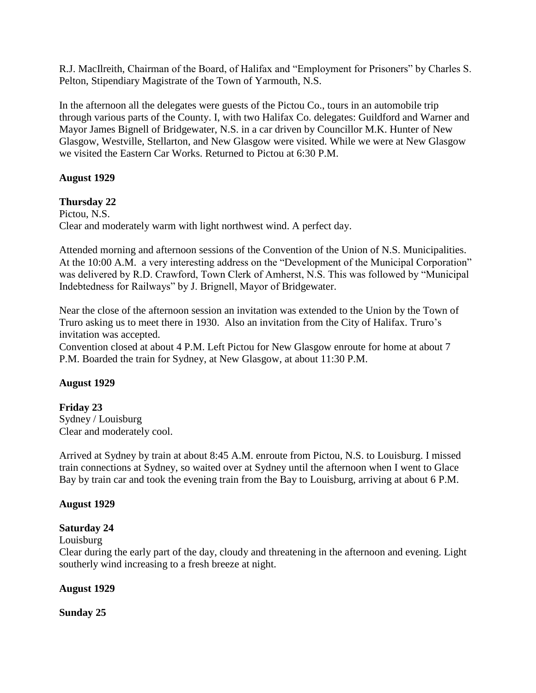R.J. MacIlreith, Chairman of the Board, of Halifax and "Employment for Prisoners" by Charles S. Pelton, Stipendiary Magistrate of the Town of Yarmouth, N.S.

In the afternoon all the delegates were guests of the Pictou Co., tours in an automobile trip through various parts of the County. I, with two Halifax Co. delegates: Guildford and Warner and Mayor James Bignell of Bridgewater, N.S. in a car driven by Councillor M.K. Hunter of New Glasgow, Westville, Stellarton, and New Glasgow were visited. While we were at New Glasgow we visited the Eastern Car Works. Returned to Pictou at 6:30 P.M.

### **August 1929**

**Thursday 22** Pictou, N.S. Clear and moderately warm with light northwest wind. A perfect day.

Attended morning and afternoon sessions of the Convention of the Union of N.S. Municipalities. At the 10:00 A.M. a very interesting address on the "Development of the Municipal Corporation" was delivered by R.D. Crawford, Town Clerk of Amherst, N.S. This was followed by "Municipal Indebtedness for Railways" by J. Brignell, Mayor of Bridgewater.

Near the close of the afternoon session an invitation was extended to the Union by the Town of Truro asking us to meet there in 1930. Also an invitation from the City of Halifax. Truro's invitation was accepted.

Convention closed at about 4 P.M. Left Pictou for New Glasgow enroute for home at about 7 P.M. Boarded the train for Sydney, at New Glasgow, at about 11:30 P.M.

### **August 1929**

**Friday 23** Sydney / Louisburg Clear and moderately cool.

Arrived at Sydney by train at about 8:45 A.M. enroute from Pictou, N.S. to Louisburg. I missed train connections at Sydney, so waited over at Sydney until the afternoon when I went to Glace Bay by train car and took the evening train from the Bay to Louisburg, arriving at about 6 P.M.

### **August 1929**

### **Saturday 24**

Louisburg

Clear during the early part of the day, cloudy and threatening in the afternoon and evening. Light southerly wind increasing to a fresh breeze at night.

### **August 1929**

**Sunday 25**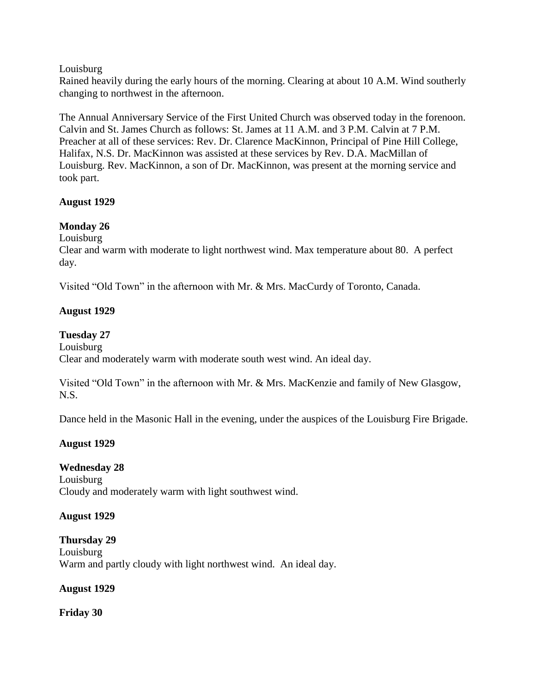### Louisburg

Rained heavily during the early hours of the morning. Clearing at about 10 A.M. Wind southerly changing to northwest in the afternoon.

The Annual Anniversary Service of the First United Church was observed today in the forenoon. Calvin and St. James Church as follows: St. James at 11 A.M. and 3 P.M. Calvin at 7 P.M. Preacher at all of these services: Rev. Dr. Clarence MacKinnon, Principal of Pine Hill College, Halifax, N.S. Dr. MacKinnon was assisted at these services by Rev. D.A. MacMillan of Louisburg. Rev. MacKinnon, a son of Dr. MacKinnon, was present at the morning service and took part.

### **August 1929**

### **Monday 26**

Louisburg

Clear and warm with moderate to light northwest wind. Max temperature about 80. A perfect day.

Visited "Old Town" in the afternoon with Mr. & Mrs. MacCurdy of Toronto, Canada.

### **August 1929**

### **Tuesday 27**

Louisburg Clear and moderately warm with moderate south west wind. An ideal day.

Visited "Old Town" in the afternoon with Mr. & Mrs. MacKenzie and family of New Glasgow, N.S.

Dance held in the Masonic Hall in the evening, under the auspices of the Louisburg Fire Brigade.

### **August 1929**

### **Wednesday 28**

Louisburg Cloudy and moderately warm with light southwest wind.

### **August 1929**

**Thursday 29** Louisburg Warm and partly cloudy with light northwest wind. An ideal day.

### **August 1929**

**Friday 30**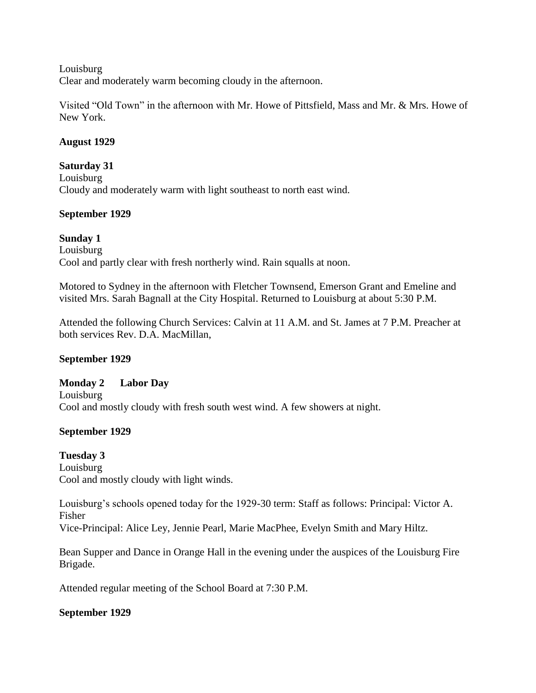Louisburg

Clear and moderately warm becoming cloudy in the afternoon.

Visited "Old Town" in the afternoon with Mr. Howe of Pittsfield, Mass and Mr. & Mrs. Howe of New York.

### **August 1929**

#### **Saturday 31**

Louisburg Cloudy and moderately warm with light southeast to north east wind.

### **September 1929**

**Sunday 1** Louisburg Cool and partly clear with fresh northerly wind. Rain squalls at noon.

Motored to Sydney in the afternoon with Fletcher Townsend, Emerson Grant and Emeline and visited Mrs. Sarah Bagnall at the City Hospital. Returned to Louisburg at about 5:30 P.M.

Attended the following Church Services: Calvin at 11 A.M. and St. James at 7 P.M. Preacher at both services Rev. D.A. MacMillan,

### **September 1929**

### **Monday 2 Labor Day**

Louisburg Cool and mostly cloudy with fresh south west wind. A few showers at night.

### **September 1929**

**Tuesday 3** Louisburg Cool and mostly cloudy with light winds.

Louisburg's schools opened today for the 1929-30 term: Staff as follows: Principal: Victor A. Fisher

Vice-Principal: Alice Ley, Jennie Pearl, Marie MacPhee, Evelyn Smith and Mary Hiltz.

Bean Supper and Dance in Orange Hall in the evening under the auspices of the Louisburg Fire Brigade.

Attended regular meeting of the School Board at 7:30 P.M.

### **September 1929**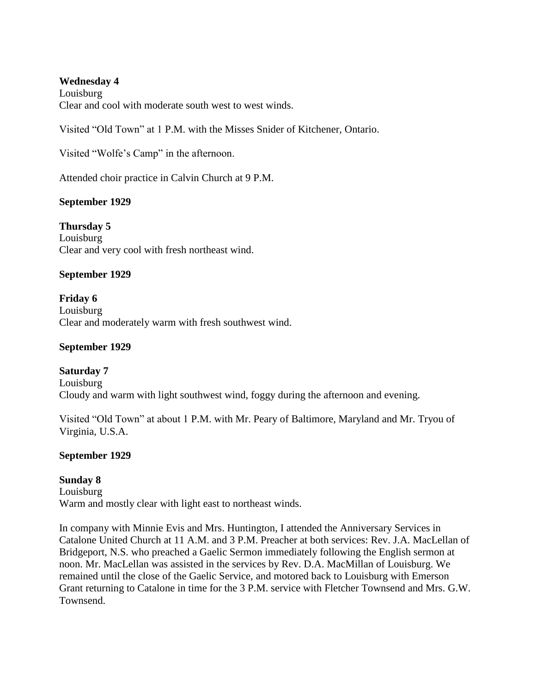#### **Wednesday 4**

Louisburg Clear and cool with moderate south west to west winds.

Visited "Old Town" at 1 P.M. with the Misses Snider of Kitchener, Ontario.

Visited "Wolfe"s Camp" in the afternoon.

Attended choir practice in Calvin Church at 9 P.M.

### **September 1929**

**Thursday 5** Louisburg Clear and very cool with fresh northeast wind.

### **September 1929**

**Friday 6** Louisburg Clear and moderately warm with fresh southwest wind.

#### **September 1929**

**Saturday 7** Louisburg Cloudy and warm with light southwest wind, foggy during the afternoon and evening.

Visited "Old Town" at about 1 P.M. with Mr. Peary of Baltimore, Maryland and Mr. Tryou of Virginia, U.S.A.

#### **September 1929**

#### **Sunday 8**

Louisburg Warm and mostly clear with light east to northeast winds.

In company with Minnie Evis and Mrs. Huntington, I attended the Anniversary Services in Catalone United Church at 11 A.M. and 3 P.M. Preacher at both services: Rev. J.A. MacLellan of Bridgeport, N.S. who preached a Gaelic Sermon immediately following the English sermon at noon. Mr. MacLellan was assisted in the services by Rev. D.A. MacMillan of Louisburg. We remained until the close of the Gaelic Service, and motored back to Louisburg with Emerson Grant returning to Catalone in time for the 3 P.M. service with Fletcher Townsend and Mrs. G.W. Townsend.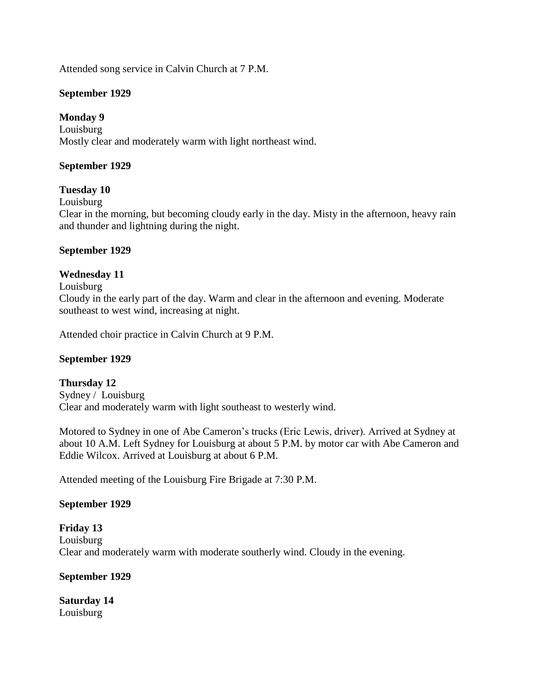Attended song service in Calvin Church at 7 P.M.

### **September 1929**

### **Monday 9**

Louisburg Mostly clear and moderately warm with light northeast wind.

### **September 1929**

### **Tuesday 10**

Louisburg

Clear in the morning, but becoming cloudy early in the day. Misty in the afternoon, heavy rain and thunder and lightning during the night.

#### **September 1929**

### **Wednesday 11**

# Louisburg

Cloudy in the early part of the day. Warm and clear in the afternoon and evening. Moderate southeast to west wind, increasing at night.

Attended choir practice in Calvin Church at 9 P.M.

#### **September 1929**

#### **Thursday 12**

Sydney / Louisburg Clear and moderately warm with light southeast to westerly wind.

Motored to Sydney in one of Abe Cameron"s trucks (Eric Lewis, driver). Arrived at Sydney at about 10 A.M. Left Sydney for Louisburg at about 5 P.M. by motor car with Abe Cameron and Eddie Wilcox. Arrived at Louisburg at about 6 P.M.

Attended meeting of the Louisburg Fire Brigade at 7:30 P.M.

#### **September 1929**

# **Friday 13** Louisburg Clear and moderately warm with moderate southerly wind. Cloudy in the evening.

#### **September 1929**

**Saturday 14** Louisburg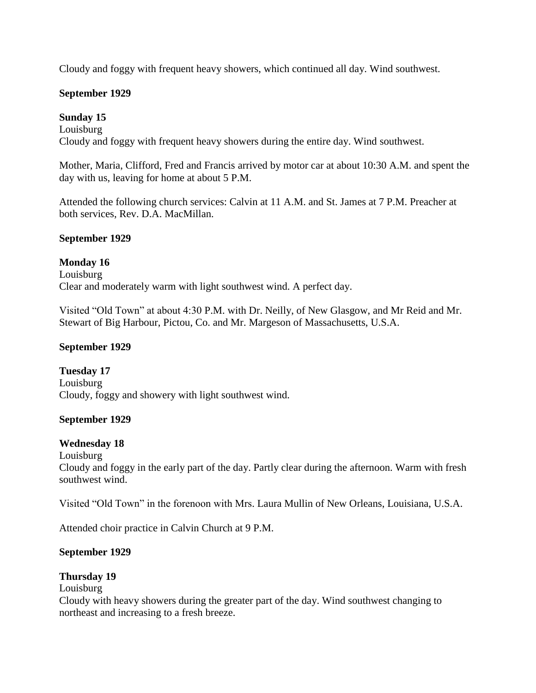Cloudy and foggy with frequent heavy showers, which continued all day. Wind southwest.

### **September 1929**

# **Sunday 15**

Louisburg Cloudy and foggy with frequent heavy showers during the entire day. Wind southwest.

Mother, Maria, Clifford, Fred and Francis arrived by motor car at about 10:30 A.M. and spent the day with us, leaving for home at about 5 P.M.

Attended the following church services: Calvin at 11 A.M. and St. James at 7 P.M. Preacher at both services, Rev. D.A. MacMillan.

### **September 1929**

### **Monday 16**

Louisburg Clear and moderately warm with light southwest wind. A perfect day.

Visited "Old Town" at about 4:30 P.M. with Dr. Neilly, of New Glasgow, and Mr Reid and Mr. Stewart of Big Harbour, Pictou, Co. and Mr. Margeson of Massachusetts, U.S.A.

### **September 1929**

**Tuesday 17** Louisburg Cloudy, foggy and showery with light southwest wind.

### **September 1929**

### **Wednesday 18**

Louisburg

Cloudy and foggy in the early part of the day. Partly clear during the afternoon. Warm with fresh southwest wind.

Visited "Old Town" in the forenoon with Mrs. Laura Mullin of New Orleans, Louisiana, U.S.A.

Attended choir practice in Calvin Church at 9 P.M.

#### **September 1929**

### **Thursday 19**

### Louisburg

Cloudy with heavy showers during the greater part of the day. Wind southwest changing to northeast and increasing to a fresh breeze.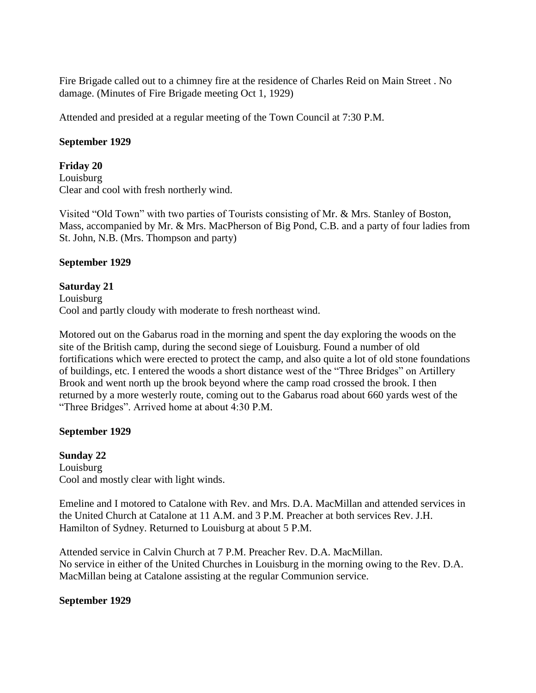Fire Brigade called out to a chimney fire at the residence of Charles Reid on Main Street . No damage. (Minutes of Fire Brigade meeting Oct 1, 1929)

Attended and presided at a regular meeting of the Town Council at 7:30 P.M.

#### **September 1929**

**Friday 20**

Louisburg Clear and cool with fresh northerly wind.

Visited "Old Town" with two parties of Tourists consisting of Mr. & Mrs. Stanley of Boston, Mass, accompanied by Mr. & Mrs. MacPherson of Big Pond, C.B. and a party of four ladies from St. John, N.B. (Mrs. Thompson and party)

#### **September 1929**

**Saturday 21** Louisburg Cool and partly cloudy with moderate to fresh northeast wind.

Motored out on the Gabarus road in the morning and spent the day exploring the woods on the site of the British camp, during the second siege of Louisburg. Found a number of old fortifications which were erected to protect the camp, and also quite a lot of old stone foundations of buildings, etc. I entered the woods a short distance west of the "Three Bridges" on Artillery Brook and went north up the brook beyond where the camp road crossed the brook. I then returned by a more westerly route, coming out to the Gabarus road about 660 yards west of the "Three Bridges". Arrived home at about 4:30 P.M.

### **September 1929**

**Sunday 22** Louisburg Cool and mostly clear with light winds.

Emeline and I motored to Catalone with Rev. and Mrs. D.A. MacMillan and attended services in the United Church at Catalone at 11 A.M. and 3 P.M. Preacher at both services Rev. J.H. Hamilton of Sydney. Returned to Louisburg at about 5 P.M.

Attended service in Calvin Church at 7 P.M. Preacher Rev. D.A. MacMillan. No service in either of the United Churches in Louisburg in the morning owing to the Rev. D.A. MacMillan being at Catalone assisting at the regular Communion service.

#### **September 1929**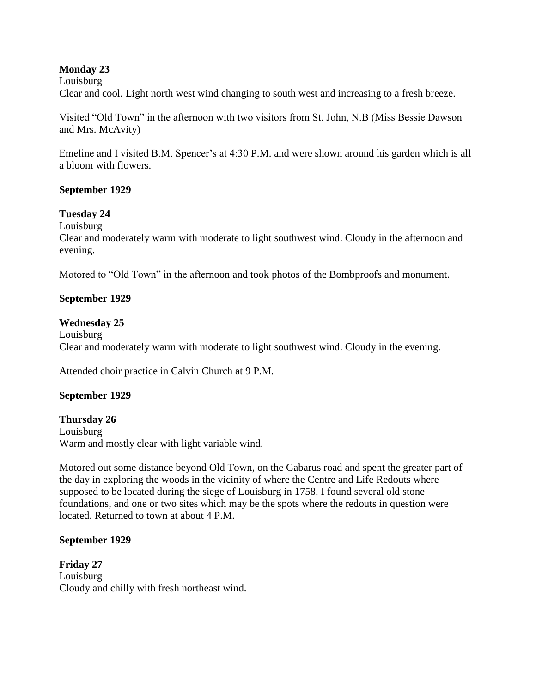### **Monday 23**

Louisburg Clear and cool. Light north west wind changing to south west and increasing to a fresh breeze.

Visited "Old Town" in the afternoon with two visitors from St. John, N.B (Miss Bessie Dawson and Mrs. McAvity)

Emeline and I visited B.M. Spencer's at 4:30 P.M. and were shown around his garden which is all a bloom with flowers.

#### **September 1929**

#### **Tuesday 24**

Louisburg

Clear and moderately warm with moderate to light southwest wind. Cloudy in the afternoon and evening.

Motored to "Old Town" in the afternoon and took photos of the Bombproofs and monument.

#### **September 1929**

#### **Wednesday 25**

Louisburg Clear and moderately warm with moderate to light southwest wind. Cloudy in the evening.

Attended choir practice in Calvin Church at 9 P.M.

#### **September 1929**

**Thursday 26** Louisburg Warm and mostly clear with light variable wind.

Motored out some distance beyond Old Town, on the Gabarus road and spent the greater part of the day in exploring the woods in the vicinity of where the Centre and Life Redouts where supposed to be located during the siege of Louisburg in 1758. I found several old stone foundations, and one or two sites which may be the spots where the redouts in question were located. Returned to town at about 4 P.M.

#### **September 1929**

**Friday 27** Louisburg Cloudy and chilly with fresh northeast wind.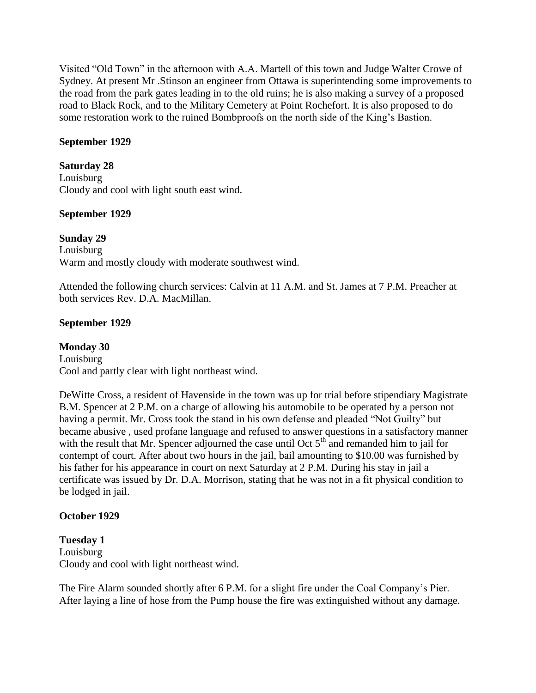Visited "Old Town" in the afternoon with A.A. Martell of this town and Judge Walter Crowe of Sydney. At present Mr .Stinson an engineer from Ottawa is superintending some improvements to the road from the park gates leading in to the old ruins; he is also making a survey of a proposed road to Black Rock, and to the Military Cemetery at Point Rochefort. It is also proposed to do some restoration work to the ruined Bombproofs on the north side of the King"s Bastion.

### **September 1929**

### **Saturday 28**

Louisburg Cloudy and cool with light south east wind.

### **September 1929**

# **Sunday 29**

Louisburg Warm and mostly cloudy with moderate southwest wind.

Attended the following church services: Calvin at 11 A.M. and St. James at 7 P.M. Preacher at both services Rev. D.A. MacMillan.

# **September 1929**

# **Monday 30**

Louisburg Cool and partly clear with light northeast wind.

DeWitte Cross, a resident of Havenside in the town was up for trial before stipendiary Magistrate B.M. Spencer at 2 P.M. on a charge of allowing his automobile to be operated by a person not having a permit. Mr. Cross took the stand in his own defense and pleaded "Not Guilty" but became abusive , used profane language and refused to answer questions in a satisfactory manner with the result that Mr. Spencer adjourned the case until Oct  $5<sup>th</sup>$  and remanded him to jail for contempt of court. After about two hours in the jail, bail amounting to \$10.00 was furnished by his father for his appearance in court on next Saturday at 2 P.M. During his stay in jail a certificate was issued by Dr. D.A. Morrison, stating that he was not in a fit physical condition to be lodged in jail.

# **October 1929**

**Tuesday 1** Louisburg Cloudy and cool with light northeast wind.

The Fire Alarm sounded shortly after 6 P.M. for a slight fire under the Coal Company"s Pier. After laying a line of hose from the Pump house the fire was extinguished without any damage.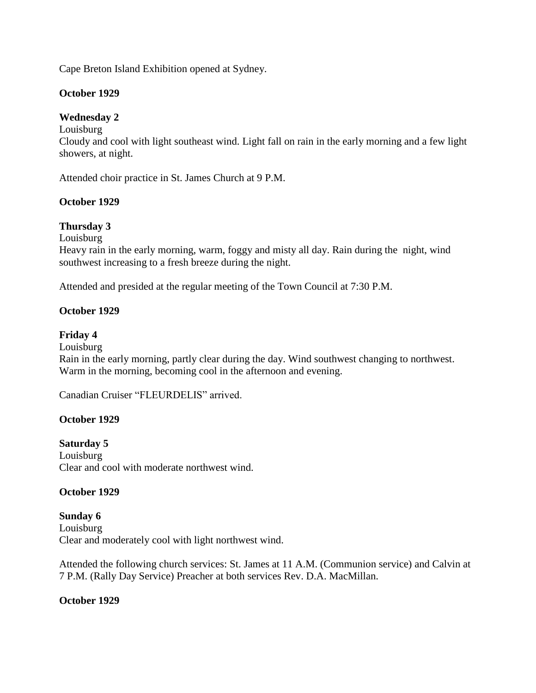Cape Breton Island Exhibition opened at Sydney.

### **October 1929**

# **Wednesday 2**

Louisburg

Cloudy and cool with light southeast wind. Light fall on rain in the early morning and a few light showers, at night.

Attended choir practice in St. James Church at 9 P.M.

# **October 1929**

# **Thursday 3**

Louisburg

Heavy rain in the early morning, warm, foggy and misty all day. Rain during the night, wind southwest increasing to a fresh breeze during the night.

Attended and presided at the regular meeting of the Town Council at 7:30 P.M.

# **October 1929**

# **Friday 4**

Louisburg Rain in the early morning, partly clear during the day. Wind southwest changing to northwest. Warm in the morning, becoming cool in the afternoon and evening.

Canadian Cruiser "FLEURDELIS" arrived.

### **October 1929**

### **Saturday 5**

Louisburg Clear and cool with moderate northwest wind.

### **October 1929**

**Sunday 6** Louisburg Clear and moderately cool with light northwest wind.

Attended the following church services: St. James at 11 A.M. (Communion service) and Calvin at 7 P.M. (Rally Day Service) Preacher at both services Rev. D.A. MacMillan.

### **October 1929**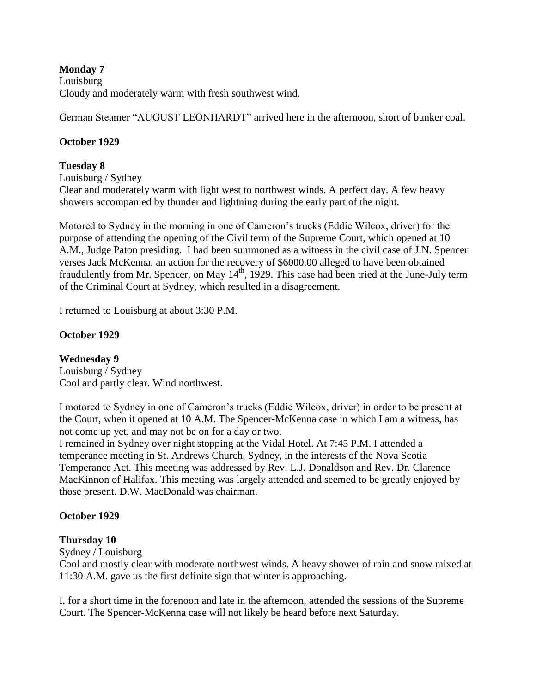### **Monday 7**

Louisburg Cloudy and moderately warm with fresh southwest wind.

German Steamer "AUGUST LEONHARDT" arrived here in the afternoon, short of bunker coal.

# **October 1929**

### **Tuesday 8**

Louisburg / Sydney Clear and moderately warm with light west to northwest winds. A perfect day. A few heavy showers accompanied by thunder and lightning during the early part of the night.

Motored to Sydney in the morning in one of Cameron"s trucks (Eddie Wilcox, driver) for the purpose of attending the opening of the Civil term of the Supreme Court, which opened at 10 A.M., Judge Paton presiding. I had been summoned as a witness in the civil case of J.N. Spencer verses Jack McKenna, an action for the recovery of \$6000.00 alleged to have been obtained fraudulently from Mr. Spencer, on May  $14<sup>th</sup>$ , 1929. This case had been tried at the June-July term of the Criminal Court at Sydney, which resulted in a disagreement.

I returned to Louisburg at about 3:30 P.M.

# **October 1929**

# **Wednesday 9**

Louisburg / Sydney Cool and partly clear. Wind northwest.

I motored to Sydney in one of Cameron"s trucks (Eddie Wilcox, driver) in order to be present at the Court, when it opened at 10 A.M. The Spencer-McKenna case in which I am a witness, has not come up yet, and may not be on for a day or two.

I remained in Sydney over night stopping at the Vidal Hotel. At 7:45 P.M. I attended a temperance meeting in St. Andrews Church, Sydney, in the interests of the Nova Scotia Temperance Act. This meeting was addressed by Rev. L.J. Donaldson and Rev. Dr. Clarence MacKinnon of Halifax. This meeting was largely attended and seemed to be greatly enjoyed by those present. D.W. MacDonald was chairman.

# **October 1929**

# **Thursday 10**

Sydney / Louisburg

Cool and mostly clear with moderate northwest winds. A heavy shower of rain and snow mixed at 11:30 A.M. gave us the first definite sign that winter is approaching.

I, for a short time in the forenoon and late in the afternoon, attended the sessions of the Supreme Court. The Spencer-McKenna case will not likely be heard before next Saturday.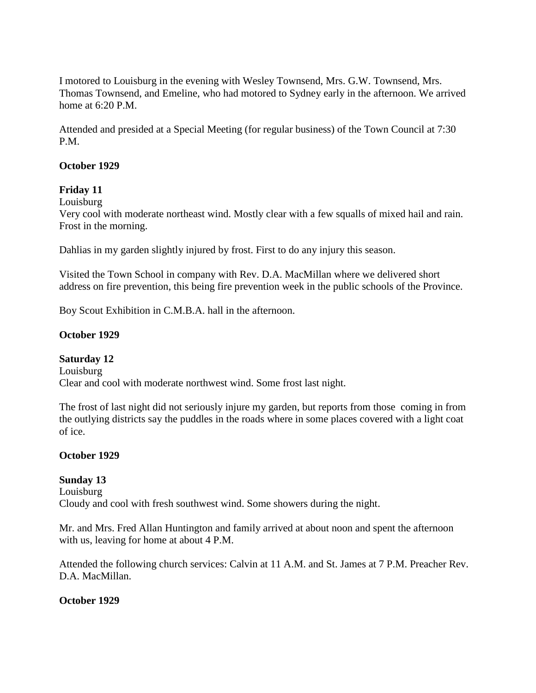I motored to Louisburg in the evening with Wesley Townsend, Mrs. G.W. Townsend, Mrs. Thomas Townsend, and Emeline, who had motored to Sydney early in the afternoon. We arrived home at 6:20 P.M.

Attended and presided at a Special Meeting (for regular business) of the Town Council at 7:30 P.M.

### **October 1929**

### **Friday 11**

Louisburg

Very cool with moderate northeast wind. Mostly clear with a few squalls of mixed hail and rain. Frost in the morning.

Dahlias in my garden slightly injured by frost. First to do any injury this season.

Visited the Town School in company with Rev. D.A. MacMillan where we delivered short address on fire prevention, this being fire prevention week in the public schools of the Province.

Boy Scout Exhibition in C.M.B.A. hall in the afternoon.

### **October 1929**

### **Saturday 12**

Louisburg Clear and cool with moderate northwest wind. Some frost last night.

The frost of last night did not seriously injure my garden, but reports from those coming in from the outlying districts say the puddles in the roads where in some places covered with a light coat of ice.

### **October 1929**

### **Sunday 13**

Louisburg Cloudy and cool with fresh southwest wind. Some showers during the night.

Mr. and Mrs. Fred Allan Huntington and family arrived at about noon and spent the afternoon with us, leaving for home at about 4 P.M.

Attended the following church services: Calvin at 11 A.M. and St. James at 7 P.M. Preacher Rev. D.A. MacMillan.

### **October 1929**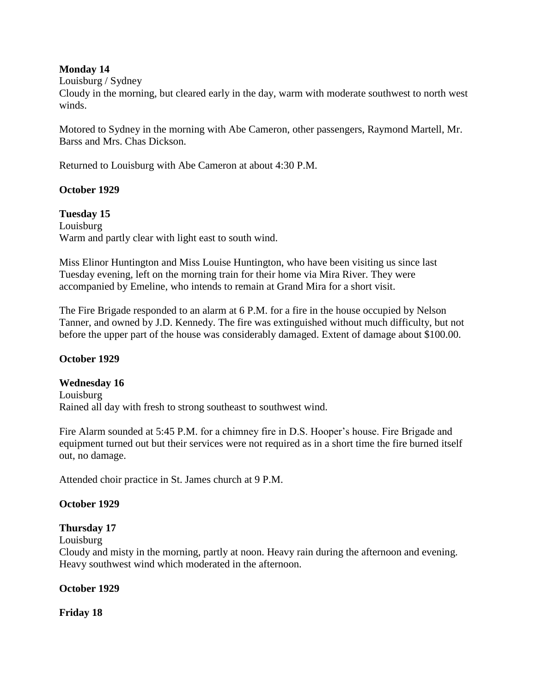### **Monday 14**

Louisburg / Sydney

Cloudy in the morning, but cleared early in the day, warm with moderate southwest to north west winds.

Motored to Sydney in the morning with Abe Cameron, other passengers, Raymond Martell, Mr. Barss and Mrs. Chas Dickson.

Returned to Louisburg with Abe Cameron at about 4:30 P.M.

### **October 1929**

**Tuesday 15** Louisburg Warm and partly clear with light east to south wind.

Miss Elinor Huntington and Miss Louise Huntington, who have been visiting us since last Tuesday evening, left on the morning train for their home via Mira River. They were accompanied by Emeline, who intends to remain at Grand Mira for a short visit.

The Fire Brigade responded to an alarm at 6 P.M. for a fire in the house occupied by Nelson Tanner, and owned by J.D. Kennedy. The fire was extinguished without much difficulty, but not before the upper part of the house was considerably damaged. Extent of damage about \$100.00.

### **October 1929**

#### **Wednesday 16**

Louisburg Rained all day with fresh to strong southeast to southwest wind.

Fire Alarm sounded at 5:45 P.M. for a chimney fire in D.S. Hooper's house. Fire Brigade and equipment turned out but their services were not required as in a short time the fire burned itself out, no damage.

Attended choir practice in St. James church at 9 P.M.

#### **October 1929**

#### **Thursday 17**

Louisburg

Cloudy and misty in the morning, partly at noon. Heavy rain during the afternoon and evening. Heavy southwest wind which moderated in the afternoon.

#### **October 1929**

**Friday 18**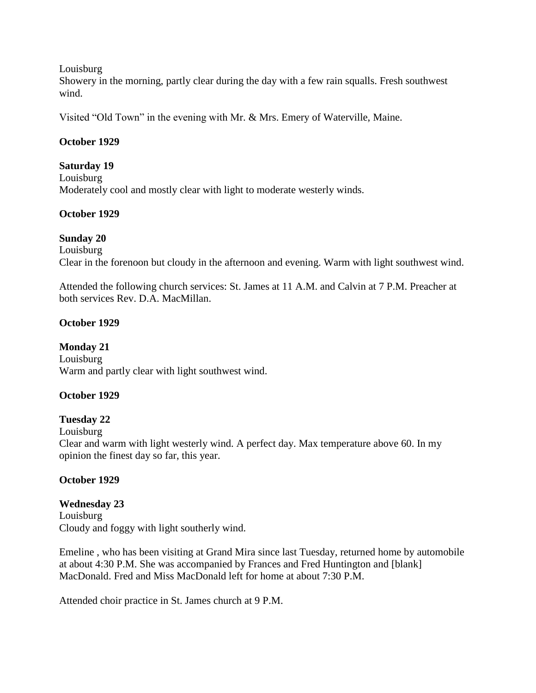#### Louisburg

Showery in the morning, partly clear during the day with a few rain squalls. Fresh southwest wind.

Visited "Old Town" in the evening with Mr. & Mrs. Emery of Waterville, Maine.

### **October 1929**

#### **Saturday 19**

Louisburg Moderately cool and mostly clear with light to moderate westerly winds.

### **October 1929**

### **Sunday 20**

Louisburg

Clear in the forenoon but cloudy in the afternoon and evening. Warm with light southwest wind.

Attended the following church services: St. James at 11 A.M. and Calvin at 7 P.M. Preacher at both services Rev. D.A. MacMillan.

### **October 1929**

### **Monday 21**

Louisburg Warm and partly clear with light southwest wind.

### **October 1929**

### **Tuesday 22**

Louisburg

Clear and warm with light westerly wind. A perfect day. Max temperature above 60. In my opinion the finest day so far, this year.

### **October 1929**

### **Wednesday 23**

Louisburg Cloudy and foggy with light southerly wind.

Emeline , who has been visiting at Grand Mira since last Tuesday, returned home by automobile at about 4:30 P.M. She was accompanied by Frances and Fred Huntington and [blank] MacDonald. Fred and Miss MacDonald left for home at about 7:30 P.M.

Attended choir practice in St. James church at 9 P.M.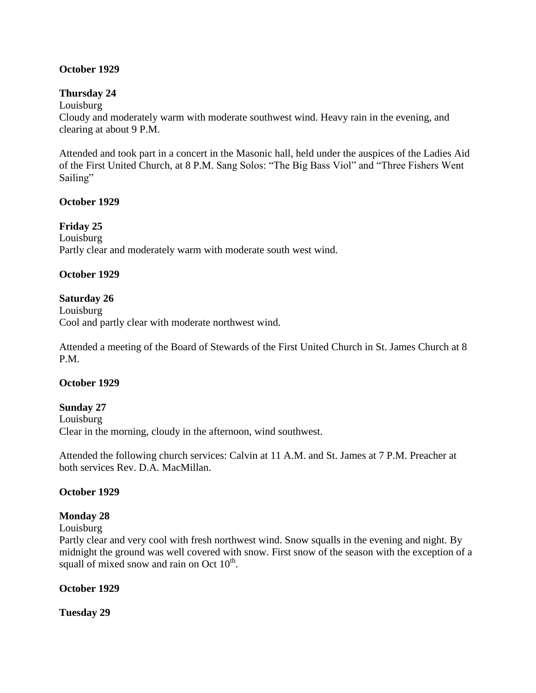# **October 1929**

### **Thursday 24**

Louisburg

Cloudy and moderately warm with moderate southwest wind. Heavy rain in the evening, and clearing at about 9 P.M.

Attended and took part in a concert in the Masonic hall, held under the auspices of the Ladies Aid of the First United Church, at 8 P.M. Sang Solos: "The Big Bass Viol" and "Three Fishers Went Sailing"

### **October 1929**

### **Friday 25**

Louisburg Partly clear and moderately warm with moderate south west wind.

### **October 1929**

### **Saturday 26**

Louisburg Cool and partly clear with moderate northwest wind.

Attended a meeting of the Board of Stewards of the First United Church in St. James Church at 8 P.M.

### **October 1929**

**Sunday 27** Louisburg Clear in the morning, cloudy in the afternoon, wind southwest.

Attended the following church services: Calvin at 11 A.M. and St. James at 7 P.M. Preacher at both services Rev. D.A. MacMillan.

### **October 1929**

# **Monday 28**

Louisburg

Partly clear and very cool with fresh northwest wind. Snow squalls in the evening and night. By midnight the ground was well covered with snow. First snow of the season with the exception of a squall of mixed snow and rain on Oct  $10^{th}$ .

### **October 1929**

**Tuesday 29**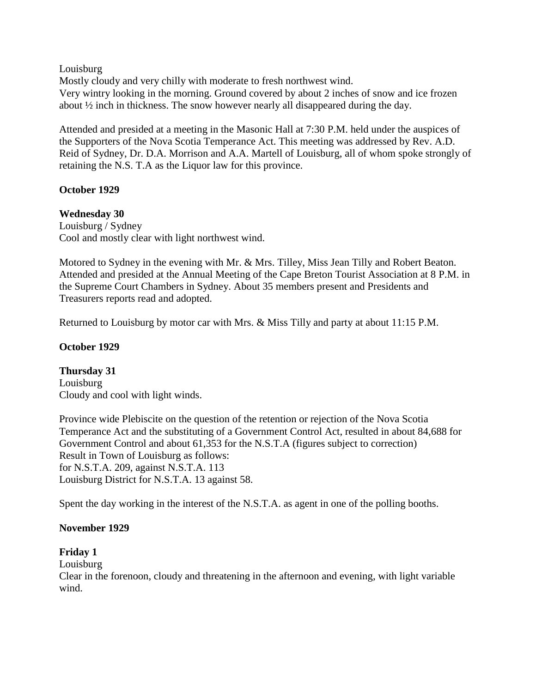### Louisburg

Mostly cloudy and very chilly with moderate to fresh northwest wind. Very wintry looking in the morning. Ground covered by about 2 inches of snow and ice frozen about ½ inch in thickness. The snow however nearly all disappeared during the day.

Attended and presided at a meeting in the Masonic Hall at 7:30 P.M. held under the auspices of the Supporters of the Nova Scotia Temperance Act. This meeting was addressed by Rev. A.D. Reid of Sydney, Dr. D.A. Morrison and A.A. Martell of Louisburg, all of whom spoke strongly of retaining the N.S. T.A as the Liquor law for this province.

# **October 1929**

# **Wednesday 30**

Louisburg / Sydney Cool and mostly clear with light northwest wind.

Motored to Sydney in the evening with Mr. & Mrs. Tilley, Miss Jean Tilly and Robert Beaton. Attended and presided at the Annual Meeting of the Cape Breton Tourist Association at 8 P.M. in the Supreme Court Chambers in Sydney. About 35 members present and Presidents and Treasurers reports read and adopted.

Returned to Louisburg by motor car with Mrs. & Miss Tilly and party at about 11:15 P.M.

# **October 1929**

**Thursday 31** Louisburg Cloudy and cool with light winds.

Province wide Plebiscite on the question of the retention or rejection of the Nova Scotia Temperance Act and the substituting of a Government Control Act, resulted in about 84,688 for Government Control and about 61,353 for the N.S.T.A (figures subject to correction) Result in Town of Louisburg as follows: for N.S.T.A. 209, against N.S.T.A. 113 Louisburg District for N.S.T.A. 13 against 58.

Spent the day working in the interest of the N.S.T.A. as agent in one of the polling booths.

# **November 1929**

# **Friday 1**

Louisburg

Clear in the forenoon, cloudy and threatening in the afternoon and evening, with light variable wind.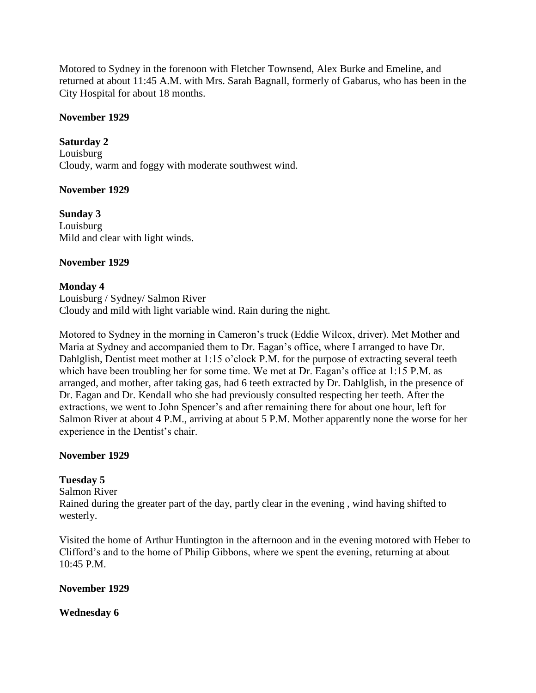Motored to Sydney in the forenoon with Fletcher Townsend, Alex Burke and Emeline, and returned at about 11:45 A.M. with Mrs. Sarah Bagnall, formerly of Gabarus, who has been in the City Hospital for about 18 months.

### **November 1929**

**Saturday 2** Louisburg Cloudy, warm and foggy with moderate southwest wind.

# **November 1929**

**Sunday 3** Louisburg Mild and clear with light winds.

### **November 1929**

# **Monday 4**

Louisburg / Sydney/ Salmon River Cloudy and mild with light variable wind. Rain during the night.

Motored to Sydney in the morning in Cameron"s truck (Eddie Wilcox, driver). Met Mother and Maria at Sydney and accompanied them to Dr. Eagan"s office, where I arranged to have Dr. Dahlglish, Dentist meet mother at 1:15 o'clock P.M. for the purpose of extracting several teeth which have been troubling her for some time. We met at Dr. Eagan's office at 1:15 P.M. as arranged, and mother, after taking gas, had 6 teeth extracted by Dr. Dahlglish, in the presence of Dr. Eagan and Dr. Kendall who she had previously consulted respecting her teeth. After the extractions, we went to John Spencer's and after remaining there for about one hour, left for Salmon River at about 4 P.M., arriving at about 5 P.M. Mother apparently none the worse for her experience in the Dentist's chair.

# **November 1929**

# **Tuesday 5**

Salmon River Rained during the greater part of the day, partly clear in the evening , wind having shifted to westerly.

Visited the home of Arthur Huntington in the afternoon and in the evening motored with Heber to Clifford"s and to the home of Philip Gibbons, where we spent the evening, returning at about 10:45 P.M.

### **November 1929**

**Wednesday 6**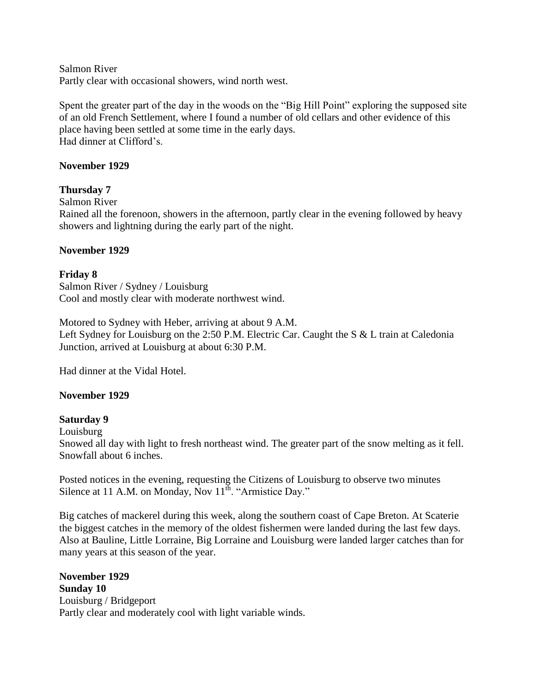Salmon River Partly clear with occasional showers, wind north west.

Spent the greater part of the day in the woods on the "Big Hill Point" exploring the supposed site of an old French Settlement, where I found a number of old cellars and other evidence of this place having been settled at some time in the early days. Had dinner at Clifford"s.

### **November 1929**

### **Thursday 7**

Salmon River

Rained all the forenoon, showers in the afternoon, partly clear in the evening followed by heavy showers and lightning during the early part of the night.

#### **November 1929**

#### **Friday 8**

Salmon River / Sydney / Louisburg Cool and mostly clear with moderate northwest wind.

Motored to Sydney with Heber, arriving at about 9 A.M. Left Sydney for Louisburg on the 2:50 P.M. Electric Car. Caught the S & L train at Caledonia Junction, arrived at Louisburg at about 6:30 P.M.

Had dinner at the Vidal Hotel.

### **November 1929**

### **Saturday 9**

Louisburg

Snowed all day with light to fresh northeast wind. The greater part of the snow melting as it fell. Snowfall about 6 inches.

Posted notices in the evening, requesting the Citizens of Louisburg to observe two minutes Silence at 11 A.M. on Monday, Nov  $11<sup>th</sup>$ . "Armistice Day."

Big catches of mackerel during this week, along the southern coast of Cape Breton. At Scaterie the biggest catches in the memory of the oldest fishermen were landed during the last few days. Also at Bauline, Little Lorraine, Big Lorraine and Louisburg were landed larger catches than for many years at this season of the year.

**November 1929 Sunday 10** Louisburg / Bridgeport Partly clear and moderately cool with light variable winds.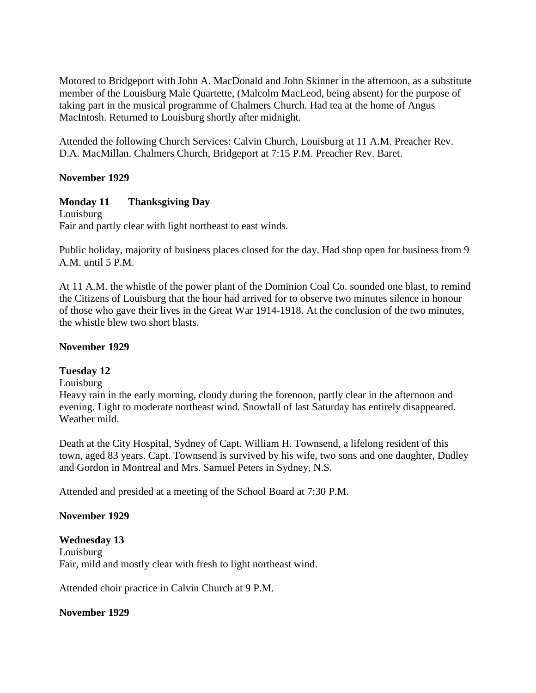Motored to Bridgeport with John A. MacDonald and John Skinner in the afternoon, as a substitute member of the Louisburg Male Quartette, (Malcolm MacLeod, being absent) for the purpose of taking part in the musical programme of Chalmers Church. Had tea at the home of Angus MacIntosh. Returned to Louisburg shortly after midnight.

Attended the following Church Services: Calvin Church, Louisburg at 11 A.M. Preacher Rev. D.A. MacMillan. Chalmers Church, Bridgeport at 7:15 P.M. Preacher Rev. Baret.

### **November 1929**

### **Monday 11 Thanksgiving Day**

Louisburg Fair and partly clear with light northeast to east winds.

Public holiday, majority of business places closed for the day. Had shop open for business from 9 A.M. until 5 P.M.

At 11 A.M. the whistle of the power plant of the Dominion Coal Co. sounded one blast, to remind the Citizens of Louisburg that the hour had arrived for to observe two minutes silence in honour of those who gave their lives in the Great War 1914-1918. At the conclusion of the two minutes, the whistle blew two short blasts.

### **November 1929**

### **Tuesday 12**

Louisburg

Heavy rain in the early morning, cloudy during the forenoon, partly clear in the afternoon and evening. Light to moderate northeast wind. Snowfall of last Saturday has entirely disappeared. Weather mild.

Death at the City Hospital, Sydney of Capt. William H. Townsend, a lifelong resident of this town, aged 83 years. Capt. Townsend is survived by his wife, two sons and one daughter, Dudley and Gordon in Montreal and Mrs. Samuel Peters in Sydney, N.S.

Attended and presided at a meeting of the School Board at 7:30 P.M.

### **November 1929**

**Wednesday 13** Louisburg Fair, mild and mostly clear with fresh to light northeast wind.

Attended choir practice in Calvin Church at 9 P.M.

### **November 1929**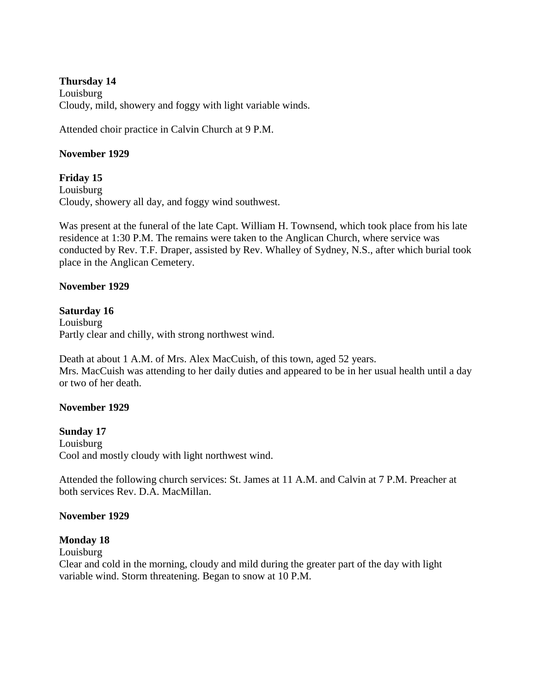### **Thursday 14**

Louisburg Cloudy, mild, showery and foggy with light variable winds.

Attended choir practice in Calvin Church at 9 P.M.

# **November 1929**

**Friday 15** Louisburg Cloudy, showery all day, and foggy wind southwest.

Was present at the funeral of the late Capt. William H. Townsend, which took place from his late residence at 1:30 P.M. The remains were taken to the Anglican Church, where service was conducted by Rev. T.F. Draper, assisted by Rev. Whalley of Sydney, N.S., after which burial took place in the Anglican Cemetery.

### **November 1929**

### **Saturday 16**

Louisburg Partly clear and chilly, with strong northwest wind.

Death at about 1 A.M. of Mrs. Alex MacCuish, of this town, aged 52 years. Mrs. MacCuish was attending to her daily duties and appeared to be in her usual health until a day or two of her death.

### **November 1929**

**Sunday 17** Louisburg Cool and mostly cloudy with light northwest wind.

Attended the following church services: St. James at 11 A.M. and Calvin at 7 P.M. Preacher at both services Rev. D.A. MacMillan.

### **November 1929**

# **Monday 18**

Louisburg

Clear and cold in the morning, cloudy and mild during the greater part of the day with light variable wind. Storm threatening. Began to snow at 10 P.M.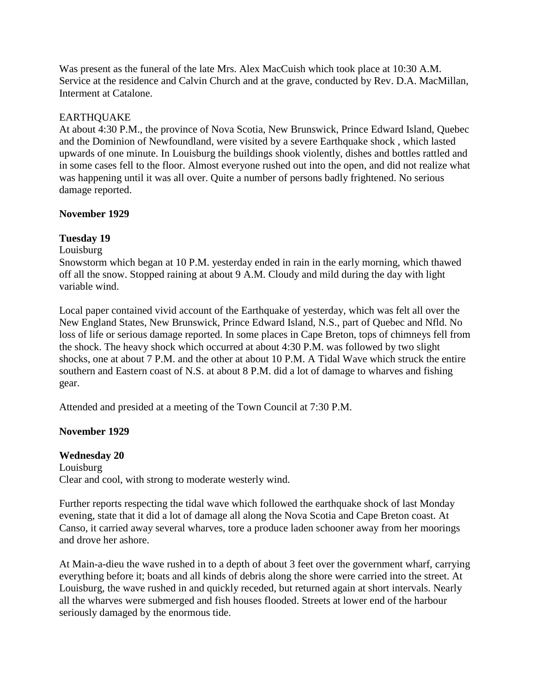Was present as the funeral of the late Mrs. Alex MacCuish which took place at 10:30 A.M. Service at the residence and Calvin Church and at the grave, conducted by Rev. D.A. MacMillan, Interment at Catalone.

### EARTHQUAKE

At about 4:30 P.M., the province of Nova Scotia, New Brunswick, Prince Edward Island, Quebec and the Dominion of Newfoundland, were visited by a severe Earthquake shock , which lasted upwards of one minute. In Louisburg the buildings shook violently, dishes and bottles rattled and in some cases fell to the floor. Almost everyone rushed out into the open, and did not realize what was happening until it was all over. Quite a number of persons badly frightened. No serious damage reported.

### **November 1929**

# **Tuesday 19**

Louisburg

Snowstorm which began at 10 P.M. yesterday ended in rain in the early morning, which thawed off all the snow. Stopped raining at about 9 A.M. Cloudy and mild during the day with light variable wind.

Local paper contained vivid account of the Earthquake of yesterday, which was felt all over the New England States, New Brunswick, Prince Edward Island, N.S., part of Quebec and Nfld. No loss of life or serious damage reported. In some places in Cape Breton, tops of chimneys fell from the shock. The heavy shock which occurred at about 4:30 P.M. was followed by two slight shocks, one at about 7 P.M. and the other at about 10 P.M. A Tidal Wave which struck the entire southern and Eastern coast of N.S. at about 8 P.M. did a lot of damage to wharves and fishing gear.

Attended and presided at a meeting of the Town Council at 7:30 P.M.

# **November 1929**

**Wednesday 20** Louisburg Clear and cool, with strong to moderate westerly wind.

Further reports respecting the tidal wave which followed the earthquake shock of last Monday evening, state that it did a lot of damage all along the Nova Scotia and Cape Breton coast. At Canso, it carried away several wharves, tore a produce laden schooner away from her moorings and drove her ashore.

At Main-a-dieu the wave rushed in to a depth of about 3 feet over the government wharf, carrying everything before it; boats and all kinds of debris along the shore were carried into the street. At Louisburg, the wave rushed in and quickly receded, but returned again at short intervals. Nearly all the wharves were submerged and fish houses flooded. Streets at lower end of the harbour seriously damaged by the enormous tide.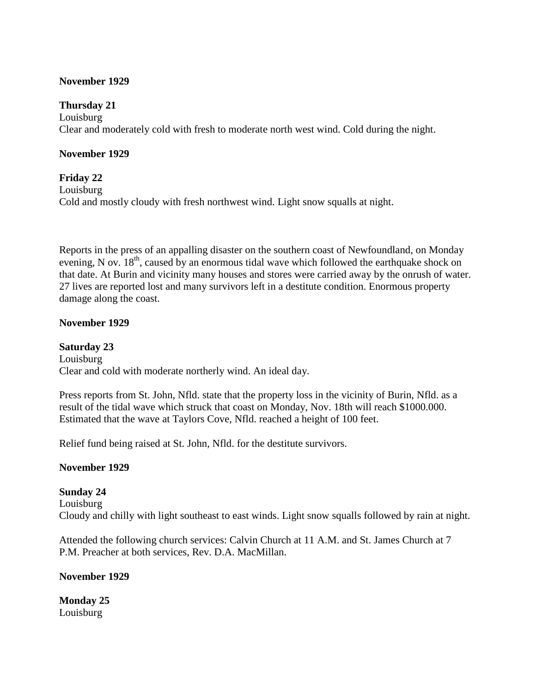### **November 1929**

### **Thursday 21**

Louisburg Clear and moderately cold with fresh to moderate north west wind. Cold during the night.

### **November 1929**

# **Friday 22**

Louisburg Cold and mostly cloudy with fresh northwest wind. Light snow squalls at night.

Reports in the press of an appalling disaster on the southern coast of Newfoundland, on Monday evening, N ov.  $18<sup>th</sup>$ , caused by an enormous tidal wave which followed the earthquake shock on that date. At Burin and vicinity many houses and stores were carried away by the onrush of water. 27 lives are reported lost and many survivors left in a destitute condition. Enormous property damage along the coast.

### **November 1929**

**Saturday 23** Louisburg Clear and cold with moderate northerly wind. An ideal day.

Press reports from St. John, Nfld. state that the property loss in the vicinity of Burin, Nfld. as a result of the tidal wave which struck that coast on Monday, Nov. 18th will reach \$1000.000. Estimated that the wave at Taylors Cove, Nfld. reached a height of 100 feet.

Relief fund being raised at St. John, Nfld. for the destitute survivors.

### **November 1929**

**Sunday 24** Louisburg Cloudy and chilly with light southeast to east winds. Light snow squalls followed by rain at night.

Attended the following church services: Calvin Church at 11 A.M. and St. James Church at 7 P.M. Preacher at both services, Rev. D.A. MacMillan.

### **November 1929**

**Monday 25** Louisburg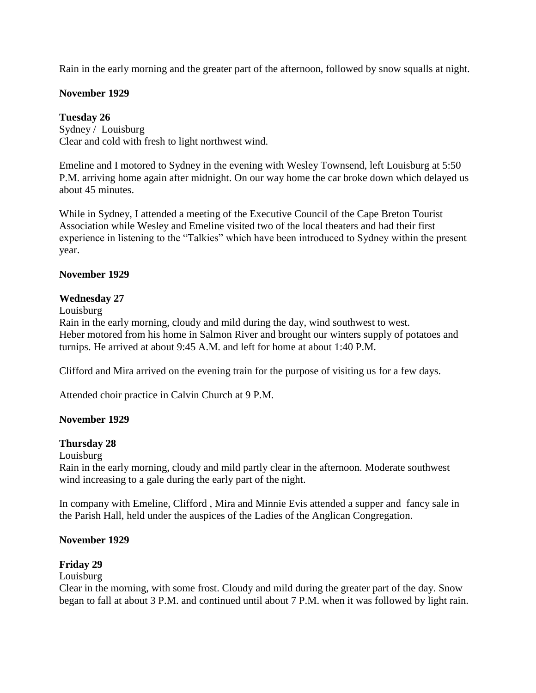Rain in the early morning and the greater part of the afternoon, followed by snow squalls at night.

### **November 1929**

### **Tuesday 26**

Sydney / Louisburg Clear and cold with fresh to light northwest wind.

Emeline and I motored to Sydney in the evening with Wesley Townsend, left Louisburg at 5:50 P.M. arriving home again after midnight. On our way home the car broke down which delayed us about 45 minutes.

While in Sydney, I attended a meeting of the Executive Council of the Cape Breton Tourist Association while Wesley and Emeline visited two of the local theaters and had their first experience in listening to the "Talkies" which have been introduced to Sydney within the present year.

### **November 1929**

### **Wednesday 27**

Louisburg

Rain in the early morning, cloudy and mild during the day, wind southwest to west. Heber motored from his home in Salmon River and brought our winters supply of potatoes and turnips. He arrived at about 9:45 A.M. and left for home at about 1:40 P.M.

Clifford and Mira arrived on the evening train for the purpose of visiting us for a few days.

Attended choir practice in Calvin Church at 9 P.M.

### **November 1929**

### **Thursday 28**

Louisburg

Rain in the early morning, cloudy and mild partly clear in the afternoon. Moderate southwest wind increasing to a gale during the early part of the night.

In company with Emeline, Clifford , Mira and Minnie Evis attended a supper and fancy sale in the Parish Hall, held under the auspices of the Ladies of the Anglican Congregation.

### **November 1929**

### **Friday 29**

Louisburg

Clear in the morning, with some frost. Cloudy and mild during the greater part of the day. Snow began to fall at about 3 P.M. and continued until about 7 P.M. when it was followed by light rain.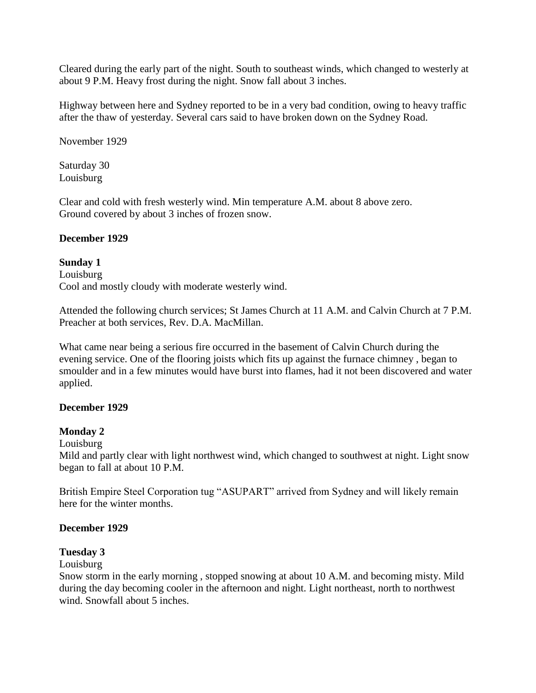Cleared during the early part of the night. South to southeast winds, which changed to westerly at about 9 P.M. Heavy frost during the night. Snow fall about 3 inches.

Highway between here and Sydney reported to be in a very bad condition, owing to heavy traffic after the thaw of yesterday. Several cars said to have broken down on the Sydney Road.

November 1929

Saturday 30 Louisburg

Clear and cold with fresh westerly wind. Min temperature A.M. about 8 above zero. Ground covered by about 3 inches of frozen snow.

### **December 1929**

### **Sunday 1**

Louisburg Cool and mostly cloudy with moderate westerly wind.

Attended the following church services; St James Church at 11 A.M. and Calvin Church at 7 P.M. Preacher at both services, Rev. D.A. MacMillan.

What came near being a serious fire occurred in the basement of Calvin Church during the evening service. One of the flooring joists which fits up against the furnace chimney , began to smoulder and in a few minutes would have burst into flames, had it not been discovered and water applied.

### **December 1929**

# **Monday 2**

Louisburg

Mild and partly clear with light northwest wind, which changed to southwest at night. Light snow began to fall at about 10 P.M.

British Empire Steel Corporation tug "ASUPART" arrived from Sydney and will likely remain here for the winter months.

# **December 1929**

# **Tuesday 3**

Louisburg

Snow storm in the early morning , stopped snowing at about 10 A.M. and becoming misty. Mild during the day becoming cooler in the afternoon and night. Light northeast, north to northwest wind. Snowfall about 5 inches.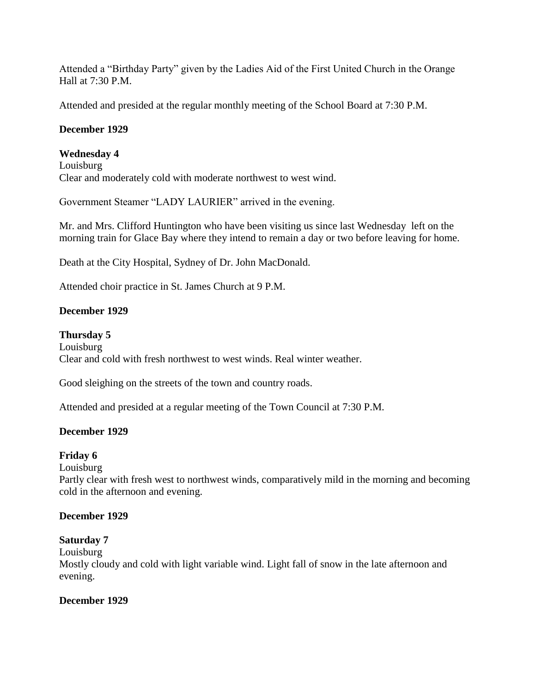Attended a "Birthday Party" given by the Ladies Aid of the First United Church in the Orange Hall at 7:30 P.M.

Attended and presided at the regular monthly meeting of the School Board at 7:30 P.M.

# **December 1929**

# **Wednesday 4**

Louisburg Clear and moderately cold with moderate northwest to west wind.

Government Steamer "LADY LAURIER" arrived in the evening.

Mr. and Mrs. Clifford Huntington who have been visiting us since last Wednesday left on the morning train for Glace Bay where they intend to remain a day or two before leaving for home.

Death at the City Hospital, Sydney of Dr. John MacDonald.

Attended choir practice in St. James Church at 9 P.M.

# **December 1929**

# **Thursday 5**

Louisburg Clear and cold with fresh northwest to west winds. Real winter weather.

Good sleighing on the streets of the town and country roads.

Attended and presided at a regular meeting of the Town Council at 7:30 P.M.

# **December 1929**

# **Friday 6**

Louisburg

Partly clear with fresh west to northwest winds, comparatively mild in the morning and becoming cold in the afternoon and evening.

# **December 1929**

# **Saturday 7**

Louisburg

Mostly cloudy and cold with light variable wind. Light fall of snow in the late afternoon and evening.

# **December 1929**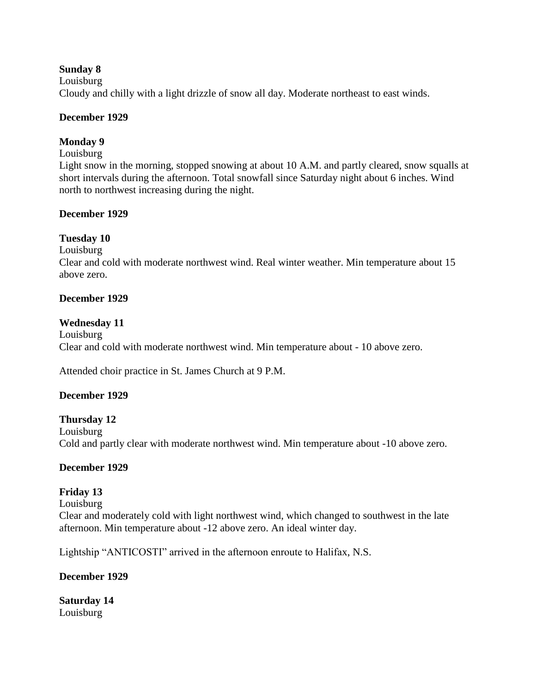### **Sunday 8**

Louisburg

Cloudy and chilly with a light drizzle of snow all day. Moderate northeast to east winds.

### **December 1929**

# **Monday 9**

#### Louisburg

Light snow in the morning, stopped snowing at about 10 A.M. and partly cleared, snow squalls at short intervals during the afternoon. Total snowfall since Saturday night about 6 inches. Wind north to northwest increasing during the night.

### **December 1929**

# **Tuesday 10**

Louisburg

Clear and cold with moderate northwest wind. Real winter weather. Min temperature about 15 above zero.

### **December 1929**

### **Wednesday 11**

Louisburg Clear and cold with moderate northwest wind. Min temperature about - 10 above zero.

Attended choir practice in St. James Church at 9 P.M.

# **December 1929**

# **Thursday 12**

Louisburg Cold and partly clear with moderate northwest wind. Min temperature about -10 above zero.

# **December 1929**

# **Friday 13**

Louisburg

Clear and moderately cold with light northwest wind, which changed to southwest in the late afternoon. Min temperature about -12 above zero. An ideal winter day.

Lightship "ANTICOSTI" arrived in the afternoon enroute to Halifax, N.S.

# **December 1929**

**Saturday 14** Louisburg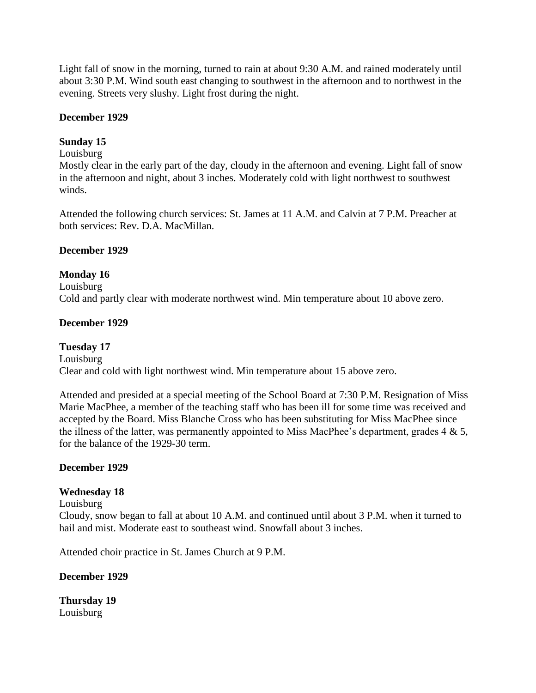Light fall of snow in the morning, turned to rain at about 9:30 A.M. and rained moderately until about 3:30 P.M. Wind south east changing to southwest in the afternoon and to northwest in the evening. Streets very slushy. Light frost during the night.

### **December 1929**

# **Sunday 15**

### Louisburg

Mostly clear in the early part of the day, cloudy in the afternoon and evening. Light fall of snow in the afternoon and night, about 3 inches. Moderately cold with light northwest to southwest winds.

Attended the following church services: St. James at 11 A.M. and Calvin at 7 P.M. Preacher at both services: Rev. D.A. MacMillan.

### **December 1929**

# **Monday 16**

Louisburg Cold and partly clear with moderate northwest wind. Min temperature about 10 above zero.

### **December 1929**

# **Tuesday 17**

Louisburg

Clear and cold with light northwest wind. Min temperature about 15 above zero.

Attended and presided at a special meeting of the School Board at 7:30 P.M. Resignation of Miss Marie MacPhee, a member of the teaching staff who has been ill for some time was received and accepted by the Board. Miss Blanche Cross who has been substituting for Miss MacPhee since the illness of the latter, was permanently appointed to Miss MacPhee's department, grades  $4 \& 5$ , for the balance of the 1929-30 term.

### **December 1929**

# **Wednesday 18**

### Louisburg

Cloudy, snow began to fall at about 10 A.M. and continued until about 3 P.M. when it turned to hail and mist. Moderate east to southeast wind. Snowfall about 3 inches.

Attended choir practice in St. James Church at 9 P.M.

# **December 1929**

**Thursday 19** Louisburg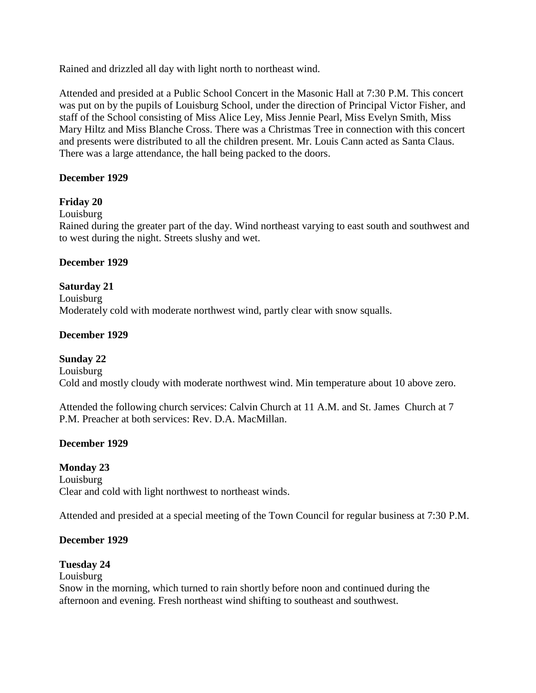Rained and drizzled all day with light north to northeast wind.

Attended and presided at a Public School Concert in the Masonic Hall at 7:30 P.M. This concert was put on by the pupils of Louisburg School, under the direction of Principal Victor Fisher, and staff of the School consisting of Miss Alice Ley, Miss Jennie Pearl, Miss Evelyn Smith, Miss Mary Hiltz and Miss Blanche Cross. There was a Christmas Tree in connection with this concert and presents were distributed to all the children present. Mr. Louis Cann acted as Santa Claus. There was a large attendance, the hall being packed to the doors.

### **December 1929**

# **Friday 20**

# Louisburg

Rained during the greater part of the day. Wind northeast varying to east south and southwest and to west during the night. Streets slushy and wet.

### **December 1929**

# **Saturday 21**

Louisburg Moderately cold with moderate northwest wind, partly clear with snow squalls.

### **December 1929**

# **Sunday 22**

Louisburg Cold and mostly cloudy with moderate northwest wind. Min temperature about 10 above zero.

Attended the following church services: Calvin Church at 11 A.M. and St. James Church at 7 P.M. Preacher at both services: Rev. D.A. MacMillan.

# **December 1929**

# **Monday 23**

Louisburg Clear and cold with light northwest to northeast winds.

Attended and presided at a special meeting of the Town Council for regular business at 7:30 P.M.

# **December 1929**

# **Tuesday 24**

Louisburg

Snow in the morning, which turned to rain shortly before noon and continued during the afternoon and evening. Fresh northeast wind shifting to southeast and southwest.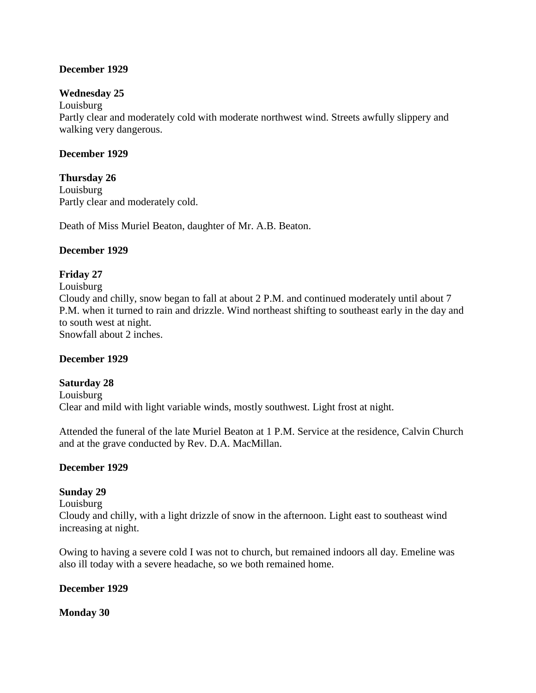### **December 1929**

### **Wednesday 25**

Louisburg Partly clear and moderately cold with moderate northwest wind. Streets awfully slippery and walking very dangerous.

### **December 1929**

**Thursday 26** Louisburg Partly clear and moderately cold.

Death of Miss Muriel Beaton, daughter of Mr. A.B. Beaton.

### **December 1929**

# **Friday 27**

Louisburg Cloudy and chilly, snow began to fall at about 2 P.M. and continued moderately until about 7 P.M. when it turned to rain and drizzle. Wind northeast shifting to southeast early in the day and to south west at night. Snowfall about 2 inches.

### **December 1929**

# **Saturday 28**

Louisburg Clear and mild with light variable winds, mostly southwest. Light frost at night.

Attended the funeral of the late Muriel Beaton at 1 P.M. Service at the residence, Calvin Church and at the grave conducted by Rev. D.A. MacMillan.

### **December 1929**

# **Sunday 29**

Louisburg

Cloudy and chilly, with a light drizzle of snow in the afternoon. Light east to southeast wind increasing at night.

Owing to having a severe cold I was not to church, but remained indoors all day. Emeline was also ill today with a severe headache, so we both remained home.

### **December 1929**

**Monday 30**